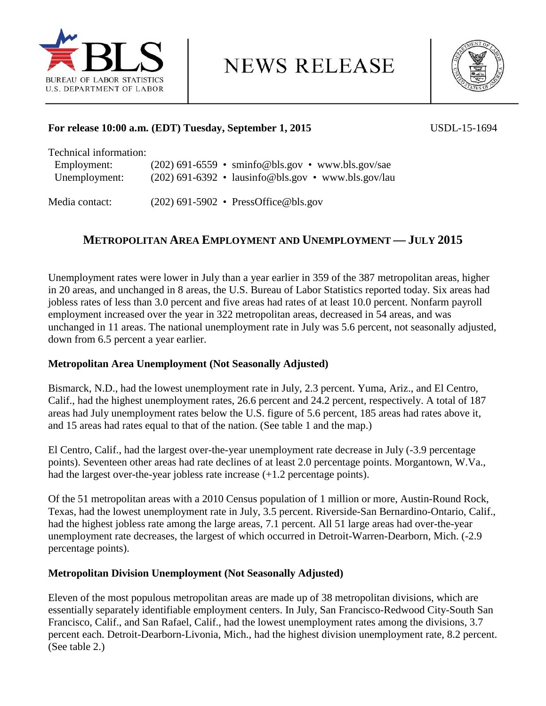

**NEWS RELEASE** 



# **For release 10:00 a.m. (EDT) Tuesday, September 1, 2015** USDL-15-1694

| Technical information: |                                                     |
|------------------------|-----------------------------------------------------|
| Employment:            | $(202)$ 691-6559 • sminfo@bls.gov • www.bls.gov/sae |
| Unemployment:          | (202) 691-6392 • lausinfo@bls.gov • www.bls.gov/lau |
| Media contact:         | $(202)$ 691-5902 • PressOffice@bls.gov              |

# **METROPOLITAN AREA EMPLOYMENT AND UNEMPLOYMENT — JULY 2015**

Unemployment rates were lower in July than a year earlier in 359 of the 387 metropolitan areas, higher in 20 areas, and unchanged in 8 areas, the U.S. Bureau of Labor Statistics reported today. Six areas had jobless rates of less than 3.0 percent and five areas had rates of at least 10.0 percent. Nonfarm payroll employment increased over the year in 322 metropolitan areas, decreased in 54 areas, and was unchanged in 11 areas. The national unemployment rate in July was 5.6 percent, not seasonally adjusted, down from 6.5 percent a year earlier.

# **Metropolitan Area Unemployment (Not Seasonally Adjusted)**

Bismarck, N.D., had the lowest unemployment rate in July, 2.3 percent. Yuma, Ariz., and El Centro, Calif., had the highest unemployment rates, 26.6 percent and 24.2 percent, respectively. A total of 187 areas had July unemployment rates below the U.S. figure of 5.6 percent, 185 areas had rates above it, and 15 areas had rates equal to that of the nation. (See table 1 and the map.)

El Centro, Calif., had the largest over-the-year unemployment rate decrease in July (-3.9 percentage points). Seventeen other areas had rate declines of at least 2.0 percentage points. Morgantown, W.Va., had the largest over-the-year jobless rate increase  $(+1.2$  percentage points).

Of the 51 metropolitan areas with a 2010 Census population of 1 million or more, Austin-Round Rock, Texas, had the lowest unemployment rate in July, 3.5 percent. Riverside-San Bernardino-Ontario, Calif., had the highest jobless rate among the large areas, 7.1 percent. All 51 large areas had over-the-year unemployment rate decreases, the largest of which occurred in Detroit-Warren-Dearborn, Mich. (-2.9 percentage points).

# **Metropolitan Division Unemployment (Not Seasonally Adjusted)**

Eleven of the most populous metropolitan areas are made up of 38 metropolitan divisions, which are essentially separately identifiable employment centers. In July, San Francisco-Redwood City-South San Francisco, Calif., and San Rafael, Calif., had the lowest unemployment rates among the divisions, 3.7 percent each. Detroit-Dearborn-Livonia, Mich., had the highest division unemployment rate, 8.2 percent. (See table 2.)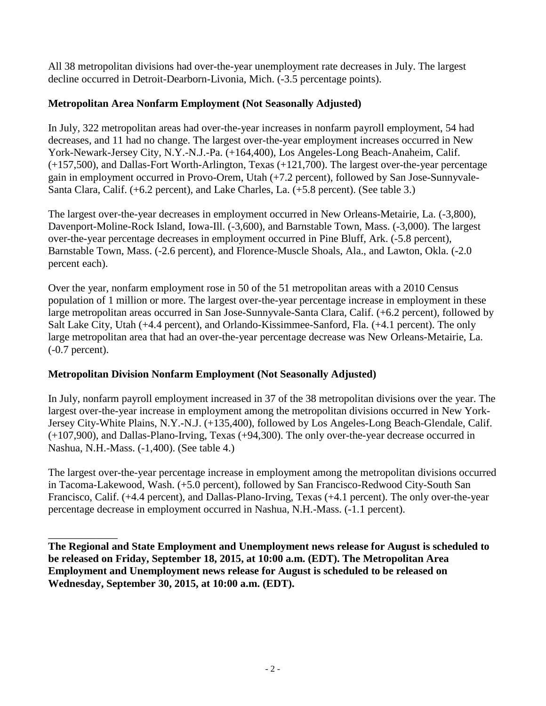All 38 metropolitan divisions had over-the-year unemployment rate decreases in July. The largest decline occurred in Detroit-Dearborn-Livonia, Mich. (-3.5 percentage points).

# **Metropolitan Area Nonfarm Employment (Not Seasonally Adjusted)**

In July, 322 metropolitan areas had over-the-year increases in nonfarm payroll employment, 54 had decreases, and 11 had no change. The largest over-the-year employment increases occurred in New York-Newark-Jersey City, N.Y.-N.J.-Pa. (+164,400), Los Angeles-Long Beach-Anaheim, Calif. (+157,500), and Dallas-Fort Worth-Arlington, Texas (+121,700). The largest over-the-year percentage gain in employment occurred in Provo-Orem, Utah (+7.2 percent), followed by San Jose-Sunnyvale-Santa Clara, Calif. (+6.2 percent), and Lake Charles, La. (+5.8 percent). (See table 3.)

The largest over-the-year decreases in employment occurred in New Orleans-Metairie, La. (-3,800), Davenport-Moline-Rock Island, Iowa-Ill. (-3,600), and Barnstable Town, Mass. (-3,000). The largest over-the-year percentage decreases in employment occurred in Pine Bluff, Ark. (-5.8 percent), Barnstable Town, Mass. (-2.6 percent), and Florence-Muscle Shoals, Ala., and Lawton, Okla. (-2.0 percent each).

Over the year, nonfarm employment rose in 50 of the 51 metropolitan areas with a 2010 Census population of 1 million or more. The largest over-the-year percentage increase in employment in these large metropolitan areas occurred in San Jose-Sunnyvale-Santa Clara, Calif. (+6.2 percent), followed by Salt Lake City, Utah (+4.4 percent), and Orlando-Kissimmee-Sanford, Fla. (+4.1 percent). The only large metropolitan area that had an over-the-year percentage decrease was New Orleans-Metairie, La. (-0.7 percent).

# **Metropolitan Division Nonfarm Employment (Not Seasonally Adjusted)**

In July, nonfarm payroll employment increased in 37 of the 38 metropolitan divisions over the year. The largest over-the-year increase in employment among the metropolitan divisions occurred in New York-Jersey City-White Plains, N.Y.-N.J. (+135,400), followed by Los Angeles-Long Beach-Glendale, Calif. (+107,900), and Dallas-Plano-Irving, Texas (+94,300). The only over-the-year decrease occurred in Nashua, N.H.-Mass. (-1,400). (See table 4.)

The largest over-the-year percentage increase in employment among the metropolitan divisions occurred in Tacoma-Lakewood, Wash. (+5.0 percent), followed by San Francisco-Redwood City-South San Francisco, Calif. (+4.4 percent), and Dallas-Plano-Irving, Texas (+4.1 percent). The only over-the-year percentage decrease in employment occurred in Nashua, N.H.-Mass. (-1.1 percent).

\_\_\_\_\_\_\_\_\_\_\_\_\_ **The Regional and State Employment and Unemployment news release for August is scheduled to be released on Friday, September 18, 2015, at 10:00 a.m. (EDT). The Metropolitan Area Employment and Unemployment news release for August is scheduled to be released on Wednesday, September 30, 2015, at 10:00 a.m. (EDT).**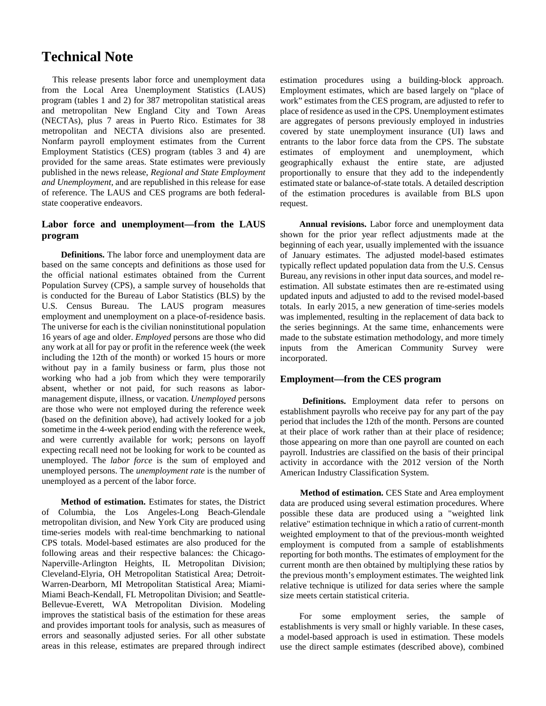# **Technical Note**

This release presents labor force and unemployment data from the Local Area Unemployment Statistics (LAUS) program (tables 1 and 2) for 387 metropolitan statistical areas and metropolitan New England City and Town Areas (NECTAs), plus 7 areas in Puerto Rico. Estimates for 38 metropolitan and NECTA divisions also are presented. Nonfarm payroll employment estimates from the Current Employment Statistics (CES) program (tables 3 and 4) are provided for the same areas. State estimates were previously published in the news release, *Regional and State Employment and Unemployment,* and are republished in this release for ease of reference. The LAUS and CES programs are both federalstate cooperative endeavors.

### **Labor force and unemployment—from the LAUS program**

**Definitions.** The labor force and unemployment data are based on the same concepts and definitions as those used for the official national estimates obtained from the Current Population Survey (CPS), a sample survey of households that is conducted for the Bureau of Labor Statistics (BLS) by the U.S. Census Bureau. The LAUS program measures employment and unemployment on a place-of-residence basis. The universe for each is the civilian noninstitutional population 16 years of age and older. *Employed* persons are those who did any work at all for pay or profit in the reference week (the week including the 12th of the month) or worked 15 hours or more without pay in a family business or farm, plus those not working who had a job from which they were temporarily absent, whether or not paid, for such reasons as labormanagement dispute, illness, or vacation. *Unemployed* persons are those who were not employed during the reference week (based on the definition above), had actively looked for a job sometime in the 4-week period ending with the reference week, and were currently available for work; persons on layoff expecting recall need not be looking for work to be counted as unemployed. The *labor force* is the sum of employed and unemployed persons. The *unemployment rate* is the number of unemployed as a percent of the labor force.

**Method of estimation.** Estimates for states, the District of Columbia, the Los Angeles-Long Beach-Glendale metropolitan division, and New York City are produced using time-series models with real-time benchmarking to national CPS totals. Model-based estimates are also produced for the following areas and their respective balances: the Chicago-Naperville-Arlington Heights, IL Metropolitan Division; Cleveland-Elyria, OH Metropolitan Statistical Area; Detroit-Warren-Dearborn, MI Metropolitan Statistical Area; Miami-Miami Beach-Kendall, FL Metropolitan Division; and Seattle-Bellevue-Everett, WA Metropolitan Division. Modeling improves the statistical basis of the estimation for these areas and provides important tools for analysis, such as measures of errors and seasonally adjusted series. For all other substate areas in this release, estimates are prepared through indirect

estimation procedures using a building-block approach. Employment estimates, which are based largely on "place of work" estimates from the CES program, are adjusted to refer to place of residence as used in the CPS. Unemployment estimates are aggregates of persons previously employed in industries covered by state unemployment insurance (UI) laws and entrants to the labor force data from the CPS. The substate estimates of employment and unemployment, which geographically exhaust the entire state, are adjusted proportionally to ensure that they add to the independently estimated state or balance-of-state totals. A detailed description of the estimation procedures is available from BLS upon request.

**Annual revisions.** Labor force and unemployment data shown for the prior year reflect adjustments made at the beginning of each year, usually implemented with the issuance of January estimates. The adjusted model-based estimates typically reflect updated population data from the U.S. Census Bureau, any revisions in other input data sources, and model reestimation. All substate estimates then are re-estimated using updated inputs and adjusted to add to the revised model-based totals. In early 2015, a new generation of time-series models was implemented, resulting in the replacement of data back to the series beginnings. At the same time, enhancements were made to the substate estimation methodology, and more timely inputs from the American Community Survey were incorporated.

### **Employment—from the CES program**

**Definitions.** Employment data refer to persons on establishment payrolls who receive pay for any part of the pay period that includes the 12th of the month. Persons are counted at their place of work rather than at their place of residence; those appearing on more than one payroll are counted on each payroll. Industries are classified on the basis of their principal activity in accordance with the 2012 version of the North American Industry Classification System.

**Method of estimation.** CES State and Area employment data are produced using several estimation procedures. Where possible these data are produced using a "weighted link relative" estimation technique in which a ratio of current-month weighted employment to that of the previous-month weighted employment is computed from a sample of establishments reporting for both months. The estimates of employment for the current month are then obtained by multiplying these ratios by the previous month's employment estimates. The weighted link relative technique is utilized for data series where the sample size meets certain statistical criteria.

For some employment series, the sample of establishments is very small or highly variable. In these cases, a model-based approach is used in estimation. These models use the direct sample estimates (described above), combined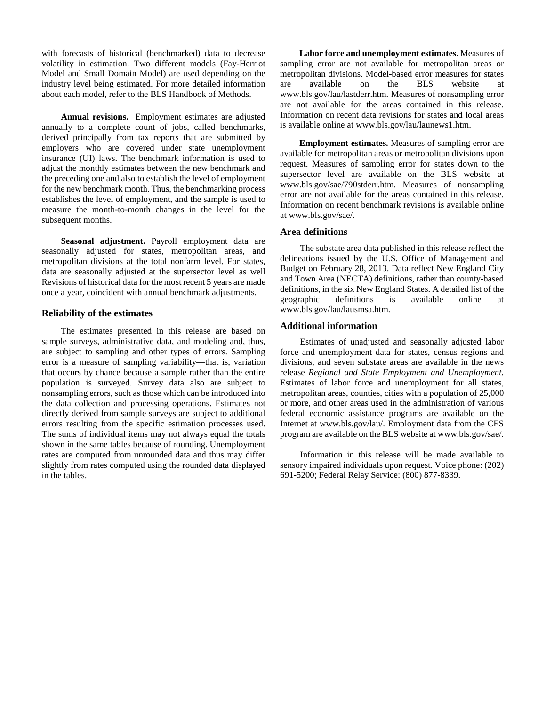with forecasts of historical (benchmarked) data to decrease volatility in estimation. Two different models (Fay-Herriot Model and Small Domain Model) are used depending on the industry level being estimated. For more detailed information about each model, refer to the BLS Handbook of Methods.

**Annual revisions.** Employment estimates are adjusted annually to a complete count of jobs, called benchmarks, derived principally from tax reports that are submitted by employers who are covered under state unemployment insurance (UI) laws. The benchmark information is used to adjust the monthly estimates between the new benchmark and the preceding one and also to establish the level of employment for the new benchmark month. Thus, the benchmarking process establishes the level of employment, and the sample is used to measure the month-to-month changes in the level for the subsequent months.

**Seasonal adjustment.** Payroll employment data are seasonally adjusted for states, metropolitan areas, and metropolitan divisions at the total nonfarm level. For states, data are seasonally adjusted at the supersector level as well Revisions of historical data for the most recent 5 years are made once a year, coincident with annual benchmark adjustments.

### **Reliability of the estimates**

The estimates presented in this release are based on sample surveys, administrative data, and modeling and, thus, are subject to sampling and other types of errors. Sampling error is a measure of sampling variability—that is, variation that occurs by chance because a sample rather than the entire population is surveyed. Survey data also are subject to nonsampling errors, such as those which can be introduced into the data collection and processing operations. Estimates not directly derived from sample surveys are subject to additional errors resulting from the specific estimation processes used. The sums of individual items may not always equal the totals shown in the same tables because of rounding. Unemployment rates are computed from unrounded data and thus may differ slightly from rates computed using the rounded data displayed in the tables.

**Labor force and unemployment estimates.** Measures of sampling error are not available for metropolitan areas or metropolitan divisions. Model-based error measures for states are available on the BLS website at www.bls.gov/lau/lastderr.htm. Measures of nonsampling error are not available for the areas contained in this release. Information on recent data revisions for states and local areas is available online at www.bls.gov/lau/launews1.htm.

**Employment estimates.** Measures of sampling error are available for metropolitan areas or metropolitan divisions upon request. Measures of sampling error for states down to the [supersector level are availabl](http://www.bls.gov/sae/790stderr.htm)e on the BLS website at www.bls.gov/sae/790stderr.htm. Measures of nonsampling error are not available for the areas contained in this release. I[nformation on recen](http://www.bls.gov/sae/)t benchmark revisions is available online at www.bls.gov/sae/.

### **Area definitions**

The substate area data published in this release reflect the delineations issued by the U.S. Office of Management and Budget on February 28, 2013. Data reflect New England City and Town Area (NECTA) definitions, rather than county-based definitions, in the six New England States. A detailed list of the geographic definitions is available online at [www.bls.gov/lau/lausmsa.htm](http://www.bls.gov/lau/lausmsa.htm)*.*

### **Additional information**

Estimates of unadjusted and seasonally adjusted labor force and unemployment data for states, census regions and divisions, and seven substate areas are available in the news release *Regional and State Employment and Unemployment.*  Estimates of labor force and unemployment for all states, metropolitan areas, counties, cities with a population of 25,000 or more, and other areas used in the administration of various federal economic assistance programs are available on the Internet at www.bls.gov/lau/. Employment data from the CES program are available on the BLS website at www.bls.gov/sae/.

Information in this release will be made available to sensory impaired individuals upon request. Voice phone: (202) 691-5200; Federal Relay Service: (800) 877-8339.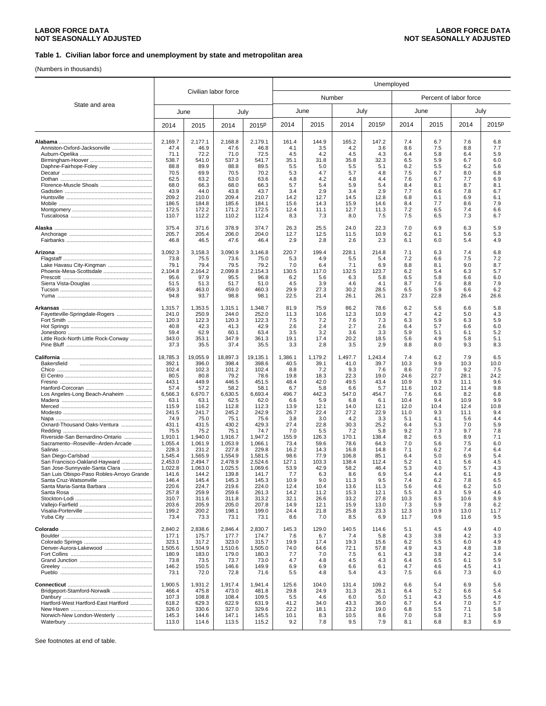(Numbers in thousands)

|                                           | Civilian labor force |                  |                  |                   | Unemployed   |              |              |              |              |             |                        |             |
|-------------------------------------------|----------------------|------------------|------------------|-------------------|--------------|--------------|--------------|--------------|--------------|-------------|------------------------|-------------|
|                                           |                      |                  |                  |                   |              |              | Number       |              |              |             | Percent of labor force |             |
| State and area                            |                      | June             | July             |                   |              | June         | July         |              |              | June        |                        | July        |
|                                           | 2014                 | 2015             | 2014             | 2015 <sup>p</sup> | 2014         | 2015         | 2014         | 2015P        | 2014         | 2015        | 2014                   | 2015P       |
|                                           | 2,169.7              | 2,177.1          | 2,168.8          | 2,179.1           | 161.4        | 144.9        | 165.2        | 147.2        | 7.4          | 6.7         | 7.6                    | 6.8         |
| Anniston-Oxford-Jacksonville              | 47.4                 | 46.9             | 47.6             | 46.8              | 4.1          | 3.5          | 4.2          | 3.6          | 8.6          | 7.5         | 8.8                    | 7.7         |
|                                           | 71.1                 | 72.2             | 71.0             | 72.5              | 4.5          | 4.2          | 4.5          | 4.3          | 6.4          | 5.8         | 6.4                    | 5.9         |
|                                           | 538.7                | 541.0            | 537.3            | 541.7             | 35.1         | 31.8         | 35.8         | 32.3         | 6.5          | 5.9         | 6.7                    | 6.0         |
|                                           | 88.8                 | 89.9             | 88.8             | 89.5              | 5.5          | 5.0          | 5.5          | 5.1          | 6.2          | 5.5         | 6.2                    | 5.6         |
|                                           | 70.5                 | 69.9             | 70.5             | 70.2              | 5.3          | 4.7          | 5.7          | 4.8          | 7.5          | 6.7         | 8.0                    | 6.8         |
|                                           | 62.5                 | 63.2             | 63.0             | 63.6              | 4.8          | 4.2          | 4.8          | 4.4          | 7.6          | 6.7         | 7.7                    | 6.9         |
|                                           | 68.0<br>43.9         | 66.3<br>44.0     | 68.0<br>43.8     | 66.3<br>43.7      | 5.7<br>3.4   | 5.4<br>2.9   | 5.9<br>3.4   | 5.4<br>2.9   | 8.4<br>7.7   | 8.1<br>6.6  | 8.7<br>7.8             | 8.1<br>6.7  |
|                                           | 209.2                | 210.0            | 209.4            | 210.7             | 14.2         | 12.7         | 14.5         | 12.8         | 6.8          | 6.1         | 6.9                    | 6.1         |
|                                           | 186.5                | 184.8            | 185.6            | 184.1             | 15.6         | 14.3         | 15.9         | 14.6         | 8.4          | 7.7         | 8.6                    | 7.9         |
|                                           | 172.5                | 172.2            | 171.2            | 172.5             | 12.4         | 11.1         | 12.7         | 11.3         | 7.2          | 6.5         | 7.4                    | 6.6         |
|                                           | 110.7                | 112.2            | 110.2            | 112.4             | 8.3          | 7.3          | 8.0          | 7.5          | 7.5          | 6.5         | 7.3                    | 6.7         |
|                                           | 375.4                | 371.6            | 378.9            | 374.7             | 26.3         | 25.5         | 24.0         | 22.3         | 7.0          | 6.9         | 6.3                    | 5.9         |
|                                           | 205.7<br>46.8        | 205.4<br>46.5    | 206.0<br>47.6    | 204.0<br>46.4     | 12.7<br>2.9  | 12.5<br>2.8  | 11.5<br>2.6  | 10.9<br>2.3  | 6.2<br>6.1   | 6.1<br>6.0  | 5.6<br>5.4             | 5.3<br>4.9  |
|                                           | 3,092.3              | 3,158.3          | 3,090.9          | 3,146.8           | 220.7        | 199.4        | 228.1        | 214.8        | 7.1          | 6.3         | 7.4                    | 6.8         |
|                                           | 73.8                 | 75.5             | 73.6             | 75.0              | 5.3          | 4.9          | 5.5          | 5.4          | 7.2          | 6.6         | 7.5                    | 7.2         |
| Lake Havasu City-Kingman                  | 79.1                 | 79.4             | 79.5             | 79.2              | 7.0          | 6.4          | 7.1          | 6.9          | 8.8          | 8.1         | 9.0                    | 8.7         |
|                                           | 2,104.8              | 2,164.2          | 2,099.8          | 2,154.3           | 130.5        | 117.0        | 132.5        | 123.7        | 6.2          | 5.4         | 6.3                    | 5.7         |
|                                           | 95.6                 | 97.9             | 95.5             | 96.8              | 6.2          | 5.6          | 6.3          | 5.8          | 6.5          | 5.8         | 6.6                    | 6.0         |
|                                           | 51.5                 | 51.3             | 51.7             | 51.0              | 4.5          | 3.9          | 4.6          | 4.1          | 8.7          | 7.6         | 8.8                    | 7.9         |
|                                           | 459.3<br>94.8        | 463.0<br>93.7    | 459.0<br>98.8    | 460.3<br>98.1     | 29.9<br>22.5 | 27.3<br>21.4 | 30.2<br>26.1 | 28.5<br>26.1 | 6.5<br>23.7  | 5.9<br>22.8 | 6.6<br>26.4            | 6.2<br>26.6 |
|                                           | 1,315.7              | 1,353.5          | 1,315.1          | 1,348.7           | 81.9         | 75.9         | 86.2         | 78.6         | 6.2          | 5.6         | 6.6                    | 5.8         |
| Fayetteville-Springdale-Rogers            | 241.0                | 250.9            | 244.0            | 252.0             | 11.3         | 10.6         | 12.3         | 10.9         | 4.7          | 4.2         | 5.0                    | 4.3         |
|                                           | 120.3                | 122.3            | 120.3            | 122.3             | 7.5          | 7.2          | 7.6          | 7.3          | 6.3          | 5.9         | 6.3                    | 5.9         |
|                                           | 40.8                 | 42.3             | 41.3             | 42.9              | 2.6          | 2.4          | 2.7          | 2.6          | 6.4          | 5.7         | 6.6                    | 6.0         |
| Little Rock-North Little Rock-Conway      | 59.4<br>343.0        | 62.9<br>353.1    | 60.1<br>347.9    | 63.4<br>361.3     | 3.5<br>19.1  | 3.2<br>17.4  | 3.6<br>20.2  | 3.3<br>18.5  | 5.9<br>5.6   | 5.1<br>4.9  | 6.1<br>5.8             | 5.2<br>5.1  |
|                                           | 37.3                 | 35.5             | 37.4             | 35.5              | 3.3          | 2.8          | 3.5          | 2.9          | 8.8          | 8.0         | 9.3                    | 8.3         |
|                                           | 18,785.3             | 19,055.9         | 18,897.3         | 19,135.1          | 1,386.1      | 1,179.2      | 1,497.7      | 1,243.4      | 7.4          | 6.2         | 7.9                    | 6.5         |
| Bakersfield                               | 392.1                | 396.0            | 398.4            | 398.6             | 40.5         | 39.1         | 41.0         | 39.7         | 10.3         | 9.9         | 10.3                   | 10.0        |
|                                           | 102.4                | 102.3            | 101.2            | 102.4             | 8.8          | 7.2          | 9.3          | 7.6          | 8.6          | 7.0         | 9.2                    | 7.5         |
|                                           | 80.5<br>443.1        | 80.8<br>449.9    | 79.2<br>446.5    | 78.6<br>451.5     | 19.8<br>48.4 | 18.3<br>42.0 | 22.3<br>49.5 | 19.0<br>43.4 | 24.6<br>10.9 | 22.7<br>9.3 | 28.1<br>11.1           | 24.2<br>9.6 |
|                                           | 57.4                 | 57.2             | 58.2             | 58.1              | 6.7          | 5.8          | 6.6          | 5.7          | 11.6         | 10.2        | 11.4                   | 9.8         |
| Los Angeles-Long Beach-Anaheim            | 6,566.3              | 6,670.7          | 6,630.5          | 6,693.4           | 496.7        | 442.3        | 547.0        | 454.7        | 7.6          | 6.6         | 8.2                    | 6.8         |
|                                           | 63.1                 | 63.1             | 62.5             | 62.0              | 6.6          | 5.9          | 6.8          | 6.1          | 10.4         | 9.4         | 10.9                   | 9.9         |
|                                           | 115.9                | 116.2            | 112.8            | 112.3             | 13.9         | 12.1         | 14.0         | 12.1         | 12.0         | 10.4        | 12.4                   | 10.8        |
|                                           | 241.5                | 241.7            | 245.2            | 242.9             | 26.7         | 22.4         | 27.2         | 22.9         | 11.0         | 9.3         | 11.1                   | 9.4         |
|                                           | 74.9                 | 75.0             | 75.1             | 75.6              | 3.8          | 3.0          | 4.2          | 3.3          | 5.1          | 4.1         | 5.6                    | 4.4         |
| Oxnard-Thousand Oaks-Ventura              | 431.1<br>75.5        | 431.5<br>75.2    | 430.2<br>75.1    | 429.3<br>74.7     | 27.4<br>7.0  | 22.8<br>5.5  | 30.3<br>7.2  | 25.2<br>5.8  | 6.4<br>9.2   | 5.3<br>7.3  | 7.0<br>9.7             | 5.9<br>7.8  |
| Riverside-San Bernardino-Ontario          | 1,910.1              | 1,940.0          | 1,916.7          | 1,947.2           | 155.9        | 126.3        | 170.1        | 138.4        | 8.2          | 6.5         | 8.9                    | 7.1         |
| Sacramento--Roseville--Arden-Arcade       | 1,055.4              | 1.061.9          | 1,053.9          | 1,066.1           | 73.4         | 59.6         | 78.6         | 64.3         | 7.0          | 5.6         | 7.5                    | 6.0         |
|                                           | 228.3                | 231.2            | 227.8            | 229.8             | 16.2         | 14.3         | 16.8         | 14.8         | 7.1          | 6.2         | 7.4                    | 6.4         |
|                                           | 1,545.4              | 1,565.9          | 1,554.9          | 1,581.5           | 98.6         | 77.9         | 106.8        | 85.1         | 6.4          | 5.0         | 6.9                    | 5.4         |
| San Francisco-Oakland-Hayward             | 2,453.0              | 2,494.7          | 2,478.9          | 2,524.6           | 127.1        | 103.3        | 138.4        | 112.4        | 5.2          | 4.1         | 5.6                    | 4.5         |
| San Jose-Sunnyvale-Santa Clara            | 1,022.8              | 1,063.0          | 1,025.5          | 1,069.6           | 53.9         | 42.9         | 58.2         | 46.4         | 5.3          | 4.0         | 5.7                    | 4.3         |
| San Luis Obispo-Paso Robles-Arroyo Grande | 141.6                | 144.2            | 139.8            | 141.7             | 7.7          | 6.3          | 8.6          | 6.9          | 5.4          | 4.4         | 6.1                    | 4.9         |
| Santa Maria-Santa Barbara                 | 146.4<br>220.6       | 145.4<br>224.7   | 145.3<br>219.6   | 145.3<br>224.0    | 10.9<br>12.4 | 9.0<br>10.4  | 11.3<br>13.6 | 9.5<br>11.3  | 7.4<br>5.6   | 6.2<br>4.6  | 7.8<br>6.2             | 6.5<br>5.0  |
|                                           | 257.8                | 259.9            | 259.6            | 261.3             | 14.2         | 11.2         | 15.3         | 12.1         | 5.5          | 4.3         | 5.9                    | 4.6         |
|                                           | 310.7                | 311.6            | 311.8            | 313.2             | 32.1         | 26.6         | 33.2         | 27.8         | 10.3         | 8.5         | 10.6                   | 8.9         |
|                                           | 203.6                | 205.9            | 205.0            | 207.8             | 14.9         | 12.1         | 15.9         | 13.0         | 7.3          | 5.9         | 7.8                    | 6.2         |
|                                           | 199.2<br>73.4        | 200.2<br>73.3    | 198.1<br>73.1    | 199.0             | 24.4         | 21.8<br>7.0  | 25.8         | 23.3<br>6.9  | 12.3         | 10.9<br>9.6 | 13.0                   | 11.7<br>9.5 |
|                                           |                      |                  |                  | 73.1              | 8.6          |              | 8.5          |              | 11.7         |             | 11.6                   |             |
|                                           | 2,840.2<br>177.1     | 2,838.6<br>175.7 | 2,846.4<br>177.7 | 2,830.7<br>174.7  | 145.3<br>7.6 | 129.0<br>6.7 | 140.5<br>7.4 | 114.6<br>5.8 | 5.1<br>4.3   | 4.5<br>3.8  | 4.9<br>4.2             | 4.0<br>3.3  |
|                                           | 323.1                | 317.2            | 323.0            | 315.7             | 19.9         | 17.4         | 19.3         | 15.6         | 6.2          | 5.5         | 6.0                    | 4.9         |
| Denver-Aurora-Lakewood                    | 1,505.6              | 1.504.9          | 1,510.6          | 1,505.0           | 74.0         | 64.6         | 72.1         | 57.8         | 4.9          | 4.3         | 4.8                    | 3.8         |
|                                           | 180.9                | 183.0            | 179.0            | 180.3             | 7.7          | 7.0          | 7.5          | 6.1          | 4.3          | 3.8         | 4.2                    | 3.4         |
|                                           | 73.8                 | 73.5             | 73.7             | 73.0              | 4.7          | 4.8          | 4.5          | 4.3          | 6.4          | 6.5         | 6.1                    | 5.9         |
|                                           | 146.2                | 150.5            | 146.6            | 149.9             | 6.9          | 6.9          | 6.6          | 6.1          | 4.7          | 4.6         | 4.5                    | 4.1         |
|                                           | 73.1                 | 72.0             | 72.8             | 71.6              | 5.5          | 4.8          | 5.4          | 4.3          | 7.5          | 6.6         | 7.3                    | 6.0         |
|                                           | 1,900.5              | 1,931.2          | 1,917.4          | 1,941.4           | 125.6        | 104.0        | 131.4        | 109.2        | 6.6          | 5.4         | 6.9                    | 5.6         |
| Bridgeport-Stamford-Norwalk               | 466.4<br>107.3       | 475.8<br>108.8   | 473.0<br>108.4   | 481.8<br>109.5    | 29.8         | 24.9<br>4.6  | 31.3<br>6.0  | 26.1<br>5.0  | 6.4<br>5.1   | 5.2<br>4.3  | 6.6<br>5.5             | 5.4<br>4.6  |
| Hartford-West Hartford-East Hartford      | 618.2                | 629.3            | 622.9            | 631.9             | 5.5<br>41.2  | 34.0         | 43.3         | 36.0         | 6.7          | 5.4         | 7.0                    | 5.7         |
|                                           | 326.0                | 330.6            | 327.0            | 329.6             | 22.2         | 18.1         | 23.2         | 19.0         | 6.8          | 5.5         | 7.1                    | 5.8         |
| Norwich-New London-Westerly               | 145.3                | 144.6            | 147.1            | 145.5             | 10.1         | 8.3          | 10.5         | 8.6          | 7.0          | 5.8         | 7.1                    | 5.9         |
|                                           | 113.0                | 114.6            | 113.5            | 115.2             | 9.2          | 7.8          | 9.5          | 7.9          | 8.1          | 6.8         | 8.3                    | 6.9         |
|                                           |                      |                  |                  |                   |              |              |              |              |              |             |                        |             |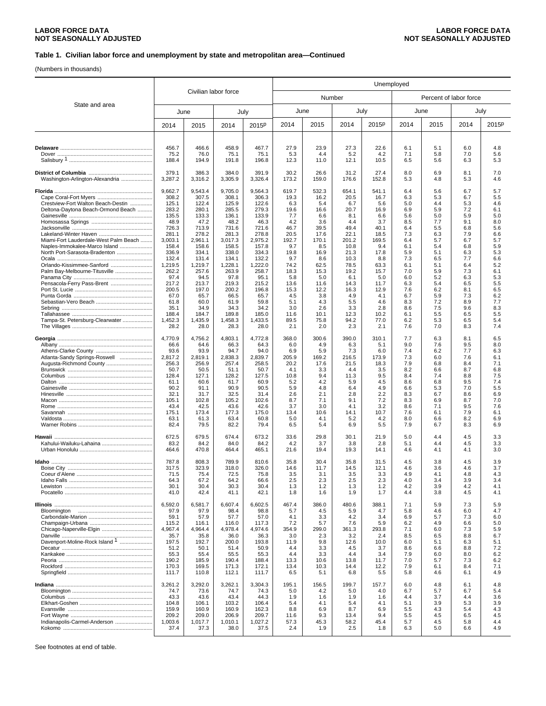(Numbers in thousands)

|                                       |                 |                 |                 | Unemployed        |              |              |              |              |            |            |                        |            |
|---------------------------------------|-----------------|-----------------|-----------------|-------------------|--------------|--------------|--------------|--------------|------------|------------|------------------------|------------|
| Civilian labor force                  |                 |                 |                 |                   |              | Number       |              |              |            |            | Percent of labor force |            |
| State and area                        | June            |                 |                 | July              |              | June         | July         |              |            | June       |                        | July       |
|                                       | 2014            | 2015            | 2014            | 2015 <sup>p</sup> | 2014         | 2015         | 2014         | 2015P        | 2014       | 2015       | 2014                   | 2015P      |
|                                       |                 |                 |                 |                   |              |              |              |              |            |            |                        |            |
|                                       | 456.7           | 466.6           | 458.9           | 467.7             | 27.9         | 23.9         | 27.3         | 22.6         | 6.1        | 5.1        | 6.0                    | 4.8        |
|                                       | 75.2<br>188.4   | 76.0<br>194.9   | 75.1<br>191.8   | 75.1<br>196.8     | 5.3<br>12.3  | 4.4<br>11.0  | 5.2<br>12.1  | 4.2<br>10.5  | 7.1<br>6.5 | 5.8<br>5.6 | 7.0<br>6.3             | 5.6<br>5.3 |
|                                       | 379.1           | 386.3           | 384.0           | 391.9             | 30.2         | 26.6         | 31.2         | 27.4         | 8.0        | 6.9        | 8.1                    | 7.0        |
| Washington-Arlington-Alexandria       | 3,287.2         | 3,316.2         | 3,305.9         | 3,326.4           | 173.2        | 159.0        | 176.6        | 152.8        | 5.3        | 4.8        | 5.3                    | 4.6        |
|                                       | 9,662.7         | 9,543.4         | 9,705.0         | 9,564.3           | 619.7        | 532.3        | 654.1        | 541.1        | 6.4        | 5.6        | 6.7                    | 5.7        |
| Crestview-Fort Walton Beach-Destin    | 308.2           | 307.5           | 308.1           | 306.3             | 19.3         | 16.2         | 20.5         | 16.7         | 6.3        | 5.3        | 6.7                    | 5.5        |
| Deltona-Daytona Beach-Ormond Beach    | 125.1<br>283.2  | 122.4<br>280.1  | 125.9<br>285.5  | 122.6<br>279.3    | 6.3<br>19.6  | 5.4<br>16.6  | 6.7<br>20.7  | 5.6<br>16.9  | 5.0<br>6.9 | 4.4<br>5.9 | 5.3<br>7.2             | 4.6<br>6.1 |
|                                       | 135.5           | 133.3           | 136.1           | 133.9             | 7.7          | 6.6          | 8.1          | 6.6          | 5.6        | 5.0        | 5.9                    | 5.0        |
|                                       | 48.9            | 47.2            | 48.2            | 46.3              | 4.2          | 3.6          | 4.4          | 3.7          | 8.5        | 7.7        | 9.1                    | 8.0        |
|                                       | 726.3<br>281.1  | 713.9<br>278.2  | 731.6<br>281.3  | 721.6<br>278.8    | 46.7<br>20.5 | 39.5<br>17.6 | 49.4<br>22.1 | 40.1<br>18.5 | 6.4<br>7.3 | 5.5<br>6.3 | 6.8<br>7.9             | 5.6<br>6.6 |
| Miami-Fort Lauderdale-West Palm Beach | 3,003.1         | 2,961.1         | 3,017.3         | 2,975.2           | 192.7        | 170.1        | 201.2        | 169.5        | 6.4        | 5.7        | 6.7                    | 5.7        |
| Naples-Immokalee-Marco Island         | 158.4           | 158.6           | 158.5           | 157.8             | 9.7          | 8.5          | 10.8         | 9.4          | 6.1        | 5.4        | 6.8                    | 5.9        |
| North Port-Sarasota-Bradenton         | 336.9<br>132.4  | 334.1<br>131.4  | 338.0<br>134.1  | 334.3<br>132.2    | 19.8<br>9.7  | 16.9<br>8.6  | 21.3<br>10.3 | 17.8<br>8.8  | 5.9<br>7.3 | 5.1<br>6.5 | 6.3<br>7.7             | 5.3<br>6.6 |
| Orlando-Kissimmee-Sanford             | 1,219.5         | 1,219.7         | 1,228.1         | 1,222.0           | 74.2         | 62.5         | 78.5         | 63.3         | 6.1        | 5.1        | 6.4                    | 5.2        |
| Palm Bay-Melbourne-Titusville         | 262.2           | 257.6           | 263.9           | 258.7             | 18.3         | 15.3         | 19.2         | 15.7         | 7.0        | 5.9        | 7.3                    | 6.1        |
|                                       | 97.4            | 94.5            | 97.8            | 95.1              | 5.8          | 5.0          | 6.1          | 5.0          | 6.0        | 5.2        | 6.3                    | 5.3        |
| Pensacola-Ferry Pass-Brent            | 217.2<br>200.5  | 213.7<br>197.0  | 219.3<br>200.2  | 215.2<br>196.8    | 13.6<br>15.3 | 11.6<br>12.2 | 14.3<br>16.3 | 11.7<br>12.9 | 6.3<br>7.6 | 5.4<br>6.2 | 6.5<br>8.1             | 5.5<br>6.5 |
|                                       | 67.0            | 65.7            | 66.5            | 65.7              | 4.5          | 3.8          | 4.9          | 4.1          | 6.7        | 5.9        | 7.3                    | 6.2        |
|                                       | 61.8            | 60.0            | 61.9            | 59.8              | 5.1          | 4.3          | 5.5          | 4.6          | 8.3        | 7.2        | 8.9                    | 7.7        |
|                                       | 35.1<br>188.4   | 34.9<br>184.7   | 34.3<br>189.8   | 34.2<br>185.0     | 3.0<br>11.6  | 2.6<br>10.1  | 3.3<br>12.3  | 2.8<br>10.2  | 8.6<br>6.1 | 7.5<br>5.5 | 9.6<br>6.5             | 8.3<br>5.5 |
| Tampa-St. Petersburg-Clearwater       | 1,452.3         | 1,435.9         | 1,458.3         | 1,433.5           | 89.5         | 75.8         | 94.2         | 77.0         | 6.2        | 5.3        | 6.5                    | 5.4        |
|                                       | 28.2            | 28.0            | 28.3            | 28.0              | 2.1          | 2.0          | 2.3          | 2.1          | 7.6        | 7.0        | 8.3                    | 7.4        |
|                                       | 4,770.9         | 4,756.2         | 4,803.1         | 4,772.8           | 368.0        | 300.6        | 390.0        | 310.1        | 7.7        | 6.3        | 8.1                    | 6.5        |
|                                       | 66.6<br>93.6    | 64.6<br>93.9    | 66.3<br>94.7    | 64.3<br>94.0      | 6.0<br>6.9   | 4.9<br>5.9   | 6.3<br>7.3   | 5.1<br>6.0   | 9.0<br>7.4 | 7.6<br>6.2 | 9.5<br>7.7             | 8.0<br>6.3 |
| Atlanta-Sandy Springs-Roswell         | 2,817.2         | 2,819.1         | 2,838.3         | 2,839.7           | 205.9        | 169.2        | 216.5        | 173.9        | 7.3        | 6.0        | 7.6                    | 6.1        |
| Augusta-Richmond County               | 256.3           | 256.9           | 257.4           | 258.5             | 20.2         | 17.6         | 21.5         | 18.3         | 7.9        | 6.8        | 8.4                    | 7.1        |
|                                       | 50.7            | 50.5            | 51.1            | 50.7              | 4.1          | 3.3          | 4.4          | 3.5          | 8.2        | 6.6        | 8.7                    | 6.8        |
|                                       | 128.4<br>61.1   | 127.1<br>60.6   | 128.2<br>61.7   | 127.5<br>60.9     | 10.8<br>5.2  | 9.4<br>4.2   | 11.3<br>5.9  | 9.5<br>4.5   | 8.4<br>8.6 | 7.4<br>6.8 | 8.8<br>9.5             | 7.5<br>7.4 |
|                                       | 90.2            | 91.1            | 90.9            | 90.5              | 5.9          | 4.8          | 6.4          | 4.9          | 6.6        | 5.3        | 7.0                    | 5.5        |
|                                       | 32.1            | 31.7            | 32.5            | 31.4              | 2.6          | 2.1          | 2.8          | 2.2          | 8.3        | 6.7        | 8.6                    | 6.9        |
|                                       | 105.1<br>43.4   | 102.8<br>42.5   | 105.2<br>43.6   | 102.6<br>42.6     | 8.7<br>3.7   | 7.1<br>3.0   | 9.1<br>4.1   | 7.2<br>3.2   | 8.3<br>8.6 | 6.9<br>7.1 | 8.7<br>9.5             | 7.0<br>7.6 |
|                                       | 175.1           | 173.4           | 177.3           | 175.0             | 13.4         | 10.6         | 14.1         | 10.7         | 7.6        | 6.1        | 7.9                    | 6.1        |
|                                       | 63.1            | 61.3            | 63.4            | 60.8              | 5.0          | 4.1          | 5.2          | 4.2          | 8.0        | 6.6        | 8.2                    | 6.9        |
|                                       | 82.4            | 79.5            | 82.2            | 79.4              | 6.5          | 5.4          | 6.9          | 5.5          | 7.9        | 6.7        | 8.3                    | 6.9        |
|                                       | 672.5           | 679.5           | 674.4           | 673.2             | 33.6         | 29.8         | 30.1         | 21.9         | 5.0        | 4.4        | 4.5                    | 3.3        |
|                                       | 83.2<br>464.6   | 84.2<br>470.8   | 84.0<br>464.4   | 84.2<br>465.1     | 4.2<br>21.6  | 3.7<br>19.4  | 3.8<br>19.3  | 2.8<br>14.1  | 5.1<br>4.6 | 4.4<br>4.1 | 4.5<br>4.1             | 3.3<br>3.0 |
|                                       | 787.8           | 808.3           | 789.9           | 810.6             | 35.8         | 30.4         | 35.8         | 31.5         | 4.5        | 3.8        | 4.5                    | 3.9        |
|                                       | 317.5           | 323.9           | 318.0           | 326.0             | 14.6         | 11.7         | 14.5         | 12.1         | 4.6        | 3.6        | 4.6                    | 3.7        |
|                                       | 71.5            | 75.4            | 72.5            | 75.8              | 3.5          | 3.1          | 3.5          | 3.3          | 4.9        | 4.1        | 4.8                    | 4.3        |
|                                       | 64.3<br>30.1    | 67.2<br>30.4    | 64.2<br>30.3    | 66.6<br>30.4      | 2.5<br>1.3   | 2.3<br>1.2   | 2.5<br>1.3   | 2.3<br>1.2   | 4.0<br>4.2 | 3.4<br>3.9 | 3.9<br>4.2             | 3.4<br>4.1 |
|                                       | 41.0            | 42.4            | 41.1            | 42.1              | 1.8          | 1.6          | 1.9          | 1.7          | 4.4        | 3.8        | 4.5                    | 4.1        |
|                                       | 6,592.0         | 6,581.7         | 6,607.4         | 6,602.5           | 467.4        | 386.0        | 480.6        | 388.1        | 7.1        | 5.9        | 7.3                    | 5.9        |
|                                       | 97.9            | 97.9            | 98.4            | 98.8              | 5.7          | 4.5          | 5.9          | 4.7          | 5.8        | 4.6        | 6.0                    | 4.7        |
|                                       | 59.1<br>115.2   | 57.9<br>116.1   | 57.7<br>116.0   | 57.0<br>117.3     | 4.1<br>7.2   | 3.3<br>5.7   | 4.2<br>7.6   | 3.4<br>5.9   | 6.9<br>6.2 | 5.7<br>4.9 | 7.3<br>6.6             | 6.0<br>5.0 |
|                                       | 4,967.4         | 4,964.4         | 4,978.4         | 4,974.6           | 354.9        | 299.0        | 361.3        | 293.8        | 7.1        | 6.0        | 7.3                    | 5.9        |
|                                       | 35.7            | 35.8            | 36.0            | 36.3              | 3.0          | 2.3          | 3.2          | 2.4          | 8.5        | 6.5        | 8.8                    | 6.7        |
| Davenport-Moline-Rock Island 1        | 197.5<br>51.2   | 192.7<br>50.1   | 200.0<br>51.4   | 193.8<br>50.9     | 11.9<br>4.4  | 9.8<br>3.3   | 12.6<br>4.5  | 10.0<br>3.7  | 6.0<br>8.6 | 5.1<br>6.6 | 6.3<br>8.8             | 5.1<br>7.2 |
|                                       | 55.3            | 55.4            | 55.5            | 55.3              | 4.4          | 3.3          | 4.4          | 3.4          | 7.9        | 6.0        | 8.0                    | 6.2        |
|                                       | 190.2           | 185.9           | 190.4           | 188.4             | 13.3         | 10.6         | 13.8         | 11.7         | 7.0        | 5.7        | 7.3                    | 6.2        |
|                                       | 170.3<br>111.7  | 169.5<br>110.8  | 171.3<br>112.1  | 172.1<br>111.7    | 13.4<br>6.5  | 10.3<br>5.1  | 14.4<br>6.8  | 12.2<br>5.5  | 7.9<br>5.8 | 6.1<br>4.6 | 8.4<br>6.1             | 7.1<br>4.9 |
|                                       |                 |                 |                 |                   |              |              |              |              |            |            |                        |            |
|                                       | 3,261.2<br>74.7 | 3,292.0<br>73.6 | 3,262.1<br>74.7 | 3,304.3<br>74.3   | 195.1<br>5.0 | 156.5<br>4.2 | 199.7<br>5.0 | 157.7<br>4.0 | 6.0<br>6.7 | 4.8<br>5.7 | 6.1<br>6.7             | 4.8<br>5.4 |
|                                       | 43.3            | 43.6            | 43.4            | 44.3              | 1.9          | 1.6          | 1.9          | 1.6          | 4.4        | 3.7        | 4.4                    | 3.6        |
|                                       | 104.8           | 106.1           | 103.2           | 106.4             | 5.4          | 4.1          | 5.4          | 4.1          | 5.1        | 3.9        | 5.3                    | 3.9        |
|                                       | 159.9<br>209.2  | 160.9<br>209.0  | 160.9<br>206.9  | 162.3<br>209.7    | 8.8<br>11.6  | 6.9<br>9.3   | 8.7<br>13.4  | 6.9<br>9.4   | 5.5<br>5.5 | 4.3<br>4.5 | 5.4<br>6.5             | 4.3<br>4.5 |
| Indianapolis-Carmel-Anderson          | 1,003.6         | 1,017.7         | 1,010.1         | 1,027.2           | 57.3         | 45.3         | 58.2         | 45.4         | 5.7        | 4.5        | 5.8                    | 4.4        |
|                                       | 37.4            | 37.3            | 38.0            | 37.5              | 2.4          | 1.9          | 2.5          | 1.8          | 6.3        | 5.0        | 6.6                    | 4.9        |
|                                       |                 |                 |                 |                   |              |              |              |              |            |            |                        |            |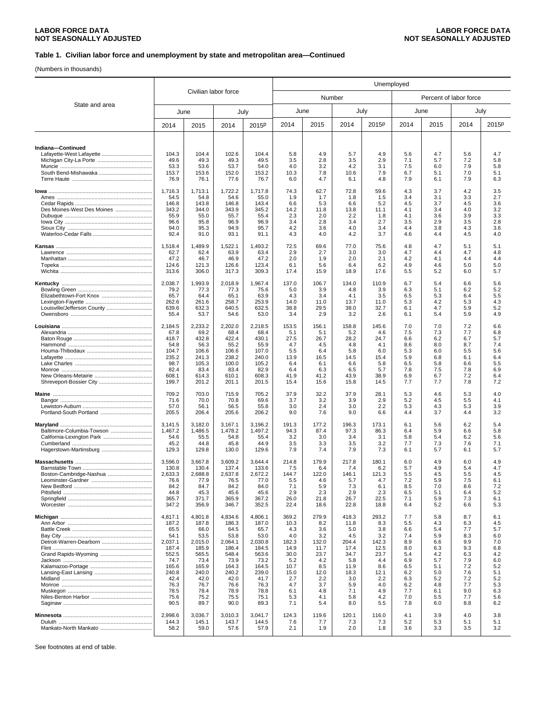(Numbers in thousands)

|                             | Civilian labor force |                    |                    |                    | Unemployed    |               |               |               |            |                        |            |            |
|-----------------------------|----------------------|--------------------|--------------------|--------------------|---------------|---------------|---------------|---------------|------------|------------------------|------------|------------|
|                             |                      |                    |                    |                    |               | Number        |               |               |            | Percent of labor force |            |            |
| State and area              |                      | June               | July               |                    |               | June          | July          |               |            | June                   |            | July       |
|                             | 2014                 | 2015               | 2014               | 2015 <sup>p</sup>  | 2014          | 2015          | 2014          | 2015P         | 2014       | 2015                   | 2014       | 2015P      |
|                             |                      |                    |                    |                    |               |               |               |               |            |                        |            |            |
| Indiana-Continued           | 104.3                | 104.4              | 102.6              | 104.4              | 5.8           | 4.9           | 5.7           | 4.9           | 5.6        | 4.7                    | 5.6        | 4.7        |
|                             | 49.6                 | 49.3               | 49.3               | 49.5               | 3.5           | 2.8           | 3.5           | 2.9           | 7.1        | 5.7                    | 7.2        | 5.8        |
|                             | 53.3                 | 53.6               | 53.7               | 54.0               | 4.0           | 3.2           | 4.2           | 3.1           | 7.5        | 6.0                    | 7.9        | 5.8        |
|                             | 153.7                | 153.6              | 152.0              | 153.2              | 10.3          | 7.8           | 10.6          | 7.9           | 6.7        | 5.1                    | 7.0        | 5.1        |
|                             | 76.9                 | 76.1               | 77.6               | 76.7               | 6.0           | 4.7           | 6.1           | 4.8           | 7.9        | 6.1                    | 7.9        | 6.3        |
|                             | 1,716.3              | 1,713.1            | 1,722.2            | 1,717.8            | 74.3          | 62.7          | 72.8          | 59.6          | 4.3        | 3.7                    | 4.2        | 3.5        |
|                             | 54.5                 | 54.8               | 54.6               | 55.0               | 1.9           | 1.7           | 1.8           | 1.5           | 3.4        | 3.1                    | 3.3        | 2.7        |
| Des Moines-West Des Moines  | 146.8<br>343.2       | 143.8<br>344.0     | 146.8<br>343.9     | 143.4<br>345.2     | 6.6<br>14.2   | 5.3<br>11.8   | 6.6<br>13.8   | 5.2<br>11.1   | 4.5<br>4.1 | 3.7<br>3.4             | 4.5<br>4.0 | 3.6<br>3.2 |
|                             | 55.9                 | 55.0               | 55.7               | 55.4               | 2.3           | 2.0           | 2.2           | 1.8           | 4.1        | 3.6                    | 3.9        | 3.3        |
|                             | 96.6                 | 95.8               | 96.9               | 96.9               | 3.4           | 2.8           | 3.4           | 2.7           | 3.5        | 2.9                    | 3.5        | 2.8        |
|                             | 94.0<br>92.4         | 95.3<br>91.0       | 94.9<br>93.1       | 95.7<br>91.1       | 4.2<br>4.3    | 3.6<br>4.0    | 4.0<br>4.2    | 3.4<br>3.7    | 4.4<br>4.6 | 3.8<br>4.4             | 4.3<br>4.5 | 3.6<br>4.0 |
|                             |                      |                    |                    |                    |               |               |               |               |            |                        |            |            |
|                             | 1,518.4              | 1,489.9            | 1,522.1            | 1,493.2            | 72.5          | 69.6          | 77.0          | 75.6          | 4.8        | 4.7                    | 5.1        | 5.1        |
|                             | 62.7<br>47.2         | 62.4<br>46.7       | 63.9<br>46.9       | 63.4<br>47.2       | 2.9<br>2.0    | 2.7<br>1.9    | 3.0<br>2.0    | 3.0<br>2.1    | 4.7<br>4.2 | 4.4<br>4.1             | 4.7<br>4.4 | 4.8<br>4.4 |
|                             | 124.6                | 121.3              | 126.6              | 123.4              | 6.1           | 5.6           | 6.4           | 6.2           | 4.9        | 4.6                    | 5.0        | 5.0        |
|                             | 313.6                | 306.0              | 317.3              | 309.3              | 17.4          | 15.9          | 18.9          | 17.6          | 5.5        | 5.2                    | 6.0        | 5.7        |
|                             | 2,038.7              | 1,993.9            | 2.018.9            | 1,967.4            | 137.0         | 106.7         | 134.0         | 110.9         | 6.7        | 5.4                    | 6.6        | 5.6        |
|                             | 79.2                 | 77.3               | 77.3               | 75.6               | 5.0           | 3.9           | 4.8           | 3.9           | 6.3        | 5.1                    | 6.2        | 5.2        |
|                             | 65.7                 | 64.4               | 65.1               | 63.9               | 4.3           | 3.4           | 4.1           | 3.5           | 6.5        | 5.3                    | 6.4        | 5.5        |
| Louisville/Jefferson County | 262.6<br>639.6       | 261.6              | 258.7<br>640.5     | 253.9<br>632.5     | 14.0<br>38.8  | 11.0<br>29.5  | 13.7<br>38.0  | 11.0<br>32.7  | 5.3<br>6.1 | 4.2<br>4.7             | 5.3<br>5.9 | 4.3<br>5.2 |
|                             | 55.4                 | 632.3<br>53.7      | 54.6               | 53.0               | 3.4           | 2.9           | 3.2           | 2.6           | 6.1        | 5.4                    | 5.9        | 4.9        |
|                             |                      |                    |                    |                    |               |               |               |               |            |                        |            |            |
|                             | 2,184.5<br>67.8      | 2,233.2<br>69.2    | 2,202.0<br>68.4    | 2,218.5<br>68.4    | 153.5<br>5.1  | 156.1<br>5.1  | 158.8<br>5.2  | 145.6<br>4.6  | 7.0<br>7.5 | 7.0<br>7.3             | 7.2<br>7.7 | 6.6<br>6.8 |
|                             | 418.7                | 432.8              | 422.4              | 430.1              | 27.5          | 26.7          | 28.2          | 24.7          | 6.6        | 6.2                    | 6.7        | 5.7        |
|                             | 54.8                 | 56.3               | 55.2               | 55.9               | 4.7           | 4.5           | 4.8           | 4.1           | 8.6        | 8.0                    | 8.7        | 7.4        |
|                             | 104.7<br>235.2       | 106.6<br>241.3     | 106.6<br>238.2     | 107.0<br>240.0     | 5.5<br>13.9   | 6.4<br>16.5   | 5.8<br>14.5   | 6.0<br>15.4   | 5.3<br>5.9 | 6.0<br>6.8             | 5.5<br>6.1 | 5.6<br>6.4 |
|                             | 98.7                 | 105.3              | 100.0              | 105.2              | 6.4           | 6.1           | 6.6           | 5.8           | 6.5        | 5.8                    | 6.6        | 5.5        |
|                             | 82.4                 | 83.4               | 83.4               | 82.9               | 6.4           | 6.3           | 6.5           | 5.7           | 7.8        | 7.5                    | 7.8        | 6.9        |
|                             | 608.1                | 614.3              | 610.1              | 608.3              | 41.9          | 41.2          | 43.9          | 38.9          | 6.9        | 6.7                    | 7.2        | 6.4        |
|                             | 199.7                | 201.2              | 201.1              | 201.5              | 15.4          | 15.6          | 15.8          | 14.5          | 7.7        | 7.7                    | 7.8        | 7.2        |
|                             | 709.2                | 703.0              | 715.9              | 705.2              | 37.9          | 32.2          | 37.9          | 28.1          | 5.3        | 4.6                    | 5.3        | 4.0        |
|                             | 71.6<br>57.0         | 70.0<br>56.1       | 70.8<br>56.5       | 69.6<br>55.8       | 3.7<br>3.0    | 3.2<br>2.4    | 3.9<br>3.0    | 2.9<br>2.2    | 5.2<br>5.3 | 4.5<br>4.3             | 5.5<br>5.3 | 4.1<br>3.9 |
|                             | 205.5                | 206.4              | 205.6              | 206.2              | 9.0           | 7.6           | 9.0           | 6.6           | 4.4        | 3.7                    | 4.4        | 3.2        |
|                             |                      |                    |                    |                    |               |               |               |               |            |                        |            |            |
| Baltimore-Columbia-Towson   | 3,141.5<br>1,467.2   | 3,182.0<br>1,486.5 | 3,167.1<br>1,478.2 | 3,196.2<br>1,497.2 | 191.3<br>94.3 | 177.2<br>87.4 | 196.3<br>97.3 | 173.1<br>86.3 | 6.1<br>6.4 | 5.6<br>5.9             | 6.2<br>6.6 | 5.4<br>5.8 |
|                             | 54.6                 | 55.5               | 54.8               | 55.4               | 3.2           | 3.0           | 3.4           | 3.1           | 5.8        | 5.4                    | 6.2        | 5.6        |
|                             | 45.2                 | 44.8               | 45.8               | 44.9               | 3.5           | 3.3           | 3.5           | 3.2           | 7.7        | 7.3                    | 7.6        | 7.1        |
|                             | 129.3                | 129.8              | 130.0              | 129.6              | 7.9           | 7.4           | 7.9           | 7.3           | 6.1        | 5.7                    | 6.1        | 5.7        |
|                             | 3,596.0              | 3,667.8            | 3,609.2            | 3,644.4            | 214.8         | 179.9         | 217.8         | 180.1         | 6.0        | 4.9                    | 6.0        | 4.9        |
|                             | 130.8                | 130.4              | 137.4              | 133.6              | 7.5           | 6.4           | 7.4           | 6.2           | 5.7        | 4.9                    | 5.4        | 4.7        |
| Boston-Cambridge-Nashua     | 2,633.3              | 2,688.8            | 2,637.8            | 2,672.2            | 144.7         | 122.0         | 146.1         | 121.3         | 5.5        | 4.5                    | 5.5        | 4.5        |
|                             | 76.6<br>84.2         | 77.9<br>84.7       | 76.5<br>84.2       | 77.0<br>84.0       | 5.5<br>7.1    | 4.6<br>5.9    | 5.7<br>7.3    | 4.7<br>6.1    | 7.2<br>8.5 | 5.9<br>7.0             | 7.5<br>8.6 | 6.1<br>7.2 |
|                             | 44.8                 | 45.3               | 45.6               | 45.6               | 2.9           | 2.3           | 2.9           | 2.3           | 6.5        | 5.1                    | 6.4        | 5.2        |
|                             | 365.7                | 371.7              | 365.9              | 367.2              | 26.0          | 21.8          | 26.7          | 22.5          | 7.1        | 5.9                    | 7.3        | 6.1        |
|                             | 347.2                | 356.9              | 346.7              | 352.5              | 22.4          | 18.6          | 22.8          | 18.8          | 6.4        | 5.2                    | 6.6        | 5.3        |
|                             | 4,817.1              | 4,801.8            | 4.834.6            | 4,806.1            | 369.2         | 279.9         | 418.3         | 293.2         | 7.7        | 5.8                    | 8.7        | 6.1        |
|                             | 187.2                | 187.8              | 186.3              | 187.0              | 10.3          | 8.2           | 11.8          | 8.3           | 5.5        | 4.3                    | 6.3        | 4.5        |
|                             | 65.5<br>54.1         | 66.0<br>53.5       | 64.5<br>53.8       | 65.7<br>53.0       | 4.3<br>4.0    | 3.6<br>3.2    | 5.0<br>4.5    | 3.8<br>3.2    | 6.6<br>7.4 | 5.4<br>5.9             | 7.7<br>8.3 | 5.7<br>6.0 |
|                             | 2.037.1              | 2,015.0            | 2,064.1            | 2,030.8            | 182.3         | 132.0         | 204.4         | 142.3         | 8.9        | 6.6                    | 9.9        | 7.0        |
|                             | 187.4                | 185.9              | 186.4              | 184.5              | 14.9          | 11.7          | 17.4          | 12.5          | 8.0        | 6.3                    | 9.3        | 6.8        |
|                             | 552.5<br>74.7        | 565.5<br>73.4      | 548.4<br>73.9      | 563.6<br>73.2      | 30.0<br>5.2   | 23.7<br>4.2   | 34.7<br>5.8   | 23.7<br>4.4   | 5.4<br>6.9 | 4.2<br>5.7             | 6.3<br>7.9 | 4.2<br>6.0 |
|                             | 165.6                | 165.9              | 164.3              | 164.5              | 10.7          | 8.5           | 11.9          | 8.6           | 6.5        | 5.1                    | 7.2        | 5.2        |
|                             | 240.8                | 240.0              | 240.2              | 239.0              | 15.0          | 12.0          | 18.3          | 12.1          | 6.2        | 5.0                    | 7.6        | 5.1        |
|                             | 42.4                 | 42.0               | 42.0               | 41.7               | 2.7           | 2.2           | 3.0           | 2.2           | 6.3        | 5.2                    | 7.2        | 5.2        |
|                             | 76.3<br>78.5         | 76.7<br>78.4       | 76.6<br>78.9       | 76.3<br>78.8       | 4.7<br>6.1    | 3.7<br>4.8    | 5.9<br>7.1    | 4.0<br>4.9    | 6.2<br>7.7 | 4.8<br>6.1             | 7.7<br>9.0 | 5.3<br>6.3 |
|                             | 75.6                 | 75.2               | 75.5               | 75.1               | 5.3           | 4.1           | 5.8           | 4.2           | 7.0        | 5.5                    | 7.7        | 5.6        |
|                             | 90.5                 | 89.7               | 90.0               | 89.3               | 7.1           | 5.4           | 8.0           | 5.5           | 7.8        | 6.0                    | 8.8        | 6.2        |
|                             | 2,998.6              | 3,036.7            | 3,010.3            | 3,041.7            | 124.3         | 119.6         | 120.1         | 116.0         | 4.1        | 3.9                    | 4.0        | 3.8        |
|                             | 144.3                | 145.1              | 143.7              | 144.5              | 7.6           | 7.7           | 7.3           | 7.3           | 5.2        | 5.3                    | 5.1        | 5.1        |
| Mankato-North Mankato       | 58.2                 | 59.0               | 57.6               | 57.9               | 2.1           | 1.9           | 2.0           | 1.8           | 3.6        | 3.3                    | 3.5        | 3.2        |
|                             |                      |                    |                    |                    |               |               |               |               |            |                        |            |            |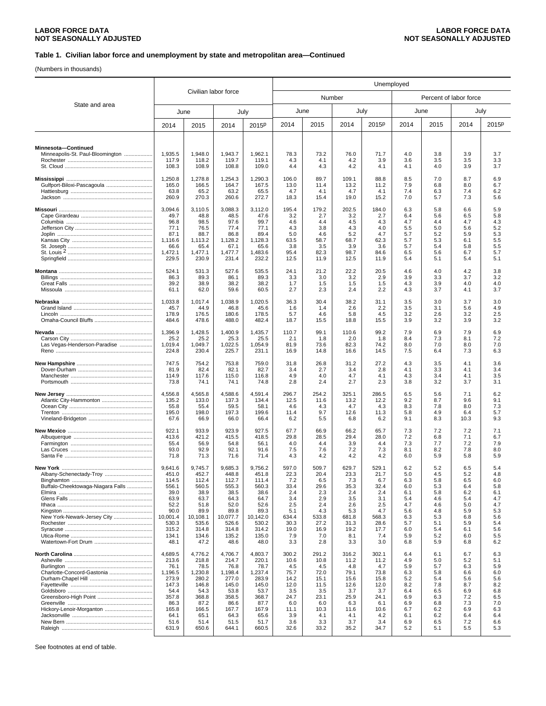(Numbers in thousands)

|                                                         |                           |                           |                           |                           | Unemployed         |                    |                    |                    |                   |                        |                   |                   |
|---------------------------------------------------------|---------------------------|---------------------------|---------------------------|---------------------------|--------------------|--------------------|--------------------|--------------------|-------------------|------------------------|-------------------|-------------------|
| State and area                                          | Civilian labor force      |                           |                           |                           |                    | Number             |                    |                    |                   | Percent of labor force |                   |                   |
|                                                         |                           | June                      |                           | July                      | June               |                    | July               |                    |                   | June                   |                   | July              |
|                                                         | 2014                      | 2015                      | 2014                      | 2015 <sup>p</sup>         | 2014               | 2015               | 2014               | 2015P              | 2014              | 2015                   | 2014              | 2015P             |
| Minnesota-Continued<br>Minneapolis-St. Paul-Bloomington | 1,935.5<br>117.9<br>108.3 | 1,948.0<br>118.2<br>108.9 | 1,943.7<br>119.7<br>108.8 | 1,962.1<br>119.1<br>109.0 | 78.3<br>4.3<br>4.4 | 73.2<br>4.1<br>4.3 | 76.0<br>4.2<br>4.2 | 71.7<br>3.9<br>4.1 | 4.0<br>3.6<br>4.1 | 3.8<br>3.5<br>4.0      | 3.9<br>3.5<br>3.9 | 3.7<br>3.3<br>3.7 |
|                                                         | 1,250.8                   | 1,278.8                   | 1,254.3                   | 1,290.3                   | 106.0              | 89.7               | 109.1              | 88.8               | 8.5               | 7.0                    | 8.7               | 6.9               |
|                                                         | 165.0                     | 166.5                     | 164.7                     | 167.5                     | 13.0               | 11.4               | 13.2               | 11.2               | 7.9               | 6.8                    | 8.0               | 6.7               |
|                                                         | 63.8                      | 65.2                      | 63.2                      | 65.5                      | 4.7                | 4.1                | 4.7                | 4.1                | 7.4               | 6.3                    | 7.4               | 6.2               |
|                                                         | 260.9                     | 270.3                     | 260.6                     | 272.7                     | 18.3               | 15.4               | 19.0               | 15.2               | 7.0               | 5.7                    | 7.3               | 5.6               |
|                                                         | 3,094.6                   | 3,110.5                   | 3,088.3                   | 3,112.0                   | 195.4              | 179.2              | 202.5              | 184.0              | 6.3               | 5.8                    | 6.6               | 5.9               |
|                                                         | 49.7                      | 48.8                      | 48.5                      | 47.6                      | 3.2                | 2.7                | 3.2                | 2.7                | 6.4               | 5.6                    | 6.5               | 5.8               |
|                                                         | 96.8                      | 98.5                      | 97.6                      | 99.7                      | 4.6                | 4.4                | 4.5                | 4.3                | 4.7               | 4.4                    | 4.7               | 4.3               |
|                                                         | 77.1                      | 76.5                      | 77.4                      | 77.1                      | 4.3                | 3.8                | 4.3                | 4.0                | 5.5               | 5.0                    | 5.6               | 5.2               |
|                                                         | 87.1                      | 88.7                      | 86.8                      | 89.4                      | 5.0                | 4.6                | 5.2                | 4.7                | 5.7               | 5.2                    | 5.9               | 5.3               |
|                                                         | 1,116.6                   | 1,113.2                   | 1,128.2                   | 1,128.3                   | 63.5               | 58.7               | 68.7               | 62.3               | 5.7               | 5.3                    | 6.1               | 5.5               |
|                                                         | 66.6                      | 65.4                      | 67.1                      | 65.6                      | 3.8                | 3.5                | 3.9                | 3.6                | 5.7               | 5.4                    | 5.8               | 5.5               |
|                                                         | 1,472.1                   | 1.477.1                   | 1,477.7                   | 1,483.6                   | 95.4               | 82.3               | 98.7               | 84.6               | 6.5               | 5.6                    | 6.7               | 5.7               |
|                                                         | 229.5                     | 230.9                     | 231.4                     | 232.2                     | 12.5               | 11.9               | 12.5               | 11.9               | 5.4               | 5.1                    | 5.4               | 5.1               |
|                                                         | 524.1                     | 531.3                     | 527.6                     | 535.5                     | 24.1               | 21.2               | 22.2               | 20.5               | 4.6               | 4.0                    | 4.2               | 3.8               |
|                                                         | 86.3                      | 89.3                      | 86.1                      | 89.3                      | 3.3                | 3.0                | 3.2                | 2.9                | 3.9               | 3.3                    | 3.7               | 3.2               |
|                                                         | 39.2                      | 38.9                      | 38.2                      | 38.2                      | 1.7                | 1.5                | 1.5                | 1.5                | 4.3               | 3.9                    | 4.0               | 4.0               |
|                                                         | 61.1                      | 62.0                      | 59.6                      | 60.5                      | 2.7                | 2.3                | 2.4                | 2.2                | 4.3               | 3.7                    | 4.1               | 3.7               |
|                                                         | 1,033.8                   | 1,017.4                   | 1,038.9                   | 1,020.5                   | 36.3               | 30.4               | 38.2               | 31.1               | 3.5               | 3.0                    | 3.7               | 3.0               |
|                                                         | 45.7                      | 44.9                      | 46.8                      | 45.6                      | 1.6                | 1.4                | 2.6                | 2.2                | 3.5               | 3.1                    | 5.6               | 4.9               |
|                                                         | 178.9                     | 176.5                     | 180.6                     | 178.5                     | 5.7                | 4.6                | 5.8                | 4.5                | 3.2               | 2.6                    | 3.2               | 2.5               |
|                                                         | 484.6                     | 478.6                     | 488.0                     | 482.4                     | 18.7               | 15.5               | 18.8               | 15.5               | 3.9               | 3.2                    | 3.9               | 3.2               |
|                                                         | 1,396.9                   | 1,428.5                   | 1,400.9                   | 1,435.7                   | 110.7              | 99.1               | 110.6              | 99.2               | 7.9               | 6.9                    | 7.9               | 6.9               |
|                                                         | 25.2                      | 25.2                      | 25.3                      | 25.5                      | 2.1                | 1.8                | 2.0                | 1.8                | 8.4               | 7.3                    | 8.1               | 7.2               |
| Las Vegas-Henderson-Paradise                            | 1,019.4                   | 1,049.7                   | 1,022.5                   | 1,054.9                   | 81.9               | 73.6               | 82.3               | 74.2               | 8.0               | 7.0                    | 8.0               | 7.0               |
|                                                         | 224.8                     | 230.4                     | 225.7                     | 231.1                     | 16.9               | 14.8               | 16.6               | 14.5               | 7.5               | 6.4                    | 7.3               | 6.3               |
|                                                         | 747.5                     | 754.2                     | 753.8                     | 759.0                     | 31.8               | 26.8               | 31.2               | 27.2               | 4.3               | 3.5                    | 4.1               | 3.6               |
|                                                         | 81.9                      | 82.4                      | 82.1                      | 82.7                      | 3.4                | 2.7                | 3.4                | 2.8                | 4.1               | 3.3                    | 4.1               | 3.4               |
|                                                         | 114.9                     | 117.6                     | 115.0                     | 116.8                     | 4.9                | 4.0                | 4.7                | 4.1                | 4.3               | 3.4                    | 4.1               | 3.5               |
|                                                         | 73.8                      | 74.1                      | 74.1                      | 74.8                      | 2.8                | 2.4                | 2.7                | 2.3                | 3.8               | 3.2                    | 3.7               | 3.1               |
|                                                         | 4,556.8                   | 4,565.8                   | 4,588.6                   | 4,591.4                   | 296.7              | 254.2              | 325.1              | 286.5              | 6.5               | 5.6                    | 7.1               | 6.2               |
|                                                         | 135.2                     | 133.0                     | 137.3                     | 134.4                     | 12.5               | 11.6               | 13.2               | 12.2               | 9.2               | 8.7                    | 9.6               | 9.1               |
|                                                         | 55.8                      | 55.4                      | 59.5                      | 58.1                      | 4.6                | 4.3                | 4.7                | 4.3                | 8.3               | 7.8                    | 8.0               | 7.3               |
|                                                         | 195.0                     | 198.0                     | 197.3                     | 199.6                     | 11.4               | 9.7                | 12.6               | 11.3               | 5.8               | 4.9                    | 6.4               | 5.7               |
|                                                         | 67.6                      | 66.9                      | 66.0                      | 66.4                      | 6.2                | 5.5                | 6.8                | 6.2                | 9.1               | 8.3                    | 10.3              | 9.3               |
|                                                         | 922.1                     | 933.9                     | 923.9                     | 927.5                     | 67.7               | 66.9               | 66.2               | 65.7               | 7.3               | 7.2                    | 7.2               | 7.1               |
|                                                         | 413.6                     | 421.2                     | 415.5                     | 418.5                     | 29.8               | 28.5               | 29.4               | 28.0               | 7.2               | 6.8                    | 7.1               | 6.7               |
|                                                         | 55.4                      | 56.9                      | 54.8                      | 56.1                      | 4.0                | 4.4                | 3.9                | 4.4                | 7.3               | 7.7                    | 7.2               | 7.9               |
|                                                         | 93.0                      | 92.9                      | 92.1                      | 91.6                      | 7.5                | 7.6                | 7.2                | 7.3                | 8.1               | 8.2                    | 7.8               | 8.0               |
|                                                         | 71.8                      | 71.3                      | 71.6                      | 71.4                      | 4.3                | 4.2                | 4.2                | 4.2                | 6.0               | 5.9                    | 5.8               | 5.9               |
|                                                         | 9,641.6                   | 9,745.7                   | 9,685.3                   | 9,756.2                   | 597.0              | 509.7              | 629.7              | 529.1              | 6.2               | 5.2                    | 6.5               | 5.4               |
| Albany-Schenectady-Troy                                 | 451.0                     | 452.7                     | 448.8                     | 451.8                     | 22.3               | 20.4               | 23.3               | 21.7               | 5.U               | 4.5                    | 5.Z               | 4.8               |
|                                                         | 114.5                     | 112.4                     | 112.7                     | 111.4                     | 7.2                | 6.5                | 7.3                | 6.7                | 6.3               | 5.8                    | 6.5               | 6.0               |
| Buffalo-Cheektowaga-Niagara Falls                       | 556.1                     | 560.5                     | 555.3                     | 560.3                     | 33.4               | 29.6               | 35.3               | 32.4               | 6.0               | 5.3                    | 6.4               | 5.8               |
|                                                         | 39.0                      | 38.9                      | 38.5                      | 38.6                      | 2.4                | 2.3                | 2.4                | 2.4                | 6.1               | 5.8                    | 6.2               | 6.1               |
|                                                         | 63.9                      | 63.7                      | 64.3                      | 64.7                      | 3.4                | 2.9                | 3.5                | 3.1                | 5.4               | 4.6                    | 5.4               | 4.7               |
|                                                         | 52.2                      | 51.8                      | 52.0                      | 52.6                      | 2.5                | 2.4                | 2.6                | 2.5                | 4.7               | 4.6                    | 5.0               | 4.7               |
|                                                         | 90.0                      | 89.9                      | 89.8                      | 89.3                      | 5.1                | 4.3                | 5.3                | 4.7                | 5.6               | 4.8                    | 5.9               | 5.3               |
| New York-Newark-Jersey City                             | 10,001.4                  | 10,108.1                  | 10,077.7                  | 10,142.0                  | 634.4              | 533.8              | 681.8              | 568.3              | 6.3               | 5.3                    | 6.8               | 5.6               |
|                                                         | 530.3                     | 535.6                     | 526.6                     | 530.2                     | 30.3               | 27.2               | 31.3               | 28.6               | 5.7               | 5.1                    | 5.9               | 5.4               |
|                                                         | 315.2                     | 314.8                     | 314.8                     | 314.2                     | 19.0               | 16.9               | 19.2               | 17.7               | 6.0               | 5.4                    | 6.1               | 5.6               |
|                                                         | 134.1                     | 134.6                     | 135.2                     | 135.0                     | 7.9                | 7.0                | 8.1                | 7.4                | 5.9               | 5.2                    | 6.0               | 5.5               |
|                                                         | 48.1                      | 47.2                      | 48.6                      | 48.0                      | 3.3                | 2.8                | 3.3                | 3.0                | 6.8               | 5.9                    | 6.8               | 6.2               |
|                                                         | 4,689.5                   | 4,776.2                   | 4,706.7                   | 4,803.7                   | 300.2              | 291.2              | 316.2              | 302.1              | 6.4               | 6.1                    | 6.7               | 6.3               |
|                                                         | 213.6                     | 218.8                     | 214.7                     | 220.1                     | 10.6               | 10.8               | 11.2               | 11.2               | 4.9               | 5.0                    | 5.2               | 5.1               |
|                                                         | 76.1                      | 78.5                      | 76.8                      | 78.7                      | 4.5                | 4.5                | 4.8                | 4.7                | 5.9               | 5.7                    | 6.3               | 5.9               |
| Charlotte-Concord-Gastonia                              | 1,196.5                   | 1,230.8                   | 1,198.4                   | 1,237.4                   | 75.7               | 72.0               | 79.1               | 73.8               | 6.3               | 5.8                    | 6.6               | 6.0               |
|                                                         | 273.9                     | 280.2                     | 277.0                     | 283.9                     | 14.2               | 15.1               | 15.6               | 15.8               | 5.2               | 5.4                    | 5.6               | 5.6               |
|                                                         | 147.3                     | 146.8                     | 145.0                     | 145.0                     | 12.0               | 11.5               | 12.6               | 12.0               | 8.2               | 7.8                    | 8.7               | 8.2               |
|                                                         | 54.4                      | 54.3                      | 53.8                      | 53.7                      | 3.5                | 3.5                | 3.7                | 3.7                | 6.4               | 6.5                    | 6.9               | 6.8               |
|                                                         | 357.8                     | 368.8                     | 358.5                     | 368.7                     | 24.7               | 23.1               | 25.9               | 24.1               | 6.9               | 6.3                    | 7.2               | 6.5               |
|                                                         | 86.3                      | 87.2                      | 86.6                      | 87.7                      | 6.0                | 6.0                | 6.3                | 6.1                | 6.9               | 6.8                    | 7.3               | 7.0               |
| Hickory-Lenoir-Morganton                                | 165.8                     | 166.5                     | 167.7                     | 167.9                     | 11.1               | 10.3               | 11.6               | 10.6               | 6.7               | 6.2                    | 6.9               | 6.3               |
|                                                         | 64.1                      | 65.1                      | 64.3                      | 65.6                      | 3.9                | 4.1                | 4.1                | 4.2                | 6.1               | 6.2                    | 6.4               | 6.4               |
|                                                         | 51.6                      | 51.4                      | 51.5                      | 51.7                      | 3.6                | 3.3                | 3.7                | 3.4                | 6.9               | 6.5                    | 7.2               | 6.6               |
|                                                         | 631.9                     | 650.6                     | 644.1                     | 660.5                     | 32.6               | 33.2               | 35.2               | 34.7               | 5.2               | 5.1                    | 5.5               | 5.3               |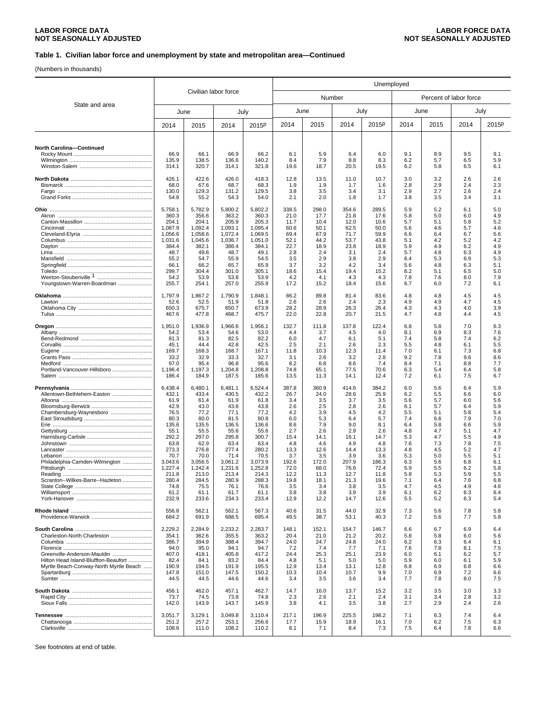(Numbers in thousands)

|                                        |                    |                      |                    |                    | Unemployed   |               |               |              |            |                        |            |            |
|----------------------------------------|--------------------|----------------------|--------------------|--------------------|--------------|---------------|---------------|--------------|------------|------------------------|------------|------------|
|                                        |                    | Civilian labor force |                    |                    |              | Number        |               |              |            | Percent of labor force |            |            |
| State and area                         |                    | June                 | July               |                    | June         |               | July          |              |            | June                   |            | July       |
|                                        | 2014               | 2015                 | 2014               | 2015 <sup>p</sup>  | 2014         | 2015          | 2014          | 2015P        | 2014       | 2015                   | 2014       | 2015P      |
|                                        |                    |                      |                    |                    |              |               |               |              |            |                        |            |            |
| <b>North Carolina-Continued</b>        |                    |                      |                    |                    |              |               |               |              |            |                        |            |            |
|                                        | 66.9<br>135.9      | 66.1<br>138.5        | 66.9<br>136.6      | 66.2<br>140.2      | 6.1<br>8.4   | 5.9<br>7.9    | 6.4<br>8.8    | 6.0<br>8.3   | 9.1<br>6.2 | 8.9<br>5.7             | 9.5<br>6.5 | 9.1<br>5.9 |
|                                        | 314.1              | 320.7                | 314.1              | 321.8              | 19.6         | 18.7          | 20.5          | 19.5         | 6.2        | 5.8                    | 6.5        | 6.1        |
|                                        | 426.1              | 422.6                | 426.0              | 418.3              | 12.8         | 13.5          | 11.0          | 10.7         | 3.0        | 3.2                    | 2.6        | 2.6        |
|                                        | 68.0               | 67.6                 | 68.7               | 68.3               | 1.9          | 1.9           | 1.7           | 1.6          | 2.8        | 2.9                    | 2.4        | 2.3        |
|                                        | 130.0<br>54.8      | 129.3<br>55.2        | 131.2<br>54.3      | 129.5<br>54.0      | 3.8<br>2.1   | 3.5<br>2.0    | 3.4<br>1.8    | 3.1<br>1.7   | 2.9<br>3.8 | 2.7<br>3.5             | 2.6<br>3.4 | 2.4<br>3.1 |
|                                        | 5,758.1            |                      | 5,800.2            |                    | 338.5        |               |               | 289.5        |            |                        | 6.1        | 5.0        |
|                                        | 360.3              | 5,782.9<br>356.6     | 363.2              | 5,802.2<br>360.3   | 21.0         | 298.0<br>17.7 | 354.6<br>21.8 | 17.6         | 5.9<br>5.8 | 5.2<br>5.0             | 6.0        | 4.9        |
|                                        | 204.1              | 204.1                | 205.9              | 205.3              | 11.7         | 10.4          | 12.0          | 10.6         | 5.7        | 5.1                    | 5.8        | 5.2        |
|                                        | 1,087.9<br>1,056.6 | 1,092.4<br>1,058.6   | 1,093.1<br>1,072.4 | 1,095.4<br>1,069.5 | 60.6<br>69.4 | 50.1<br>67.9  | 62.5<br>71.7  | 50.0<br>59.9 | 5.6<br>6.6 | 4.6<br>6.4             | 5.7<br>6.7 | 4.6<br>5.6 |
|                                        | 1,031.6            | 1,045.6              | 1,036.7            | 1,051.0            | 52.1         | 44.2          | 53.7          | 43.8         | 5.1        | 4.2                    | 5.2        | 4.2        |
|                                        | 384.4<br>48.7      | 382.1<br>49.6        | 386.4<br>48.7      | 384.1<br>49.1      | 22.7<br>2.8  | 18.9<br>2.4   | 23.8<br>3.1   | 18.9<br>2.4  | 5.9<br>5.7 | 4.9<br>4.8             | 6.2<br>6.3 | 4.9<br>4.9 |
|                                        | 55.2               | 54.7                 | 55.9               | 54.5               | 3.5          | 2.9           | 3.8           | 2.9          | 6.4        | 5.3                    | 6.9        | 5.3        |
|                                        | 66.1               | 66.2                 | 65.7               | 65.9               | 3.7          | 3.2           | 4.2           | 3.4          | 5.6        | 4.8                    | 6.3        | 5.1        |
|                                        | 299.7<br>54.2      | 304.4<br>53.9        | 301.0<br>53.8      | 305.1<br>53.9      | 18.6<br>4.2  | 15.4<br>4.1   | 19.4<br>4.3   | 15.2<br>4.3  | 6.2<br>7.8 | 5.1<br>7.6             | 6.5<br>8.0 | 5.0<br>7.9 |
| Youngstown-Warren-Boardman             | 255.7              | 254.1                | 257.0              | 255.9              | 17.2         | 15.2          | 18.4          | 15.6         | 6.7        | 6.0                    | 7.2        | 6.1        |
|                                        | 1,797.9            | 1,867.2              | 1,790.9            | 1,848.1            | 86.2         | 89.8          | 81.4          | 83.6         | 4.8        | 4.8                    | 4.5        | 4.5        |
|                                        | 52.6               | 52.5                 | 51.9               | 51.8               | 2.6          | 2.6           | 2.4           | 2.3          | 4.9        | 4.9                    | 4.7        | 4.5        |
|                                        | 650.3<br>467.6     | 675.7<br>477.8       | 650.7<br>468.7     | 673.9<br>475.7     | 28.2<br>22.0 | 28.9<br>22.8  | 26.3<br>20.7  | 26.4<br>21.5 | 4.3<br>4.7 | 4.3<br>4.8             | 4.0<br>4.4 | 3.9<br>4.5 |
|                                        |                    |                      |                    |                    |              |               |               |              |            |                        |            |            |
|                                        | 1,951.0<br>54.2    | 1,936.9<br>53.4      | 1,966.6<br>54.6    | 1,956.1<br>53.0    | 132.7<br>4.4 | 111.8<br>3.7  | 137.8<br>4.5  | 122.4<br>4.0 | 6.8<br>8.1 | 5.8<br>6.9             | 7.0<br>8.3 | 6.3<br>7.6 |
|                                        | 81.3               | 81.3                 | 82.5               | 82.2               | 6.0          | 4.7           | 6.1           | 5.1          | 7.4        | 5.8                    | 7.4        | 6.2        |
|                                        | 45.1<br>169.7      | 44.4<br>168.3        | 42.8<br>168.7      | 42.5<br>167.1      | 2.5<br>11.8  | 2.1<br>10.3   | 2.6<br>12.3   | 2.3<br>11.4  | 5.5<br>7.0 | 4.8<br>6.1             | 6.1<br>7.3 | 5.5<br>6.8 |
|                                        | 33.2               | 32.9                 | 33.3               | 32.7               | 3.1          | 2.6           | 3.2           | 2.8          | 9.2        | 7.8                    | 9.6        | 8.6        |
| Portland-Vancouver-Hillsboro           | 97.0               | 95.4                 | 96.8               | 95.6               | 8.2          | 6.8           | 8.6           | 7.4          | 8.4        | 7.1                    | 8.8        | 7.7        |
|                                        | 1,196.4<br>186.4   | 1,197.3<br>184.9     | 1,204.8<br>187.5   | 1,208.8<br>185.6   | 74.8<br>13.5 | 65.1<br>11.3  | 77.5<br>14.1  | 70.6<br>12.4 | 6.3<br>7.2 | 5.4<br>6.1             | 6.4<br>7.5 | 5.8<br>6.7 |
|                                        | 6,438.4            | 6,480.1              | 6,481.1            | 6,524.4            | 387.8        | 360.9         | 414.6         | 384.2        | 6.0        | 5.6                    | 6.4        | 5.9        |
| Allentown-Bethlehem-Easton             | 432.1              | 433.4                | 430.5              | 432.2              | 26.7         | 24.0          | 28.6          | 25.9         | 6.2        | 5.5                    | 6.6        | 6.0        |
|                                        | 61.9               | 61.4                 | 61.9               | 61.8               | 3.4          | 3.5           | 3.7           | 3.5          | 5.6        | 5.7                    | 6.0        | 5.6        |
| Chambersburg-Waynesboro                | 42.9<br>76.5       | 43.0<br>77.2         | 43.6<br>77.1       | 43.8<br>77.2       | 2.6<br>4.2   | 2.5<br>3.9    | 2.8<br>4.5    | 2.6<br>4.2   | 6.1<br>5.5 | 5.7<br>5.1             | 6.4<br>5.8 | 5.9<br>5.4 |
|                                        | 80.3               | 80.0                 | 81.5               | 80.8               | 6.0          | 5.3           | 6.4           | 5.7          | 7.4        | 6.6                    | 7.9        | 7.0        |
|                                        | 135.6<br>55.1      | 135.5<br>55.5        | 136.5<br>55.6      | 136.6<br>55.6      | 8.6<br>2.7   | 7.9<br>2.6    | 9.0<br>2.9    | 8.1<br>2.6   | 6.4<br>4.8 | 5.8<br>4.7             | 6.6<br>5.1 | 5.9<br>4.7 |
|                                        | 292.2              | 297.0                | 295.8              | 300.7              | 15.4         | 14.1          | 16.1          | 14.7         | 5.3        | 4.7                    | 5.5        | 4.9        |
|                                        | 63.8<br>273.3      | 62.9<br>276.8        | 63.4<br>277.4      | 63.4<br>280.2      | 4.8<br>13.3  | 4.6<br>12.6   | 4.9<br>14.4   | 4.8<br>13.3  | 7.6<br>4.8 | 7.3<br>4.5             | 7.8<br>5.2 | 7.5<br>4.7 |
|                                        | 70.7               | 70.0                 | 71.4               | 70.5               | 3.7          | 3.5           | 3.9           | 3.6          | 5.3        | 5.0                    | 5.5        | 5.1        |
| Philadelphia-Camden-Wilmington         | 3,043.6            | 3,056.5              | 3,061.2            | 3,073.9            | 192.6        | 172.0         | 207.9         | 186.3        | 6.3        | 5.6                    | 6.8        | 6.1        |
|                                        | 1,227.4<br>211.8   | 1,242.4<br>213.0     | 1,231.6<br>213.4   | 1,252.8<br>214.3   | 72.0<br>12.2 | 68.0<br>11.3  | 76.6<br>12.7  | 72.4<br>11.8 | 5.9<br>5.8 | 5.5<br>5.3             | 6.2<br>5.9 | 5.8<br>5.5 |
| Scranton--Wilkes-Barre--Hazleton       | 280.4              | 284.5                | 280.9              | 288.3              | 19.8         | 18.1          | 21.3          | 19.6         | 7.1        | 6.4                    | 7.6        | 6.8        |
|                                        | 74.8<br>61.2       | 75.5<br>61.1         | 76.1<br>61.7       | 76.6<br>61.1       | 3.5<br>3.8   | 3.4<br>3.8    | 3.8<br>3.9    | 3.5<br>3.9   | 4.7<br>6.1 | 4.5<br>6.2             | 4.9<br>6.3 | 4.6<br>6.4 |
|                                        | 232.9              | 233.6                | 234.3              | 233.4              | 12.9         | 12.2          | 14.7          | 12.6         | 5.5        | 5.2                    | 6.3        | 5.4        |
|                                        | 556.8<br>684.2     | 562.1<br>691.9       | 562.1<br>688.5     | 567.3<br>695.4     | 40.6<br>49.5 | 31.5<br>38.7  | 44.0<br>53.1  | 32.9<br>40.3 | 7.3<br>7.2 | 5.6<br>5.6             | 7.8<br>7.7 | 5.8<br>5.8 |
|                                        | 2,229.2            | 2.284.9              | 2,233.2            | 2,283.7            | 148.1        | 152.1         | 154.7         | 146.7        | 6.6        | 6.7                    | 6.9        | 6.4        |
| Charleston-North Charleston            | 354.1              | 362.6                | 355.5              | 363.2              | 20.4         | 21.0          | 21.2          | 20.2         | 5.8        | 5.8                    | 6.0        | 5.6        |
|                                        | 386.7              | 394.9                | 388.4              | 394.7              | 24.0         | 24.7          | 24.8          | 24.0         | 6.2        | 6.3                    | 6.4        | 6.1        |
| Greenville-Anderson-Mauldin            | 94.0<br>407.0      | 95.0<br>418.1        | 94.1<br>405.8      | 94.7<br>417.2      | 7.2<br>24.4  | 7.4<br>25.3   | 7.7<br>25.1   | 7.1<br>23.9  | 7.6<br>6.0 | 7.8<br>6.1             | 8.1<br>6.2 | 7.5<br>5.7 |
| Hilton Head Island-Bluffton-Beaufort   | 82.4               | 84.1                 | 83.2               | 84.4               | 4.8          | 5.1           | 5.0           | 5.0          | 5.9        | 6.0                    | 6.1        | 5.9        |
| Myrtle Beach-Conway-North Myrtle Beach | 190.9<br>147.8     | 194.5<br>151.0       | 191.9<br>147.5     | 195.5<br>150.2     | 12.9<br>10.3 | 13.4<br>10.4  | 13.1<br>10.7  | 12.8<br>9.9  | 6.8<br>7.0 | 6.9<br>6.9             | 6.8<br>7.2 | 6.6<br>6.6 |
|                                        | 44.5               | 44.5                 | 44.6               | 44.6               | 3.4          | 3.5           | 3.6           | 3.4          | 7.7        | 7.8                    | 8.0        | 7.5        |
|                                        | 456.1              | 462.0                | 457.1              | 462.7              | 14.7         | 16.0          | 13.7          | 15.2         | 3.2        | 3.5                    | 3.0        | 3.3        |
|                                        | 73.7               | 74.5                 | 73.8               | 74.8               | 2.3          | 2.6           | 2.1           | 2.4          | 3.1        | 3.4                    | 2.8        | 3.2        |
|                                        | 142.0              | 143.9                | 143.7              | 145.9              | 3.8          | 4.1           | 3.5           | 3.8          | 2.7        | 2.9                    | 2.4        | 2.6        |
|                                        | 3,051.7            | 3,129.1              | 3,049.8            | 3,110.4            | 217.1        | 196.9         | 225.5         | 198.2        | 7.1        | 6.3                    | 7.4        | 6.4        |
|                                        | 251.2<br>108.6     | 257.2<br>111.0       | 253.1<br>108.2     | 256.6<br>110.2     | 17.7<br>8.1  | 15.9<br>7.1   | 18.9<br>8.4   | 16.1<br>7.3  | 7.0<br>7.5 | 6.2<br>6.4             | 7.5<br>7.8 | 6.3<br>6.6 |
|                                        |                    |                      |                    |                    |              |               |               |              |            |                        |            |            |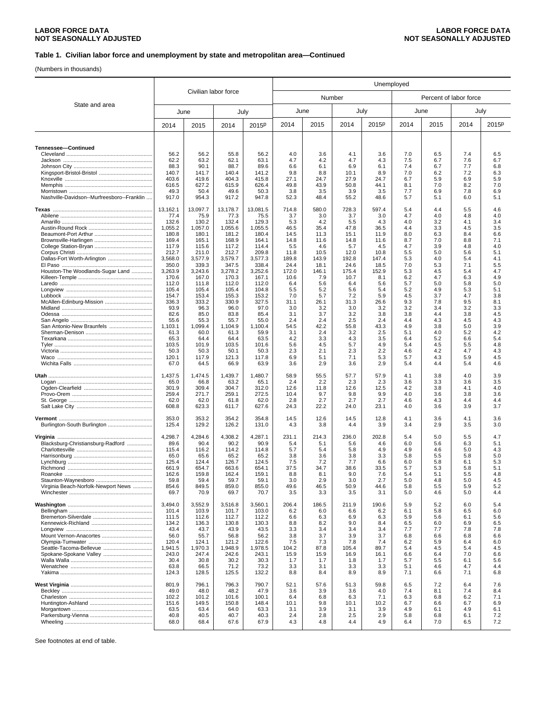(Numbers in thousands)

|                                            |                  |                  |                  |                   | Unemployed    |              |               |              |            |            |                        |            |
|--------------------------------------------|------------------|------------------|------------------|-------------------|---------------|--------------|---------------|--------------|------------|------------|------------------------|------------|
| Civilian labor force                       |                  |                  |                  |                   |               | Number       |               |              |            |            | Percent of labor force |            |
| State and area                             |                  | June             |                  | July              |               | June         | July          |              |            | June       |                        | July       |
|                                            | 2014             | 2015             | 2014             | 2015 <sup>p</sup> | 2014          | 2015         | 2014          | 2015P        | 2014       | 2015       | 2014                   | 2015P      |
|                                            |                  |                  |                  |                   |               |              |               |              |            |            |                        |            |
| Tennessee-Continued                        |                  |                  |                  |                   |               |              |               |              |            |            |                        |            |
|                                            | 56.2<br>62.2     | 56.2<br>63.2     | 55.8<br>62.1     | 56.2<br>63.1      | 4.0<br>4.7    | 3.6<br>4.2   | 4.1<br>4.7    | 3.6<br>4.3   | 7.0<br>7.5 | 6.5<br>6.7 | 7.4<br>7.6             | 6.5<br>6.7 |
|                                            | 88.3             | 90.1             | 88.7             | 89.6              | 6.6           | 6.1          | 6.9           | 6.1          | 7.4        | 6.7        | 7.7                    | 6.8        |
|                                            | 140.7            | 141.7            | 140.4            | 141.2             | 9.8           | 8.8          | 10.1          | 8.9          | 7.0        | 6.2        | 7.2                    | 6.3        |
|                                            | 403.6<br>616.5   | 419.6<br>627.2   | 404.3<br>615.9   | 415.8<br>626.4    | 27.1<br>49.8  | 24.7<br>43.9 | 27.9<br>50.8  | 24.7<br>44.1 | 6.7<br>8.1 | 5.9<br>7.0 | 6.9<br>8.2             | 5.9<br>7.0 |
|                                            | 49.3             | 50.4             | 49.6             | 50.3              | 3.8           | 3.5          | 3.9           | 3.5          | 7.7        | 6.9        | 7.8                    | 6.9        |
| Nashville-Davidson--Murfreesboro--Franklin | 917.0            | 954.3            | 917.2            | 947.8             | 52.3          | 48.4         | 55.2          | 48.6         | 5.7        | 5.1        | 6.0                    | 5.1        |
|                                            | 13,162.1         | 13,097.7         | 13,178.7         | 13,081.5          | 714.8         | 580.0        | 728.3         | 597.4        | 5.4        | 4.4        | 5.5                    | 4.6        |
|                                            | 77.4<br>132.6    | 75.9<br>130.2    | 77.3<br>132.4    | 75.5<br>129.3     | 3.7<br>5.3    | 3.0<br>4.2   | 3.7<br>5.5    | 3.0<br>4.3   | 4.7<br>4.0 | 4.0<br>3.2 | 4.8<br>4.1             | 4.0<br>3.4 |
|                                            | 1,055.2          | 1,057.0          | 1,055.6          | 1,055.5           | 46.5          | 35.4         | 47.8          | 36.5         | 4.4        | 3.3        | 4.5                    | 3.5        |
|                                            | 180.8            | 180.1            | 181.2            | 180.4             | 14.5          | 11.3         | 15.1          | 11.9         | 8.0        | 6.3        | 8.4                    | 6.6        |
|                                            | 169.4<br>117.9   | 165.1<br>115.6   | 168.9<br>117.2   | 164.1<br>114.4    | 14.8<br>5.5   | 11.6<br>4.6  | 14.8<br>5.7   | 11.6<br>4.5  | 8.7<br>4.7 | 7.0<br>3.9 | 8.8<br>4.8             | 7.1<br>4.0 |
|                                            | 212.7            | 211.0            | 212.7            | 209.8             | 11.8          | 10.5         | 12.0          | 10.8         | 5.5        | 5.0        | 5.6                    | 5.1        |
| Dallas-Fort Worth-Arlington                | 3,568.0          | 3,577.9          | 3,579.7          | 3,577.3           | 189.8         | 143.9        | 192.8         | 147.4        | 5.3        | 4.0        | 5.4                    | 4.1        |
|                                            | 350.0<br>3,263.9 | 339.3            | 347.5            | 338.4             | 24.4          | 18.1         | 24.6          | 18.5         | 7.0        | 5.3        | 7.1                    | 5.5        |
| Houston-The Woodlands-Sugar Land           | 170.6            | 3,243.6<br>167.0 | 3,278.2<br>170.3 | 3,252.6<br>167.1  | 172.0<br>10.6 | 146.1<br>7.9 | 175.4<br>10.7 | 152.9<br>8.1 | 5.3<br>6.2 | 4.5<br>4.7 | 5.4<br>6.3             | 4.7<br>4.9 |
|                                            | 112.0            | 111.8            | 112.0            | 112.0             | 6.4           | 5.6          | 6.4           | 5.6          | 5.7        | 5.0        | 5.8                    | 5.0        |
|                                            | 105.4            | 105.4            | 105.4            | 104.8             | 5.5           | 5.2          | 5.6           | 5.4          | 5.2        | 4.9        | 5.3                    | 5.1        |
| McAllen-Edinburg-Mission                   | 154.7<br>336.3   | 153.4<br>333.2   | 155.3<br>330.9   | 153.2<br>327.5    | 7.0<br>31.1   | 5.7<br>26.1  | 7.2<br>31.3   | 5.9<br>26.6  | 4.5<br>9.3 | 3.7<br>7.8 | 4.7<br>9.5             | 3.8<br>8.1 |
|                                            | 93.9             | 96.3             | 96.0             | 97.0              | 3.0           | 3.2          | 3.0           | 3.2          | 3.2        | 3.4        | 3.2                    | 3.3        |
|                                            | 82.6             | 85.0             | 83.8             | 85.4              | 3.1           | 3.7          | 3.2           | 3.8          | 3.8        | 4.4        | 3.8                    | 4.5        |
| San Antonio-New Braunfels                  | 55.6<br>1,103.1  | 55.3<br>1,099.4  | 55.7<br>1,104.9  | 55.0<br>1,100.4   | 2.4<br>54.5   | 2.4<br>42.2  | 2.5<br>55.8   | 2.4<br>43.3  | 4.4<br>4.9 | 4.3<br>3.8 | 4.5<br>5.0             | 4.3<br>3.9 |
|                                            | 61.3             | 60.0             | 61.3             | 59.9              | 3.1           | 2.4          | 3.2           | 2.5          | 5.1        | 4.0        | 5.2                    | 4.2        |
|                                            | 65.3             | 64.4             | 64.4             | 63.5              | 4.2           | 3.3          | 4.3           | 3.5          | 6.4        | 5.2        | 6.6                    | 5.4        |
|                                            | 103.5            | 101.9            | 103.5            | 101.6             | 5.6           | 4.5          | 5.7           | 4.9          | 5.4        | 4.5        | 5.5                    | 4.8        |
|                                            | 50.3<br>120.1    | 50.3<br>117.9    | 50.1<br>121.3    | 50.3<br>117.8     | 2.3<br>6.9    | 2.1<br>5.1   | 2.3<br>7.1    | 2.2<br>5.3   | 4.6<br>5.7 | 4.2<br>4.3 | 4.7<br>5.9             | 4.3<br>4.5 |
|                                            | 67.0             | 64.5             | 66.9             | 63.9              | 3.6           | 2.9          | 3.6           | 2.9          | 5.4        | 4.4        | 5.4                    | 4.6        |
|                                            | 1,437.5          | 1,474.5          | 1,439.7          | 1,480.7           | 58.9          | 55.5         | 57.7          | 57.9         | 4.1        | 3.8        | 4.0                    | 3.9        |
|                                            | 65.0             | 66.8             | 63.2             | 65.1              | 2.4           | 2.2          | 2.3           | 2.3          | 3.6        | 3.3        | 3.6                    | 3.5        |
|                                            | 301.9            | 309.4            | 304.7            | 312.0             | 12.6          | 11.8         | 12.6          | 12.5         | 4.2        | 3.8        | 4.1                    | 4.0        |
|                                            | 259.4<br>62.0    | 271.7<br>62.0    | 259.1<br>61.8    | 272.5<br>62.0     | 10.4<br>2.8   | 9.7<br>2.7   | 9.8<br>2.7    | 9.9<br>2.7   | 4.0<br>4.6 | 3.6<br>4.3 | 3.8<br>4.4             | 3.6<br>4.4 |
|                                            | 608.8            | 623.3            | 611.7            | 627.6             | 24.3          | 22.2         | 24.0          | 23.1         | 4.0        | 3.6        | 3.9                    | 3.7        |
|                                            | 353.0            | 353.2            | 354.2            | 354.8             | 14.5          | 12.6         | 14.5          | 12.8         | 4.1        | 3.6        | 4.1                    | 3.6        |
| Burlington-South Burlington                | 125.4            | 129.2            | 126.2            | 131.0             | 4.3           | 3.8          | 4.4           | 3.9          | 3.4        | 2.9        | 3.5                    | 3.0        |
|                                            | 4,298.7          | 4,284.6          | 4,308.2          | 4,287.1           | 231.1         | 214.3        | 236.0         | 202.8        | 5.4        | 5.0        | 5.5                    | 4.7        |
| Blacksburg-Christiansburg-Radford          | 89.6             | 90.4             | 90.2             | 90.9              | 5.4           | 5.1          | 5.6           | 4.6          | 6.0        | 5.6        | 6.3                    | 5.1        |
|                                            | 115.4<br>65.0    | 116.2<br>65.6    | 114.2<br>65.2    | 114.8<br>65.2     | 5.7<br>3.8    | 5.4<br>3.6   | 5.8<br>3.8    | 4.9<br>3.3   | 4.9<br>5.8 | 4.6<br>5.5 | 5.0<br>5.8             | 4.3<br>5.0 |
|                                            | 125.4            | 124.4            | 126.7            | 124.5             | 7.5           | 7.2          | 7.7           | 6.6          | 6.0        | 5.8        | 6.1                    | 5.3        |
|                                            | 661.9            | 654.7            | 663.6            | 654.1             | 37.5          | 34.7         | 38.6          | 33.5         | 5.7        | 5.3        | 5.8                    | 5.1        |
|                                            | 162.6<br>59.8    | 159.8<br>59.4    | 162.4<br>59.7    | 159.1<br>59.1     | 8.8<br>3.0    | 8.1<br>2.9   | 9.0<br>3.0    | 7.6<br>2.7   | 5.4<br>5.0 | 5.1<br>4.8 | 5.5<br>5.0             | 4.8<br>4.5 |
| Virginia Beach-Norfolk-Newport News        | 854.6            | 849.5            | 859.0            | 855.0             | 49.6          | 46.5         | 50.9          | 44.6         | 5.8        | 5.5        | 5.9                    | 5.2        |
|                                            | 69.7             | 70.9             | 69.7             | 70.7              | 3.5           | 3.3          | 3.5           | 3.1          | 5.0        | 4.6        | 5.0                    | 4.4        |
|                                            | 3,494.0          | 3,552.9          | 3,516.8          | 3,560.1           | 206.4         | 186.5        | 211.9         | 190.6        | 5.9        | 5.2        | 6.0                    | 5.4        |
|                                            | 101.4<br>111.5   | 103.9<br>112.6   | 101.7<br>112.7   | 103.0<br>112.2    | 6.2<br>6.6    | 6.0<br>6.3   | 6.6<br>6.9    | 6.2<br>6.3   | 6.1<br>5.9 | 5.8<br>5.6 | 6.5<br>6.1             | 6.0<br>5.6 |
|                                            | 134.2            | 136.3            | 130.8            | 130.3             | 8.8           | 8.2          | 9.0           | 8.4          | 6.5        | 6.0        | 6.9                    | 6.5        |
|                                            | 43.4             | 43.7             | 43.9             | 43.5              | 3.3           | 3.4          | 3.4           | 3.4          | 7.7        | 7.7        | 7.8                    | 7.8        |
|                                            | 56.0<br>120.4    | 55.7<br>124.1    | 56.8<br>121.2    | 56.2<br>122.6     | 3.8<br>7.5    | 3.7<br>7.3   | 3.9<br>7.8    | 3.7<br>7.4   | 6.8<br>6.2 | 6.6<br>5.9 | 6.8<br>6.4             | 6.6<br>6.0 |
| Seattle-Tacoma-Bellevue                    | 1,941.5          | 1,970.3          | 1,948.9          | 1,978.5           | 104.2         | 87.8         | 105.4         | 89.7         | 5.4        | 4.5        | 5.4                    | 4.5        |
| Spokane-Spokane Valley                     | 243.0            | 247.4            | 242.6            | 243.1             | 15.9          | 15.9         | 16.9          | 16.1         | 6.6        | 6.4        | 7.0                    | 6.6        |
|                                            | 30.4             | 30.8             | 30.2             | 30.3              | 1.7           | 1.7          | 1.8           | 1.7          | 5.7        | 5.5        | 6.1                    | 5.6        |
|                                            | 63.8<br>124.3    | 66.5<br>128.5    | 71.2<br>125.5    | 73.2<br>132.2     | 3.3<br>8.8    | 3.1<br>8.4   | 3.3<br>8.9    | 3.3<br>8.9   | 5.1<br>7.1 | 4.6<br>6.6 | 4.7<br>7.1             | 4.4<br>6.8 |
|                                            | 801.9            | 796.1            | 796.3            | 790.7             | 52.1          | 57.6         | 51.3          | 59.8         | 6.5        | 7.2        | 6.4                    | 7.6        |
|                                            | 49.0             | 48.0             | 48.2             | 47.9              | 3.6           | 3.9          | 3.6           | 4.0          | 7.4        | 8.1        | 7.4                    | 8.4        |
|                                            | 102.2            | 101.2            | 101.6            | 100.1             | 6.4           | 6.8          | 6.3           | 7.1          | 6.3        | 6.8        | 6.2                    | 7.1        |
|                                            | 151.6<br>63.5    | 149.5<br>63.4    | 150.8<br>64.0    | 148.4<br>63.3     | 10.1<br>3.1   | 9.8<br>3.9   | 10.1<br>3.1   | 10.2<br>3.9  | 6.7<br>4.9 | 6.6<br>6.1 | 6.7<br>4.9             | 6.9<br>6.1 |
|                                            | 40.8             | 40.5             | 40.7             | 40.3              | 2.4           | 2.8          | 2.5           | 2.9          | 5.8        | 6.8        | 6.1                    | 7.2        |
|                                            | 68.0             | 68.4             | 67.6             | 67.9              | 4.3           | 4.8          | 4.4           | 4.9          | 6.4        | 7.0        | 6.5                    | 7.2        |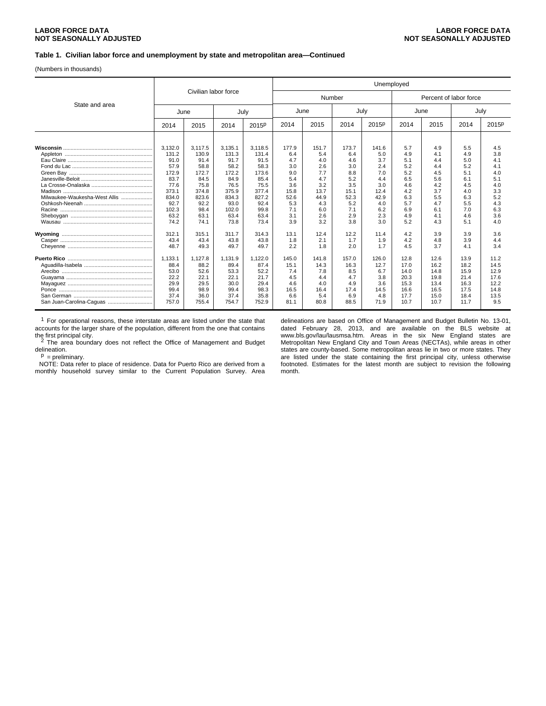### **LABOR FORCE DATA LABOR FORCE DATA NOT SEASONALLY ADJUSTED NOT SEASONALLY ADJUSTED**

### **Table 1. Civilian labor force and unemployment by state and metropolitan area—Continued**

(Numbers in thousands)

|                               |         |                      |         |                   | Unemployed |       |        |       |      |                        |      |       |
|-------------------------------|---------|----------------------|---------|-------------------|------------|-------|--------|-------|------|------------------------|------|-------|
|                               |         | Civilian labor force |         |                   |            |       | Number |       |      | Percent of labor force |      |       |
| State and area                | June    |                      | July    |                   |            | June  | July   |       |      | June                   |      | July  |
|                               | 2014    | 2015                 | 2014    | 2015 <sup>p</sup> | 2014       | 2015  | 2014   | 2015P | 2014 | 2015                   | 2014 | 2015P |
|                               |         |                      |         |                   |            |       |        |       |      |                        |      |       |
|                               | 3,132.0 | 3.117.5              | 3,135.1 | 3.118.5           | 177.9      | 151.7 | 173.7  | 141.6 | 5.7  | 4.9                    | 5.5  | 4.5   |
|                               | 131.2   | 130.9                | 131.3   | 131.4             | 6.4        | 5.4   | 6.4    | 5.0   | 4.9  | 4.1                    | 4.9  | 3.8   |
|                               | 91.0    | 91.4                 | 91.7    | 91.5              | 4.7        | 4.0   | 4.6    | 3.7   | 5.1  | 4.4                    | 5.0  | 4.1   |
|                               | 57.9    | 58.8                 | 58.2    | 58.3              | 3.0        | 2.6   | 3.0    | 2.4   | 5.2  | 4.4                    | 5.2  | 4.1   |
|                               | 172.9   | 172.7                | 172.2   | 173.6             | 9.0        | 7.7   | 8.8    | 7.0   | 5.2  | 4.5                    | 5.1  | 4.0   |
|                               | 83.7    | 84.5                 | 84.9    | 85.4              | 5.4        | 4.7   | 5.2    | 4.4   | 6.5  | 5.6                    | 6.1  | 5.1   |
|                               | 77.6    | 75.8                 | 76.5    | 75.5              | 3.6        | 3.2   | 3.5    | 3.0   | 4.6  | 4.2                    | 4.5  | 4.0   |
|                               | 373.1   | 374.8                | 375.9   | 377.4             | 15.8       | 13.7  | 15.1   | 12.4  | 4.2  | 3.7                    | 4.0  | 3.3   |
| Milwaukee-Waukesha-West Allis | 834.0   | 823.6                | 834.3   | 827.2             | 52.6       | 44.9  | 52.3   | 42.9  | 6.3  | 5.5                    | 6.3  | 5.2   |
|                               | 92.7    | 92.2                 | 93.0    | 92.4              | 5.3        | 4.3   | 5.2    | 4.0   | 5.7  | 4.7                    | 5.5  | 4.3   |
|                               | 102.3   | 98.4                 | 102.0   | 99.8              | 7.1        | 6.0   | 7.1    | 6.2   | 6.9  | 6.1                    | 7.0  | 6.3   |
|                               | 63.2    | 63.1                 | 63.4    | 63.4              | 3.1        | 2.6   | 2.9    | 2.3   | 4.9  | 4.1                    | 4.6  | 3.6   |
|                               | 74.2    | 74.1                 | 73.8    | 73.4              | 3.9        | 3.2   | 3.8    | 3.0   | 5.2  | 4.3                    | 5.1  | 4.0   |
|                               | 312.1   | 315.1                | 311.7   | 314.3             | 13.1       | 12.4  | 12.2   | 11.4  | 4.2  | 3.9                    | 3.9  | 3.6   |
|                               | 43.4    | 43.4                 | 43.8    | 43.8              | 1.8        | 2.1   | 1.7    | 1.9   | 4.2  | 4.8                    | 3.9  | 4.4   |
|                               | 48.7    | 49.3                 | 49.7    | 49.7              | 2.2        | 1.8   | 2.0    | 1.7   | 4.5  | 3.7                    | 4.1  | 3.4   |
|                               | 1,133.1 | 1.127.8              | 1,131.9 | 1.122.0           | 145.0      | 141.8 | 157.0  | 126.0 | 12.8 | 12.6                   | 13.9 | 11.2  |
|                               | 88.4    | 88.2                 | 89.4    | 87.4              | 15.1       | 14.3  | 16.3   | 12.7  | 17.0 | 16.2                   | 18.2 | 14.5  |
|                               | 53.0    | 52.6                 | 53.3    | 52.2              | 7.4        | 7.8   | 8.5    | 6.7   | 14.0 | 14.8                   | 15.9 | 12.9  |
|                               | 22.2    | 22.1                 | 22.1    | 21.7              | 4.5        | 4.4   | 4.7    | 3.8   | 20.3 | 19.8                   | 21.4 | 17.6  |
|                               | 29.9    | 29.5                 | 30.0    | 29.4              | 4.6        | 4.0   | 4.9    | 3.6   | 15.3 | 13.4                   | 16.3 | 12.2  |
|                               | 99.4    | 98.9                 | 99.4    | 98.3              | 16.5       | 16.4  | 17.4   | 14.5  | 16.6 | 16.5                   | 17.5 | 14.8  |
|                               | 37.4    | 36.0                 | 37.4    | 35.8              | 6.6        | 5.4   | 6.9    | 4.8   | 17.7 | 15.0                   | 18.4 | 13.5  |
| San Juan-Carolina-Caguas      | 757.0   | 755.4                | 754.7   | 752.9             | 81.1       | 80.8  | 88.5   | 71.9  | 10.7 | 10.7                   | 11.7 | 9.5   |

 $1$  For operational reasons, these interstate areas are listed under the state that accounts for the larger share of the population, different from the one that contains

the first principal city.<br>
<sup>2</sup> The area boundary does not reflect the Office of Management and Budget delineation.

 $P =$  preliminary.

 NOTE: Data refer to place of residence. Data for Puerto Rico are derived from a monthly household survey similar to the Current Population Survey. Area

delineations are based on Office of Management and Budget Bulletin No. 13-01, dated February 28, 2013, and are available on the BLS website at www.bls.gov/lau/lausmsa.htm. Areas in the six New England states are Metropolitan New England City and Town Areas (NECTAs), while areas in other states are county-based. Some metropolitan areas lie in two or more states. They are listed under the state containing the first principal city, unless otherwise footnoted. Estimates for the latest month are subject to revision the following month.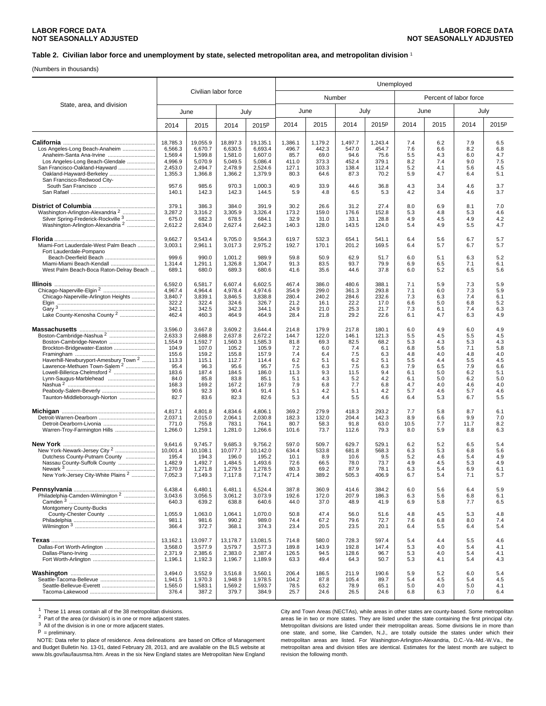### **Table 2. Civilian labor force and unemployment by state, selected metropolitan area, and metropolitan division** <sup>1</sup>

(Numbers in thousands)

|                                                                                                                                                                                                                                                                                                      | Civilian labor force                                                                                       |                                                                                                            |                                                                                                            |                                                                                                            | Unemployed                                                                             |                                                                                       |                                                                                        |                                                                                       |                                                                                  |                                                                                  |                                                                                  |                                                                                  |
|------------------------------------------------------------------------------------------------------------------------------------------------------------------------------------------------------------------------------------------------------------------------------------------------------|------------------------------------------------------------------------------------------------------------|------------------------------------------------------------------------------------------------------------|------------------------------------------------------------------------------------------------------------|------------------------------------------------------------------------------------------------------------|----------------------------------------------------------------------------------------|---------------------------------------------------------------------------------------|----------------------------------------------------------------------------------------|---------------------------------------------------------------------------------------|----------------------------------------------------------------------------------|----------------------------------------------------------------------------------|----------------------------------------------------------------------------------|----------------------------------------------------------------------------------|
| State, area, and division                                                                                                                                                                                                                                                                            |                                                                                                            |                                                                                                            |                                                                                                            |                                                                                                            |                                                                                        | Number                                                                                |                                                                                        |                                                                                       |                                                                                  | Percent of labor force                                                           |                                                                                  |                                                                                  |
|                                                                                                                                                                                                                                                                                                      | June                                                                                                       |                                                                                                            |                                                                                                            | July                                                                                                       |                                                                                        | June                                                                                  | July                                                                                   |                                                                                       |                                                                                  | June                                                                             |                                                                                  | July                                                                             |
|                                                                                                                                                                                                                                                                                                      | 2014                                                                                                       | 2015                                                                                                       | 2014                                                                                                       | 2015 <sup>p</sup>                                                                                          | 2014                                                                                   | 2015                                                                                  | 2014                                                                                   | 2015P                                                                                 | 2014                                                                             | 2015                                                                             | 2014                                                                             | 2015P                                                                            |
| Los Angeles-Long Beach-Anaheim<br>Anaheim-Santa Ana-Irvine<br>Los Angeles-Long Beach-Glendale<br>San Francisco-Oakland-Hayward<br>Oakland-Hayward-Berkeley<br>San Francisco-Redwood City-                                                                                                            | 18,785.3<br>6,566.3<br>1,569.4<br>4,996.9<br>2,453.0<br>1,355.3<br>957.6<br>140.1                          | 19,055.9<br>6,670.7<br>1,599.8<br>5,070.9<br>2,494.7<br>1,366.8<br>985.6<br>142.3                          | 18,897.3<br>6,630.5<br>1,581.0<br>5,049.5<br>2,478.9<br>1,366.2<br>970.3<br>142.3                          | 19,135.1<br>6,693.4<br>1,607.0<br>5,086.4<br>2,524.6<br>1,379.9<br>1,000.3<br>144.5                        | 1,386.1<br>496.7<br>85.7<br>411.0<br>127.1<br>80.3<br>40.9<br>5.9                      | 1,179.2<br>442.3<br>69.0<br>373.3<br>103.3<br>64.6<br>33.9<br>4.8                     | 1,497.7<br>547.0<br>94.6<br>452.4<br>138.4<br>87.3<br>44.6<br>6.5                      | 1,243.4<br>454.7<br>75.6<br>379.1<br>112.4<br>70.2<br>36.8<br>5.3                     | 7.4<br>7.6<br>5.5<br>8.2<br>5.2<br>5.9<br>4.3<br>4.2                             | 6.2<br>6.6<br>4.3<br>7.4<br>4.1<br>4.7<br>3.4<br>3.4                             | 7.9<br>8.2<br>6.0<br>9.0<br>5.6<br>6.4<br>4.6<br>4.6                             | 6.5<br>6.8<br>4.7<br>7.5<br>4.5<br>5.1<br>3.7<br>3.7                             |
| Washington-Arlington-Alexandria <sup>2</sup><br>Silver Spring-Frederick-Rockville 3<br>Washington-Arlington-Alexandria <sup>2</sup>                                                                                                                                                                  | 379.1<br>3,287.2<br>675.0<br>2,612.2                                                                       | 386.3<br>3,316.2<br>682.3<br>2,634.0                                                                       | 384.0<br>3,305.9<br>678.5<br>2,627.4                                                                       | 391.9<br>3,326.4<br>684.1<br>2,642.3                                                                       | 30.2<br>173.2<br>32.9<br>140.3                                                         | 26.6<br>159.0<br>31.0<br>128.0                                                        | 31.2<br>176.6<br>33.1<br>143.5                                                         | 27.4<br>152.8<br>28.8<br>124.0                                                        | 8.0<br>5.3<br>4.9<br>5.4                                                         | 6.9<br>4.8<br>4.5<br>4.9                                                         | 8.1<br>5.3<br>4.9<br>5.5                                                         | 7.0<br>4.6<br>4.2<br>4.7                                                         |
| Miami-Fort Lauderdale-West Palm Beach<br>Fort Lauderdale-Pompano<br>Beach-Deerfield Beach<br>Miami-Miami Beach-Kendall<br>West Palm Beach-Boca Raton-Delray Beach                                                                                                                                    | 9,662.7<br>3,003.1<br>999.6<br>1,314.4<br>689.1                                                            | 9,543.4<br>2,961.1<br>990.0<br>1,291.1<br>680.0                                                            | 9,705.0<br>3,017.3<br>1,001.2<br>1,326.8<br>689.3                                                          | 9,564.3<br>2,975.2<br>989.9<br>1,304.7<br>680.6                                                            | 619.7<br>192.7<br>59.8<br>91.3<br>41.6                                                 | 532.3<br>170.1<br>50.9<br>83.5<br>35.6                                                | 654.1<br>201.2<br>62.9<br>93.7<br>44.6                                                 | 541.1<br>169.5<br>51.7<br>79.9<br>37.8                                                | 6.4<br>6.4<br>6.0<br>6.9<br>6.0                                                  | 5.6<br>5.7<br>5.1<br>6.5<br>5.2                                                  | 6.7<br>6.7<br>6.3<br>7.1<br>6.5                                                  | 5.7<br>5.7<br>5.2<br>6.1<br>5.6                                                  |
| Chicago-Naperville-Arlington Heights<br>Lake County-Kenosha County <sup>2</sup>                                                                                                                                                                                                                      | 6,592.0<br>4,967.4<br>3,840.7<br>322.2<br>342.1<br>462.4                                                   | 6,581.7<br>4,964.4<br>3,839.1<br>322.4<br>342.5<br>460.3                                                   | 6,607.4<br>4,978.4<br>3,846.5<br>324.6<br>342.3<br>464.9                                                   | 6,602.5<br>4,974.6<br>3,838.8<br>326.7<br>344.1<br>464.9                                                   | 467.4<br>354.9<br>280.4<br>21.2<br>24.9<br>28.4                                        | 386.0<br>299.0<br>240.2<br>16.1<br>21.0<br>21.8                                       | 480.6<br>361.3<br>284.6<br>22.2<br>25.3<br>29.2                                        | 388.1<br>293.8<br>232.6<br>17.0<br>21.7<br>22.6                                       | 7.1<br>7.1<br>7.3<br>6.6<br>7.3<br>6.1                                           | 5.9<br>6.0<br>6.3<br>5.0<br>6.1<br>4.7                                           | 7.3<br>7.3<br>7.4<br>6.8<br>7.4<br>6.3                                           | 5.9<br>5.9<br>6.1<br>5.2<br>6.3<br>4.9                                           |
| Boston-Cambridge-Nashua <sup>2</sup><br>Boston-Cambridge-Newton<br>Brockton-Bridgewater-Easton<br>Haverhill-Newburyport-Amesbury Town <sup>2</sup><br>Lawrence-Methuen Town-Salem <sup>2</sup><br>Lowell-Billerica-Chelmsford <sup>2</sup><br>Lynn-Saugus-Marblehead<br>Taunton-Middleborough-Norton | 3,596.0<br>2,633.3<br>1,554.9<br>104.9<br>155.6<br>113.3<br>95.4<br>183.6<br>84.0<br>168.3<br>90.6<br>82.7 | 3,667.8<br>2,688.8<br>1,592.7<br>107.0<br>159.2<br>115.1<br>96.3<br>187.4<br>85.8<br>169.2<br>92.3<br>83.6 | 3,609.2<br>2,637.8<br>1,560.3<br>105.2<br>155.8<br>112.7<br>95.6<br>184.5<br>83.8<br>167.2<br>90.4<br>82.3 | 3,644.4<br>2,672.2<br>1,585.3<br>105.9<br>157.9<br>114.4<br>95.7<br>186.0<br>85.1<br>167.9<br>91.4<br>82.6 | 214.8<br>144.7<br>81.8<br>7.2<br>7.4<br>6.2<br>7.5<br>11.3<br>5.1<br>7.9<br>5.1<br>5.3 | 179.9<br>122.0<br>69.3<br>6.0<br>6.4<br>5.1<br>6.3<br>9.3<br>4.3<br>6.8<br>4.2<br>4.4 | 217.8<br>146.1<br>82.5<br>7.4<br>7.5<br>6.2<br>7.5<br>11.5<br>5.2<br>7.7<br>5.1<br>5.5 | 180.1<br>121.3<br>68.2<br>6.1<br>6.3<br>5.1<br>6.3<br>9.4<br>4.2<br>6.8<br>4.2<br>4.6 | 6.0<br>5.5<br>5.3<br>6.8<br>4.8<br>5.5<br>7.9<br>6.1<br>6.1<br>4.7<br>5.7<br>6.4 | 4.9<br>4.5<br>4.3<br>5.6<br>4.0<br>4.4<br>6.5<br>5.0<br>5.0<br>4.0<br>4.6<br>5.3 | 6.0<br>5.5<br>5.3<br>7.1<br>4.8<br>5.5<br>7.9<br>6.2<br>6.2<br>4.6<br>5.7<br>6.7 | 4.9<br>4.5<br>4.3<br>5.8<br>4.0<br>4.5<br>6.6<br>5.1<br>5.0<br>4.0<br>4.6<br>5.5 |
| Warren-Troy-Farmington Hills                                                                                                                                                                                                                                                                         | 4,817.1<br>2,037.1<br>771.0<br>1,266.0                                                                     | 4,801.8<br>2,015.0<br>755.8<br>1,259.1                                                                     | 4,834.6<br>2,064.1<br>783.1<br>1,281.0                                                                     | 4,806.1<br>2,030.8<br>764.1<br>1,266.6                                                                     | 369.2<br>182.3<br>80.7<br>101.6                                                        | 279.9<br>132.0<br>58.3<br>73.7                                                        | 418.3<br>204.4<br>91.8<br>112.6                                                        | 293.2<br>142.3<br>63.0<br>79.3                                                        | 7.7<br>8.9<br>10.5<br>8.0                                                        | 5.8<br>6.6<br>7.7<br>5.9                                                         | 8.7<br>9.9<br>11.7<br>8.8                                                        | 6.1<br>7.0<br>8.2<br>6.3                                                         |
| New York-Newark-Jersey City <sup>2</sup><br>Dutchess County-Putnam County<br>Nassau County-Suffolk County<br>New York-Jersey City-White Plains <sup>2</sup><br>.                                                                                                                                     | 9,641.6<br>10,001.4<br>195.4<br>1,482.9<br>1,270.9<br>7,052.3                                              | 9,745.7<br>10,108.1<br>194.3<br>1,492.7<br>1,271.8<br>7,149.3                                              | 9,685.3<br>10,077.7<br>196.0<br>1,484.5<br>1,279.5<br>7,117.8                                              | 9,756.2<br>10,142.0<br>195.2<br>1,493.6<br>1,278.5<br>7,174.7                                              | 597.0<br>634.4<br>10.1<br>72.6<br>80.3<br>471.4                                        | 509.7<br>533.8<br>8.9<br>66.5<br>69.2<br>389.2                                        | 629.7<br>681.8<br>10.6<br>78.0<br>87.9<br>505.3                                        | 529.1<br>568.3<br>9.5<br>73.7<br>78.1<br>406.9                                        | 6.2<br>6.3<br>5.2<br>4.9<br>6.3<br>6.7                                           | 5.2<br>5.3<br>4.6<br>4.5<br>5.4<br>5.4                                           | 6.5<br>6.8<br>5.4<br>5.3<br>6.9<br>7.1                                           | 5.4<br>5.6<br>4.9<br>4.9<br>6.1<br>5.7                                           |
| Philadelphia-Camden-Wilmington <sup>2</sup><br>Montgomery County-Bucks                                                                                                                                                                                                                               | 6,438.4<br>3,043.6<br>640.3                                                                                | 6,480.1<br>3,056.5<br>639.2                                                                                | 6,481.1<br>3,061.2<br>638.8                                                                                | 6,524.4<br>3,073.9<br>640.6                                                                                | 387.8<br>192.6<br>44.0                                                                 | 360.9<br>172.0<br>37.0                                                                | 414.6<br>207.9<br>48.9                                                                 | 384.2<br>186.3<br>41.9                                                                | 6.0<br>6.3<br>6.9                                                                | 5.6<br>5.6<br>5.8                                                                | 6.4<br>6.8<br>7.7                                                                | 5.9<br>6.1<br>6.5                                                                |
| County-Chester County                                                                                                                                                                                                                                                                                | 1,055.9<br>981.1<br>366.4                                                                                  | 1,063.0<br>981.6<br>372.7                                                                                  | 1,064.1<br>990.2<br>368.1                                                                                  | 1,070.0<br>989.0<br>374.3                                                                                  | 50.8<br>74.4<br>23.4                                                                   | 47.4<br>67.2<br>20.5                                                                  | 56.0<br>79.6<br>23.5                                                                   | 51.6<br>72.7<br>20.1                                                                  | 4.8<br>7.6<br>6.4                                                                | 4.5<br>6.8<br>5.5                                                                | 5.3<br>8.0<br>6.4                                                                | 4.8<br>7.4<br>5.4                                                                |
| Dallas-Fort Worth-Arlington                                                                                                                                                                                                                                                                          | 13,162.1<br>3,568.0<br>2,371.9<br>1,196.1                                                                  | 13,097.7<br>3,577.9<br>2,385.6<br>1,192.3                                                                  | 13,178.7<br>3,579.7<br>2,383.0<br>1,196.7                                                                  | 13,081.5<br>3,577.3<br>2,387.4<br>1,189.9                                                                  | 714.8<br>189.8<br>126.5<br>63.3                                                        | 580.0<br>143.9<br>94.5<br>49.4                                                        | 728.3<br>192.8<br>128.6<br>64.3                                                        | 597.4<br>147.4<br>96.7<br>50.7                                                        | 5.4<br>5.3<br>5.3<br>5.3                                                         | 4.4<br>4.0<br>4.0<br>4.1                                                         | 5.5<br>5.4<br>5.4<br>5.4                                                         | 4.6<br>4.1<br>4.1<br>4.3                                                         |
|                                                                                                                                                                                                                                                                                                      | 3,494.0<br>1,941.5<br>1,565.0<br>376.4                                                                     | 3,552.9<br>1,970.3<br>1,583.1<br>387.2                                                                     | 3,516.8<br>1,948.9<br>1,569.2<br>379.7                                                                     | 3,560.1<br>1,978.5<br>1,593.7<br>384.9                                                                     | 206.4<br>104.2<br>78.5<br>25.7                                                         | 186.5<br>87.8<br>63.2<br>24.6                                                         | 211.9<br>105.4<br>78.9<br>26.5                                                         | 190.6<br>89.7<br>65.1<br>24.6                                                         | 5.9<br>5.4<br>5.0<br>6.8                                                         | 5.2<br>4.5<br>4.0<br>6.3                                                         | 6.0<br>5.4<br>5.0<br>7.0                                                         | 5.4<br>4.5<br>4.1<br>6.4                                                         |

<sup>1</sup> These 11 areas contain all of the 38 metropolitan divisions.<br><sup>2</sup> Part of the area (or division) is in one or more adjacent states.

<sup>3</sup> All of the division is in one or more adjacent states.<br> $\overline{P}$  = preliminary.

 NOTE: Data refer to place of residence. Area delineations are based on Office of Management and Budget Bulletin No. 13-01, dated February 28, 2013, and are available on the BLS website at www.bls.gov/lau/lausmsa.htm. Areas in the six New England states are Metropolitan New England City and Town Areas (NECTAs), while areas in other states are county-based. Some metropolitan areas lie in two or more states. They are listed under the state containing the first principal city. Metropolitan divisions are listed under their metropolitan areas. Some divisions lie in more than one state, and some, like Camden, N.J., are totally outside the states under which their metropolitan areas are listed. For Washington-Arlington-Alexandria, D.C.-Va.-Md.-W.Va., the metropolitan area and division titles are identical. Estimates for the latest month are subject to revision the following month.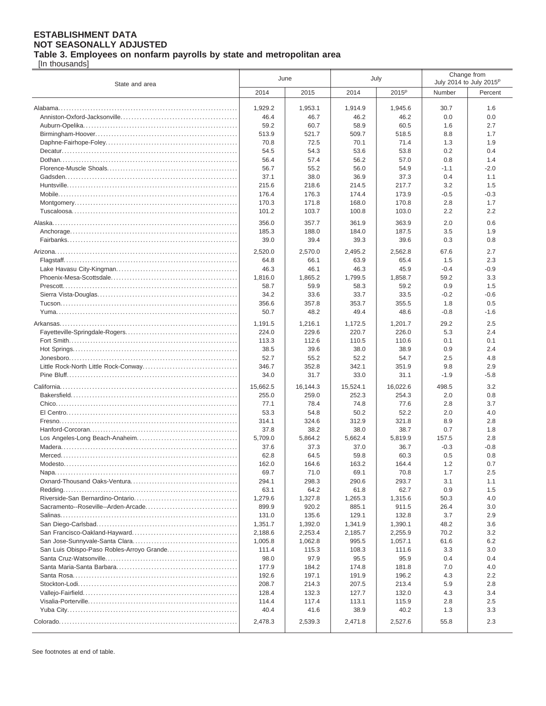**Table 3. Employees on nonfarm payrolls by state and metropolitan area**

[In thousands]

| State and area                            |          | June     |          | July              | Change from<br>July 2014 to July 2015 <sup>P</sup> |         |
|-------------------------------------------|----------|----------|----------|-------------------|----------------------------------------------------|---------|
|                                           | 2014     | 2015     | 2014     | 2015 <sup>p</sup> | Number                                             | Percent |
|                                           | 1,929.2  | 1,953.1  | 1,914.9  | 1,945.6           | 30.7                                               | 1.6     |
|                                           | 46.4     | 46.7     | 46.2     | 46.2              | 0.0                                                | 0.0     |
|                                           | 59.2     | 60.7     | 58.9     | 60.5              | 1.6                                                | 2.7     |
|                                           | 513.9    | 521.7    | 509.7    | 518.5             | 8.8                                                | 1.7     |
|                                           | 70.8     | 72.5     | 70.1     | 71.4              | 1.3                                                | 1.9     |
|                                           | 54.5     | 54.3     | 53.6     | 53.8              | 0.2                                                | 0.4     |
|                                           | 56.4     | 57.4     | 56.2     | 57.0              | 0.8                                                | 1.4     |
|                                           | 56.7     | 55.2     | 56.0     | 54.9              | $-1.1$                                             | $-2.0$  |
|                                           | 37.1     | 38.0     | 36.9     | 37.3              | 0.4                                                | 1.1     |
|                                           | 215.6    | 218.6    | 214.5    | 217.7             | 3.2                                                | 1.5     |
|                                           | 176.4    | 176.3    | 174.4    | 173.9             | -0.5                                               | $-0.3$  |
|                                           | 170.3    | 171.8    | 168.0    | 170.8             | 2.8                                                | 1.7     |
|                                           | 101.2    | 103.7    | 100.8    | 103.0             | 2.2                                                | 2.2     |
|                                           |          |          |          |                   |                                                    |         |
|                                           | 356.0    | 357.7    | 361.9    | 363.9             | 2.0                                                | 0.6     |
|                                           | 185.3    | 188.0    | 184.0    | 187.5             | 3.5                                                | 1.9     |
|                                           | 39.0     | 39.4     | 39.3     | 39.6              | 0.3                                                | 0.8     |
|                                           | 2,520.0  | 2,570.0  | 2,495.2  | 2,562.8           | 67.6                                               | 2.7     |
|                                           | 64.8     | 66.1     | 63.9     | 65.4              | 1.5                                                | 2.3     |
|                                           | 46.3     | 46.1     | 46.3     | 45.9              | $-0.4$                                             | $-0.9$  |
|                                           | 1.816.0  | 1,865.2  | 1,799.5  | 1,858.7           | 59.2                                               | 3.3     |
|                                           | 58.7     | 59.9     | 58.3     | 59.2              | 0.9                                                | 1.5     |
|                                           | 34.2     | 33.6     | 33.7     | 33.5              | $-0.2$                                             | $-0.6$  |
|                                           | 356.6    | 357.8    | 353.7    | 355.5             | 1.8                                                | 0.5     |
|                                           | 50.7     | 48.2     | 49.4     | 48.6              | $-0.8$                                             | $-1.6$  |
|                                           | 1.191.5  | 1,216.1  | 1,172.5  | 1,201.7           | 29.2                                               | 2.5     |
|                                           | 224.0    | 229.6    | 220.7    | 226.0             | 5.3                                                | 2.4     |
|                                           | 113.3    | 112.6    | 110.5    | 110.6             | 0.1                                                | 0.1     |
|                                           | 38.5     | 39.6     | 38.0     | 38.9              | 0.9                                                | 2.4     |
|                                           | 52.7     | 55.2     | 52.2     | 54.7              | 2.5                                                | 4.8     |
|                                           | 346.7    | 352.8    | 342.1    | 351.9             | 9.8                                                | 2.9     |
|                                           | 34.0     | 31.7     | 33.0     | 31.1              | $-1.9$                                             | $-5.8$  |
|                                           |          |          |          |                   |                                                    |         |
|                                           | 15,662.5 | 16,144.3 | 15,524.1 | 16,022.6          | 498.5                                              | 3.2     |
|                                           | 255.0    | 259.0    | 252.3    | 254.3             | 2.0                                                | 0.8     |
|                                           | 77.1     | 78.4     | 74.8     | 77.6              | 2.8                                                | 3.7     |
|                                           | 53.3     | 54.8     | 50.2     | 52.2              | 2.0                                                | 4.0     |
|                                           | 314.1    | 324.6    | 312.9    | 321.8             | 8.9                                                | 2.8     |
|                                           | 37.8     | 38.2     | 38.0     | 38.7              | 0.7                                                | 1.8     |
|                                           | 5,709.0  | 5,864.2  | 5.662.4  | 5,819.9           | 157.5                                              | 2.8     |
|                                           | 37.6     | 37.3     | 37.0     | 36.7              | $-0.3$                                             | $-0.8$  |
|                                           | 62.8     | 64.5     | 59.8     | 60.3              | 0.5                                                | 0.8     |
|                                           | 162.0    | 164.6    | 163.2    | 164.4             | 1.2                                                | 0.7     |
|                                           | 69.7     | 71.0     | 69.1     | 70.8              | 1.7                                                | 2.5     |
|                                           | 294.1    | 298.3    | 290.6    | 293.7             | 3.1                                                | 1.1     |
|                                           | 63.1     | 64.2     | 61.8     | 62.7              | 0.9                                                | 1.5     |
|                                           | 1,279.6  | 1,327.8  | 1,265.3  | 1,315.6           | 50.3                                               | 4.0     |
|                                           | 899.9    | 920.2    | 885.1    | 911.5             | 26.4                                               | 3.0     |
|                                           | 131.0    | 135.6    | 129.1    | 132.8             | 3.7                                                | 2.9     |
|                                           | 1,351.7  | 1,392.0  | 1,341.9  | 1,390.1           | 48.2                                               | 3.6     |
|                                           | 2,188.6  | 2,253.4  | 2,185.7  | 2,255.9           | 70.2                                               | 3.2     |
|                                           | 1,005.8  | 1,062.8  | 995.5    | 1,057.1           | 61.6                                               | 6.2     |
| San Luis Obispo-Paso Robles-Arroyo Grande | 111.4    | 115.3    | 108.3    | 111.6             | 3.3                                                | 3.0     |
|                                           | 98.0     | 97.9     | 95.5     | 95.9              | 0.4                                                | 0.4     |
|                                           | 177.9    | 184.2    | 174.8    | 181.8             | 7.0                                                | 4.0     |
|                                           | 192.6    | 197.1    | 191.9    | 196.2             | 4.3                                                | 2.2     |
| $Stockton-Lodi$                           | 208.7    | 214.3    | 207.5    | 213.4             | 5.9                                                | 2.8     |
|                                           | 128.4    | 132.3    | 127.7    | 132.0             | 4.3                                                | 3.4     |
|                                           | 114.4    | 117.4    | 113.1    | 115.9             | 2.8                                                | 2.5     |
|                                           | 40.4     | 41.6     | 38.9     | 40.2              | 1.3                                                | 3.3     |
|                                           | 2,478.3  | 2,539.3  | 2,471.8  | 2,527.6           | 55.8                                               | 2.3     |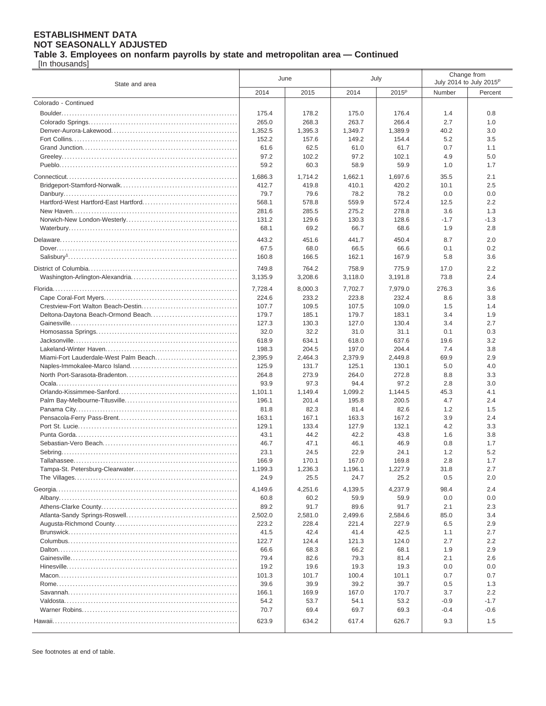**Table 3. Employees on nonfarm payrolls by state and metropolitan area — Continued**

[In thousands]

| State and area                        |                | June            |                 | July              |             | Change from<br>July 2014 to July 2015 <sup>P</sup> |
|---------------------------------------|----------------|-----------------|-----------------|-------------------|-------------|----------------------------------------------------|
|                                       | 2014           | 2015            | 2014            | 2015 <sup>P</sup> | Number      | Percent                                            |
| Colorado - Continued                  |                |                 |                 |                   |             |                                                    |
|                                       | 175.4          | 178.2           | 175.0           | 176.4             | 1.4         | 0.8                                                |
|                                       | 265.0          | 268.3           | 263.7           | 266.4             | 2.7         | 1.0                                                |
|                                       | 1,352.5        | 1,395.3         | 1,349.7         | 1,389.9           | 40.2        | 3.0                                                |
|                                       | 152.2          | 157.6           | 149.2           | 154.4             | 5.2         | 3.5                                                |
|                                       | 61.6           | 62.5            | 61.0            | 61.7              | 0.7         | 1.1                                                |
|                                       | 97.2           | 102.2           | 97.2            | 102.1             | 4.9         | 5.0                                                |
|                                       | 59.2           | 60.3            | 58.9            | 59.9              | 1.0         | 1.7                                                |
|                                       | 1,686.3        | 1,714.2         | 1,662.1         | 1,697.6           | 35.5        | 2.1                                                |
|                                       | 412.7          | 419.8           | 410.1           | 420.2             | 10.1        | 2.5                                                |
|                                       | 79.7           | 79.6            | 78.2            | 78.2              | 0.0         | 0.0                                                |
|                                       | 568.1          | 578.8           | 559.9           | 572.4             | 12.5        | 2.2                                                |
|                                       | 281.6          | 285.5           | 275.2           | 278.8             | 3.6         | 1.3                                                |
|                                       | 131.2          | 129.6           | 130.3           | 128.6             | $-1.7$      | $-1.3$                                             |
|                                       | 68.1           | 69.2            | 66.7            | 68.6              | 1.9         | 2.8                                                |
|                                       | 443.2          | 451.6           | 441.7           | 450.4             | 8.7         | 2.0                                                |
|                                       | 67.5           | 68.0            | 66.5            | 66.6              | 0.1         | 0.2                                                |
|                                       | 160.8          | 166.5           | 162.1           | 167.9             | 5.8         | 3.6                                                |
|                                       | 749.8          | 764.2           | 758.9           | 775.9             | 17.0        | 2.2                                                |
|                                       | 3,135.9        | 3,208.6         | 3,118.0         | 3,191.8           | 73.8        | 2.4                                                |
|                                       |                |                 |                 |                   |             |                                                    |
|                                       | 7,728.4        | 8,000.3         | 7,702.7         | 7,979.0           | 276.3       | 3.6                                                |
|                                       | 224.6          | 233.2           | 223.8           | 232.4             | 8.6         | 3.8                                                |
| Deltona-Daytona Beach-Ormond Beach    | 107.7<br>179.7 | 109.5<br>185.1  | 107.5<br>179.7  | 109.0<br>183.1    | 1.5<br>3.4  | 1.4<br>1.9                                         |
|                                       | 127.3          | 130.3           | 127.0           | 130.4             | 3.4         | 2.7                                                |
|                                       | 32.0           | 32.2            | 31.0            | 31.1              | 0.1         | 0.3                                                |
|                                       | 618.9          | 634.1           | 618.0           | 637.6             | 19.6        | 3.2                                                |
|                                       | 198.3          | 204.5           | 197.0           | 204.4             | 7.4         | 3.8                                                |
| Miami-Fort Lauderdale-West Palm Beach | 2,395.9        | 2,464.3         | 2,379.9         | 2,449.8           | 69.9        | 2.9                                                |
|                                       | 125.9          | 131.7           | 125.1           | 130.1             | 5.0         | 4.0                                                |
|                                       | 264.8          | 273.9           | 264.0           | 272.8             | 8.8         | 3.3                                                |
|                                       | 93.9           | 97.3            | 94.4            | 97.2              | 2.8         | 3.0                                                |
|                                       | 1,101.1        | 1,149.4         | 1,099.2         | 1,144.5           | 45.3        | 4.1                                                |
|                                       | 196.1          | 201.4           | 195.8           | 200.5             | 4.7         | 2.4                                                |
|                                       | 81.8           | 82.3            | 81.4            | 82.6              | 1.2         | 1.5                                                |
|                                       | 163.1          | 167.1           | 163.3           | 167.2             | 3.9         | 2.4                                                |
|                                       | 129.1          | 133.4           | 127.9           | 132.1             | 4.2         | 3.3                                                |
|                                       | 43.1           | 44.2            | 42.2            | 43.8              | 1.6         | 3.8                                                |
|                                       | 46.7           | 47.1            | 46.1            | 46.9              | 0.8         | 1.7<br>5.2                                         |
|                                       | 23.1<br>166.9  | 24.5<br>170.1   | 22.9<br>167.0   | 24.1<br>169.8     | 1.2<br>2.8  | 1.7                                                |
| Tampa-St. Petersburg-Clearwater       | 1.199.3        | 1.236.3         | 1.196.1         | 1.227.9           | 31.8        | 2.7                                                |
|                                       | 24.9           | 25.5            | 24.7            | 25.2              | 0.5         | 2.0                                                |
|                                       |                |                 |                 |                   |             |                                                    |
|                                       | 4,149.6        | 4,251.6<br>60.2 | 4,139.5<br>59.9 | 4,237.9<br>59.9   | 98.4<br>0.0 | 2.4<br>0.0                                         |
|                                       | 60.8<br>89.2   | 91.7            | 89.6            | 91.7              | 2.1         | 2.3                                                |
|                                       | 2,502.0        | 2,581.0         | 2,499.6         | 2,584.6           | 85.0        | 3.4                                                |
|                                       | 223.2          | 228.4           | 221.4           | 227.9             | 6.5         | 2.9                                                |
|                                       | 41.5           | 42.4            | 41.4            | 42.5              | 1.1         | 2.7                                                |
|                                       | 122.7          | 124.4           | 121.3           | 124.0             | 2.7         | 2.2                                                |
|                                       | 66.6           | 68.3            | 66.2            | 68.1              | 1.9         | 2.9                                                |
|                                       | 79.4           | 82.6            | 79.3            | 81.4              | 2.1         | 2.6                                                |
|                                       | 19.2           | 19.6            | 19.3            | 19.3              | 0.0         | 0.0                                                |
|                                       | 101.3          | 101.7           | 100.4           | 101.1             | 0.7         | 0.7                                                |
|                                       | 39.6           | 39.9            | 39.2            | 39.7              | 0.5         | 1.3                                                |
|                                       | 166.1          | 169.9           | 167.0           | 170.7             | 3.7         | 2.2                                                |
|                                       | 54.2           | 53.7            | 54.1            | 53.2              | $-0.9$      | $-1.7$                                             |
|                                       | 70.7           | 69.4            | 69.7            | 69.3              | $-0.4$      | $-0.6$                                             |
|                                       | 623.9          | 634.2           | 617.4           | 626.7             | 9.3         | 1.5                                                |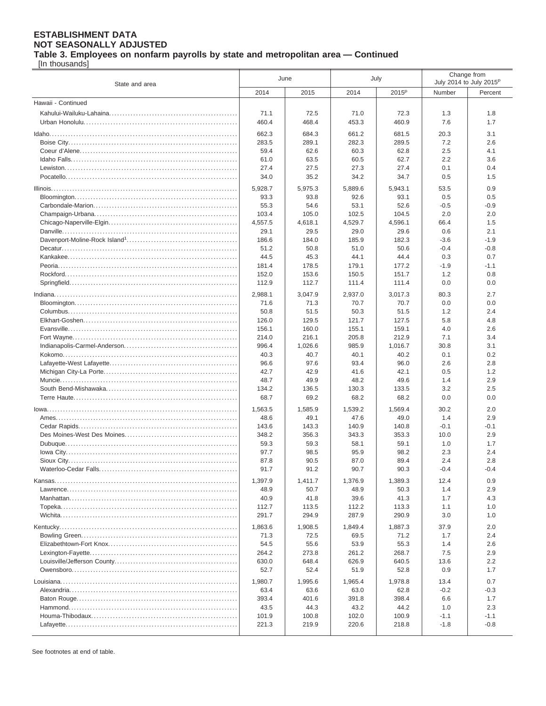**Table 3. Employees on nonfarm payrolls by state and metropolitan area — Continued**

[In thousands]

| State and area       |              | June         |              | July              |            | Change from<br>July 2014 to July 2015 <sup>P</sup> |
|----------------------|--------------|--------------|--------------|-------------------|------------|----------------------------------------------------|
|                      | 2014         | 2015         | 2014         | 2015 <sup>P</sup> | Number     | Percent                                            |
| Hawaii - Continued   |              |              |              |                   |            |                                                    |
|                      | 71.1         | 72.5         | 71.0         | 72.3              | 1.3        | 1.8                                                |
|                      | 460.4        | 468.4        | 453.3        | 460.9             | 7.6        | 1.7                                                |
|                      | 662.3        | 684.3        | 661.2        | 681.5             | 20.3       | 3.1                                                |
|                      | 283.5        | 289.1        | 282.3        | 289.5             | 7.2        | 2.6                                                |
|                      | 59.4         | 62.6         | 60.3         | 62.8              | 2.5        | 4.1                                                |
|                      | 61.0         | 63.5         | 60.5         | 62.7              | 2.2        | 3.6                                                |
|                      | 27.4         | 27.5         | 27.3         | 27.4              | 0.1        | 0.4                                                |
|                      | 34.0         | 35.2         | 34.2         | 34.7              | 0.5        | 1.5                                                |
|                      | 5.928.7      | 5,975.3      | 5,889.6      | 5,943.1           | 53.5       | 0.9                                                |
|                      | 93.3         | 93.8         | 92.6         | 93.1              | 0.5        | 0.5                                                |
|                      | 55.3         | 54.6         | 53.1         | 52.6              | $-0.5$     | $-0.9$                                             |
|                      | 103.4        | 105.0        | 102.5        | 104.5             | 2.0        | 2.0                                                |
|                      | 4,557.5      | 4,618.1      | 4,529.7      | 4,596.1           | 66.4       | 1.5                                                |
|                      | 29.1         | 29.5         | 29.0         | 29.6              | 0.6        | 2.1                                                |
|                      | 186.6        | 184.0        | 185.9        | 182.3             | $-3.6$     | $-1.9$                                             |
|                      | 51.2         | 50.8         | 51.0         | 50.6              | $-0.4$     | $-0.8$                                             |
|                      | 44.5         | 45.3         | 44.1         | 44.4              | 0.3        | 0.7                                                |
|                      | 181.4        | 178.5        | 179.1        | 177.2             | $-1.9$     | $-1.1$                                             |
|                      | 152.0        | 153.6        | 150.5        | 151.7             | 1.2        | 0.8                                                |
|                      | 112.9        | 112.7        | 111.4        | 111.4             | 0.0        | 0.0                                                |
|                      | 2.988.1      | 3,047.9      | 2,937.0      | 3,017.3           | 80.3       | 2.7                                                |
|                      | 71.6         | 71.3         | 70.7         | 70.7              | 0.0        | 0.0                                                |
|                      | 50.8         | 51.5         | 50.3         | 51.5              | 1.2        | 2.4                                                |
|                      | 126.0        | 129.5        | 121.7        | 127.5             | 5.8        | 4.8                                                |
|                      | 156.1        | 160.0        | 155.1        | 159.1             | 4.0        | 2.6                                                |
|                      | 214.0        | 216.1        | 205.8        | 212.9             | 7.1        | 3.4                                                |
|                      | 996.4        | 1,026.6      | 985.9        | 1,016.7           | 30.8       | 3.1                                                |
|                      | 40.3<br>96.6 | 40.7<br>97.6 | 40.1<br>93.4 | 40.2<br>96.0      | 0.1<br>2.6 | 0.2<br>2.8                                         |
|                      | 42.7         | 42.9         | 41.6         | 42.1              | 0.5        | 1.2                                                |
|                      | 48.7         | 49.9         | 48.2         | 49.6              | 1.4        | 2.9                                                |
|                      | 134.2        | 136.5        | 130.3        | 133.5             | 3.2        | 2.5                                                |
|                      | 68.7         | 69.2         | 68.2         | 68.2              | 0.0        | 0.0                                                |
|                      | 1,563.5      | 1,585.9      | 1,539.2      | 1,569.4           | 30.2       | 2.0                                                |
|                      | 48.6         | 49.1         | 47.6         | 49.0              | 1.4        | 2.9                                                |
|                      | 143.6        | 143.3        | 140.9        | 140.8             | $-0.1$     | $-0.1$                                             |
|                      | 348.2        | 356.3        | 343.3        | 353.3             | 10.0       | 2.9                                                |
|                      | 59.3         | 59.3         | 58.1         | 59.1              | 1.0        | 1.7                                                |
|                      | 97.7         | 98.5         | 95.9         | 98.2              | 2.3        | 2.4                                                |
|                      | 87.8         | 90.5         | 87.0         | 89.4              | 2.4        | 2.8                                                |
| Waterloo-Cedar Falls | 91.7         | 91.2         | 90.7         | 90.3              | $-0.4$     | $-0.4$                                             |
|                      | 1,397.9      | 1,411.7      | 1,376.9      | 1,389.3           | 12.4       | 0.9                                                |
|                      | 48.9         | 50.7         | 48.9         | 50.3              | 1.4        | 2.9                                                |
|                      | 40.9         | 41.8         | 39.6         | 41.3              | 1.7        | 4.3                                                |
|                      | 112.7        | 113.5        | 112.2        | 113.3             | 1.1        | 1.0                                                |
|                      | 291.7        | 294.9        | 287.9        | 290.9             | 3.0        | 1.0                                                |
|                      | 1,863.6      | 1,908.5      | 1,849.4      | 1,887.3           | 37.9       | 2.0                                                |
|                      | 71.3         | 72.5         | 69.5         | 71.2              | 1.7        | 2.4                                                |
|                      | 54.5         | 55.6         | 53.9         | 55.3              | 1.4        | 2.6                                                |
|                      | 264.2        | 273.8        | 261.2        | 268.7             | 7.5        | 2.9                                                |
|                      | 630.0        | 648.4        | 626.9        | 640.5             | 13.6       | $2.2\,$                                            |
|                      | 52.7         | 52.4         | 51.9         | 52.8              | 0.9        | 1.7                                                |
|                      | 1,980.7      | 1,995.6      | 1,965.4      | 1,978.8           | 13.4       | 0.7                                                |
|                      | 63.4         | 63.6         | 63.0         | 62.8              | $-0.2$     | $-0.3$                                             |
|                      | 393.4        | 401.6        | 391.8        | 398.4             | 6.6        | 1.7                                                |
|                      | 43.5         | 44.3         | 43.2         | 44.2              | 1.0        | 2.3                                                |
|                      | 101.9        | 100.8        | 102.0        | 100.9             | $-1.1$     | $-1.1$                                             |
|                      | 221.3        | 219.9        | 220.6        | 218.8             | $-1.8$     | $-0.8$                                             |
|                      |              |              |              |                   |            |                                                    |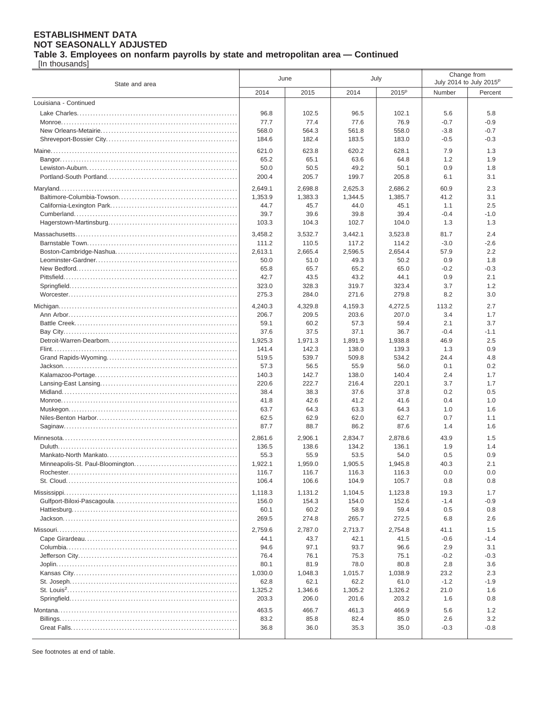**Table 3. Employees on nonfarm payrolls by state and metropolitan area — Continued**

[In thousands]

| State and area        | June             |               | July          |                   | Change from<br>July 2014 to July 2015 <sup>P</sup> |               |
|-----------------------|------------------|---------------|---------------|-------------------|----------------------------------------------------|---------------|
|                       | 2014             | 2015          | 2014          | 2015 <sup>P</sup> | Number                                             | Percent       |
| Louisiana - Continued |                  |               |               |                   |                                                    |               |
|                       | 96.8             | 102.5         | 96.5          | 102.1             | 5.6                                                | 5.8           |
|                       | 77.7             | 77.4          | 77.6          | 76.9              | $-0.7$                                             | $-0.9$        |
|                       | 568.0            | 564.3         | 561.8         | 558.0             | $-3.8$                                             | $-0.7$        |
|                       | 184.6            | 182.4         | 183.5         | 183.0             | $-0.5$                                             | $-0.3$        |
|                       | 621.0            | 623.8         | 620.2         | 628.1             | 7.9                                                | 1.3           |
|                       | 65.2             | 65.1          | 63.6          | 64.8              | 1.2                                                | 1.9           |
|                       | 50.0             | 50.5          | 49.2          | 50.1              | 0.9                                                | 1.8           |
|                       | 200.4            | 205.7         | 199.7         | 205.8             | 6.1                                                | 3.1           |
|                       | 2,649.1          | 2,698.8       | 2,625.3       | 2,686.2           | 60.9                                               | 2.3           |
|                       | 1,353.9          | 1,383.3       | 1,344.5       | 1,385.7           | 41.2                                               | 3.1           |
|                       | 44.7             | 45.7          | 44.0          | 45.1              | 1.1                                                | 2.5           |
|                       | 39.7             | 39.6          | 39.8          | 39.4              | -0.4                                               | $-1.0$        |
|                       | 103.3            | 104.3         | 102.7         | 104.0             | 1.3                                                | 1.3           |
|                       |                  |               |               |                   |                                                    |               |
|                       | 3,458.2          | 3,532.7       | 3,442.1       | 3,523.8           | 81.7                                               | 2.4           |
|                       | 111.2            | 110.5         | 117.2         | 114.2             | $-3.0$                                             | $-2.6$        |
|                       | 2,613.1          | 2,665.4       | 2,596.5       | 2,654.4           | 57.9                                               | 2.2           |
|                       | 50.0<br>65.8     | 51.0<br>65.7  | 49.3<br>65.2  | 50.2<br>65.0      | 0.9<br>$-0.2$                                      | 1.8<br>$-0.3$ |
|                       | 42.7             | 43.5          | 43.2          | 44.1              | 0.9                                                | 2.1           |
|                       | 323.0            | 328.3         | 319.7         | 323.4             | 3.7                                                | 1.2           |
|                       | 275.3            | 284.0         | 271.6         | 279.8             | 8.2                                                | 3.0           |
|                       |                  |               |               |                   |                                                    |               |
|                       | 4,240.3<br>206.7 | 4,329.8       | 4,159.3       | 4,272.5           | 113.2<br>3.4                                       | 2.7<br>1.7    |
|                       | 59.1             | 209.5<br>60.2 | 203.6<br>57.3 | 207.0<br>59.4     | 2.1                                                | 3.7           |
|                       | 37.6             | 37.5          | 37.1          | 36.7              | $-0.4$                                             | $-1.1$        |
|                       | 1,925.3          | 1,971.3       | 1,891.9       | 1,938.8           | 46.9                                               | 2.5           |
|                       | 141.4            | 142.3         | 138.0         | 139.3             | 1.3                                                | 0.9           |
|                       | 519.5            | 539.7         | 509.8         | 534.2             | 24.4                                               | 4.8           |
|                       | 57.3             | 56.5          | 55.9          | 56.0              | 0.1                                                | 0.2           |
|                       | 140.3            | 142.7         | 138.0         | 140.4             | 2.4                                                | 1.7           |
|                       | 220.6            | 222.7         | 216.4         | 220.1             | 3.7                                                | 1.7           |
|                       | 38.4             | 38.3          | 37.6          | 37.8              | 0.2                                                | 0.5           |
|                       | 41.8             | 42.6          | 41.2          | 41.6              | 0.4                                                | 1.0           |
|                       | 63.7             | 64.3          | 63.3          | 64.3              | 1.0                                                | 1.6           |
|                       | 62.5             | 62.9          | 62.0          | 62.7              | 0.7                                                | 1.1           |
|                       | 87.7             | 88.7          | 86.2          | 87.6              | 1.4                                                | 1.6           |
|                       | 2,861.6          | 2,906.1       | 2,834.7       | 2,878.6           | 43.9                                               | 1.5           |
|                       | 136.5            | 138.6         | 134.2         | 136.1             | 1.9                                                | 1.4           |
|                       | 55.3             | 55.9          | 53.5          | 54.0              | 0.5                                                | 0.9           |
|                       | 1,922.1          | 1,959.0       | 1,905.5       | 1,945.8           | 40.3                                               | 2.1           |
|                       | 116.7            | 116.7         | 116.3         | 116.3             | 0.0                                                | 0.0           |
|                       | 106.4            | 106.6         | 104.9         | 105.7             | 0.8                                                | 0.8           |
|                       | 1,118.3          | 1,131.2       | 1,104.5       | 1,123.8           | 19.3                                               | 1.7           |
|                       | 156.0            | 154.3         | 154.0         | 152.6             | $-1.4$                                             | $-0.9$        |
|                       | 60.1             | 60.2          | 58.9          | 59.4              | 0.5                                                | 0.8           |
|                       | 269.5            | 274.8         | 265.7         | 272.5             | 6.8                                                | 2.6           |
|                       | 2,759.6          | 2,787.0       | 2,713.7       | 2,754.8           | 41.1                                               | 1.5           |
|                       | 44.1             | 43.7          | 42.1          | 41.5              | $-0.6$                                             | $-1.4$        |
|                       | 94.6             | 97.1          | 93.7          | 96.6              | 2.9                                                | 3.1           |
|                       | 76.4             | 76.1          | 75.3          | 75.1              | $-0.2$                                             | $-0.3$        |
|                       | 80.1             | 81.9          | 78.0          | 80.8              | 2.8                                                | 3.6           |
|                       | 1,030.0          | 1,048.3       | 1,015.7       | 1,038.9           | 23.2                                               | 2.3           |
|                       | 62.8             | 62.1          | 62.2          | 61.0              | $-1.2$                                             | $-1.9$        |
|                       | 1,325.2          | 1,346.6       | 1,305.2       | 1,326.2           | 21.0                                               | 1.6           |
|                       | 203.3            | 206.0         | 201.6         | 203.2             | 1.6                                                | 0.8           |
|                       | 463.5            | 466.7         | 461.3         | 466.9             | 5.6                                                | 1.2           |
|                       | 83.2             | 85.8          | 82.4          | 85.0              | 2.6                                                | 3.2           |
|                       | 36.8             | 36.0          | 35.3          | 35.0              | $-0.3$                                             | $-0.8$        |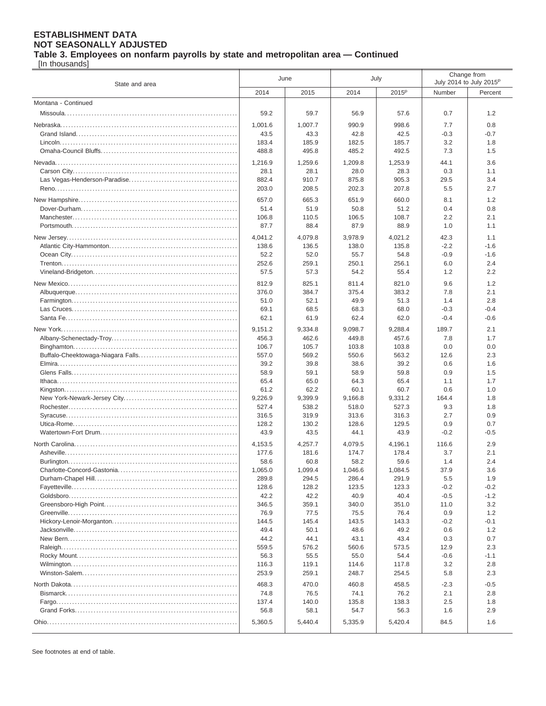**Table 3. Employees on nonfarm payrolls by state and metropolitan area — Continued**

[In thousands]

| State and area      | June          |               | July          |                   | Change from<br>July 2014 to July 2015 <sup>p</sup> |                  |
|---------------------|---------------|---------------|---------------|-------------------|----------------------------------------------------|------------------|
|                     | 2014          | 2015          | 2014          | 2015 <sup>P</sup> | Number                                             | Percent          |
| Montana - Continued |               |               |               |                   |                                                    |                  |
|                     | 59.2          | 59.7          | 56.9          | 57.6              | 0.7                                                | 1.2              |
|                     | 1,001.6       | 1,007.7       | 990.9         | 998.6             | 7.7                                                | 0.8              |
|                     | 43.5          | 43.3          | 42.8          | 42.5              | $-0.3$                                             | $-0.7$           |
|                     | 183.4         | 185.9         | 182.5         | 185.7             | 3.2                                                | 1.8              |
|                     | 488.8         | 495.8         | 485.2         | 492.5             | 7.3                                                | 1.5              |
|                     | 1,216.9       | 1,259.6       | 1,209.8       | 1,253.9           | 44.1                                               | 3.6              |
|                     | 28.1          | 28.1          | 28.0          | 28.3              | 0.3                                                | 1.1              |
|                     | 882.4         | 910.7         | 875.8         | 905.3             | 29.5                                               | 3.4              |
|                     | 203.0         | 208.5         | 202.3         | 207.8             | 5.5                                                | 2.7              |
|                     | 657.0         | 665.3         | 651.9         | 660.0             | 8.1                                                | 1.2              |
|                     | 51.4          | 51.9          | 50.8          | 51.2              | 0.4                                                | 0.8              |
|                     | 106.8         | 110.5         | 106.5         | 108.7             | 2.2                                                | 2.1              |
|                     | 87.7          | 88.4          | 87.9          | 88.9              | 1.0                                                | 1.1              |
|                     | 4,041.2       | 4,079.8       | 3,978.9       | 4,021.2           | 42.3                                               | 1.1              |
|                     | 138.6         | 136.5         | 138.0         | 135.8             | $-2.2$                                             | $-1.6$           |
|                     | 52.2          | 52.0          | 55.7          | 54.8              | $-0.9$                                             | $-1.6$           |
|                     | 252.6         | 259.1         | 250.1         | 256.1             | 6.0                                                | 2.4              |
|                     | 57.5          | 57.3          | 54.2          | 55.4              | 1.2                                                | 2.2              |
|                     | 812.9         | 825.1         | 811.4         | 821.0             | 9.6                                                | 1.2              |
|                     | 376.0         | 384.7         | 375.4         | 383.2             | 7.8                                                | 2.1              |
|                     | 51.0          | 52.1          | 49.9          | 51.3              | 1.4                                                | 2.8              |
|                     | 69.1          | 68.5          | 68.3          | 68.0              | $-0.3$                                             | $-0.4$           |
|                     | 62.1          | 61.9          | 62.4          | 62.0              | $-0.4$                                             | $-0.6$           |
|                     | 9,151.2       | 9,334.8       | 9,098.7       | 9,288.4           | 189.7                                              | 2.1              |
|                     | 456.3         | 462.6         | 449.8         | 457.6             | 7.8                                                | 1.7              |
|                     | 106.7         | 105.7         | 103.8         | 103.8             | 0.0                                                | 0.0              |
|                     | 557.0<br>39.2 | 569.2<br>39.8 | 550.6<br>38.6 | 563.2<br>39.2     | 12.6                                               | 2.3<br>1.6       |
|                     | 58.9          | 59.1          | 58.9          | 59.8              | 0.6<br>0.9                                         | 1.5              |
|                     | 65.4          | 65.0          | 64.3          | 65.4              | 1.1                                                | 1.7              |
|                     | 61.2          | 62.2          | 60.1          | 60.7              | 0.6                                                | 1.0              |
|                     | 9,226.9       | 9,399.9       | 9,166.8       | 9,331.2           | 164.4                                              | 1.8              |
|                     | 527.4         | 538.2         | 518.0         | 527.3             | 9.3                                                | 1.8              |
|                     | 316.5         | 319.9         | 313.6         | 316.3             | 2.7                                                | 0.9              |
|                     | 128.2         | 130.2         | 128.6         | 129.5             | 0.9                                                | 0.7              |
|                     | 43.9          | 43.5          | 44.1          | 43.9              | $-0.2$                                             | $-0.5$           |
|                     | 4,153.5       | 4,257.7       | 4,079.5       | 4,196.1           | 116.6                                              | 2.9              |
|                     | 177.6         | 181.6         | 174.7         | 178.4             | 3.7                                                | 2.1              |
|                     | 58.6          | 60.8          | 58.2          | 59.6              | 1.4                                                | 2.4              |
|                     | 1,065.0       | 1,099.4       | 1,046.6       | 1,084.5           | 37.9                                               | 3.6              |
|                     | 289.8         | 294.5         | 286.4         | 291.9             | 5.5                                                | 1.9              |
|                     | 128.6<br>42.2 | 128.2<br>42.2 | 123.5<br>40.9 | 123.3<br>40.4     | $-0.2$<br>$-0.5$                                   | $-0.2$<br>$-1.2$ |
|                     | 346.5         | 359.1         | 340.0         | 351.0             | 11.0                                               | 3.2              |
|                     | 76.9          | 77.5          | 75.5          | 76.4              | 0.9                                                | 1.2              |
|                     | 144.5         | 145.4         | 143.5         | 143.3             | $-0.2$                                             | $-0.1$           |
|                     | 49.4          | 50.1          | 48.6          | 49.2              | 0.6                                                | 1.2              |
|                     | 44.2          | 44.1          | 43.1          | 43.4              | 0.3                                                | 0.7              |
|                     | 559.5         | 576.2         | 560.6         | 573.5             | 12.9                                               | 2.3              |
|                     | 56.3          | 55.5          | 55.0          | 54.4              | $-0.6$                                             | $-1.1$           |
|                     | 116.3         | 119.1         | 114.6         | 117.8             | 3.2                                                | 2.8              |
|                     | 253.9         | 259.1         | 248.7         | 254.5             | 5.8                                                | 2.3              |
|                     | 468.3         | 470.0         | 460.8         | 458.5             | $-2.3$                                             | $-0.5$           |
|                     | 74.8          | 76.5          | 74.1          | 76.2              | 2.1                                                | 2.8              |
|                     | 137.4         | 140.0         | 135.8         | 138.3             | 2.5                                                | 1.8              |
|                     | 56.8          | 58.1          | 54.7          | 56.3              | 1.6                                                | 2.9              |
|                     | 5,360.5       | 5,440.4       | 5,335.9       | 5,420.4           | 84.5                                               | 1.6              |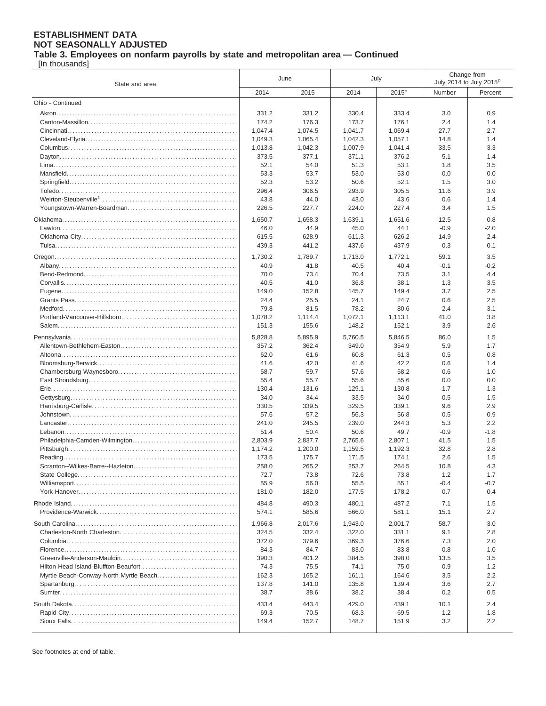**Table 3. Employees on nonfarm payrolls by state and metropolitan area — Continued**

[In thousands]

| State and area   | June           |                | July           |                   | Change from<br>July 2014 to July 2015 <sup>P</sup> |               |
|------------------|----------------|----------------|----------------|-------------------|----------------------------------------------------|---------------|
|                  | 2014           | 2015           | 2014           | 2015 <sup>P</sup> | Number                                             | Percent       |
| Ohio - Continued |                |                |                |                   |                                                    |               |
|                  | 331.2          | 331.2          | 330.4          | 333.4             | 3.0                                                | 0.9           |
|                  | 174.2          | 176.3          | 173.7          | 176.1             | 2.4                                                | 1.4           |
|                  | 1,047.4        | 1,074.5        | 1.041.7        | 1,069.4           | 27.7                                               | 2.7           |
|                  | 1,049.3        | 1,065.4        | 1,042.3        | 1,057.1           | 14.8                                               | 1.4           |
|                  | 1,013.8        | 1,042.3        | 1,007.9        | 1,041.4           | 33.5                                               | 3.3           |
|                  | 373.5          | 377.1          | 371.1          | 376.2             | 5.1                                                | 1.4           |
|                  | 52.1           | 54.0           | 51.3           | 53.1              | 1.8                                                | 3.5           |
|                  | 53.3           | 53.7           | 53.0           | 53.0              | 0.0                                                | 0.0           |
|                  | 52.3           | 53.2           | 50.6           | 52.1              | 1.5                                                | 3.0           |
|                  | 296.4          | 306.5          | 293.9          | 305.5             | 11.6                                               | 3.9           |
|                  | 43.8           | 44.0           | 43.0           | 43.6              | 0.6                                                | 1.4           |
|                  | 226.5          | 227.7          | 224.0          | 227.4             | 3.4                                                | 1.5           |
|                  | 1,650.7        | 1,658.3        | 1,639.1        | 1,651.6           | 12.5                                               | 0.8           |
|                  | 46.0           | 44.9           | 45.0           | 44.1              | $-0.9$                                             | $-2.0$        |
|                  | 615.5          | 628.9          | 611.3          | 626.2             | 14.9                                               | 2.4           |
|                  | 439.3          | 441.2          | 437.6          | 437.9             | 0.3                                                | 0.1           |
|                  | 1,730.2        | 1,789.7        | 1,713.0        | 1,772.1           | 59.1                                               | 3.5           |
|                  | 40.9           | 41.8           | 40.5           | 40.4              | $-0.1$                                             | $-0.2$        |
|                  | 70.0           | 73.4           | 70.4           | 73.5              | 3.1                                                | 4.4           |
|                  | 40.5           | 41.0           | 36.8           | 38.1              | 1.3                                                | 3.5           |
|                  | 149.0          | 152.8          | 145.7          | 149.4             | 3.7                                                | 2.5           |
|                  | 24.4           | 25.5           | 24.1           | 24.7              | 0.6                                                | 2.5           |
|                  | 79.8           | 81.5           | 78.2           | 80.6              | 2.4                                                | 3.1           |
|                  | 1,078.2        | 1,114.4        | 1,072.1        | 1,113.1           | 41.0                                               | 3.8           |
|                  | 151.3          | 155.6          | 148.2          | 152.1             | 3.9                                                | 2.6           |
|                  | 5,828.8        | 5,895.9        | 5,760.5        | 5,846.5           | 86.0                                               | 1.5           |
|                  | 357.2          | 362.4          | 349.0          | 354.9             | 5.9                                                | 1.7           |
|                  | 62.0           | 61.6           | 60.8           | 61.3              | 0.5                                                | 0.8           |
|                  | 41.6           | 42.0           | 41.6           | 42.2              | 0.6                                                | 1.4           |
|                  | 58.7           | 59.7           | 57.6           | 58.2              | 0.6                                                | 1.0           |
|                  | 55.4           | 55.7           | 55.6           | 55.6              | 0.0                                                | 0.0           |
|                  | 130.4          | 131.6          | 129.1          | 130.8             | 1.7                                                | 1.3           |
|                  | 34.0           | 34.4           | 33.5           | 34.0              | 0.5                                                | 1.5           |
|                  | 330.5          | 339.5          | 329.5          | 339.1             | 9.6                                                | 2.9           |
|                  | 57.6           | 57.2           | 56.3           | 56.8              | 0.5                                                | 0.9           |
|                  | 241.0<br>51.4  | 245.5<br>50.4  | 239.0<br>50.6  | 244.3<br>49.7     | 5.3<br>$-0.9$                                      | 2.2<br>$-1.8$ |
|                  | 2,803.9        | 2,837.7        | 2,765.6        | 2,807.1           | 41.5                                               | 1.5           |
|                  | 1,174.2        | 1,200.0        | 1.159.5        | 1,192.3           | 32.8                                               | 2.8           |
|                  | 173.5          | 175.7          | 171.5          | 174.1             | 2.6                                                | 1.5           |
|                  | 258.0          | 265.2          | 253.7          | 264.5             | 10.8                                               | 4.3           |
|                  | 72.7           | 73.8           | 72.6           | 73.8              | 1.2                                                | 1.7           |
|                  | 55.9           | 56.0           | 55.5           | 55.1              | $-0.4$                                             | $-0.7$        |
|                  | 181.0          | 182.0          | 177.5          | 178.2             | 0.7                                                | 0.4           |
|                  | 484.8          | 490.3          | 480.1          | 487.2             | 7.1                                                | 1.5           |
|                  | 574.1          | 585.6          | 566.0          | 581.1             | 15.1                                               | 2.7           |
|                  |                |                |                |                   |                                                    |               |
|                  | 1,966.8        | 2.017.6        | 1,943.0        | 2,001.7           | 58.7                                               | 3.0           |
|                  | 324.5<br>372.0 | 332.4<br>379.6 | 322.0<br>369.3 | 331.1<br>376.6    | 9.1<br>7.3                                         | 2.8<br>2.0    |
|                  | 84.3           | 84.7           | 83.0           | 83.8              | 0.8                                                | 1.0           |
|                  | 390.3          | 401.2          | 384.5          | 398.0             | 13.5                                               | 3.5           |
|                  | 74.3           | 75.5           | 74.1           | 75.0              | 0.9                                                | 1.2           |
|                  | 162.3          | 165.2          | 161.1          | 164.6             | 3.5                                                | 2.2           |
|                  | 137.8          | 141.0          | 135.8          | 139.4             | 3.6                                                | 2.7           |
|                  | 38.7           | 38.6           | 38.2           | 38.4              | 0.2                                                | 0.5           |
|                  | 433.4          | 443.4          | 429.0          | 439.1             | 10.1                                               | 2.4           |
|                  | 69.3           | 70.5           | 68.3           | 69.5              | 1.2                                                | 1.8           |
|                  | 149.4          | 152.7          | 148.7          | 151.9             | 3.2                                                | 2.2           |
|                  |                |                |                |                   |                                                    |               |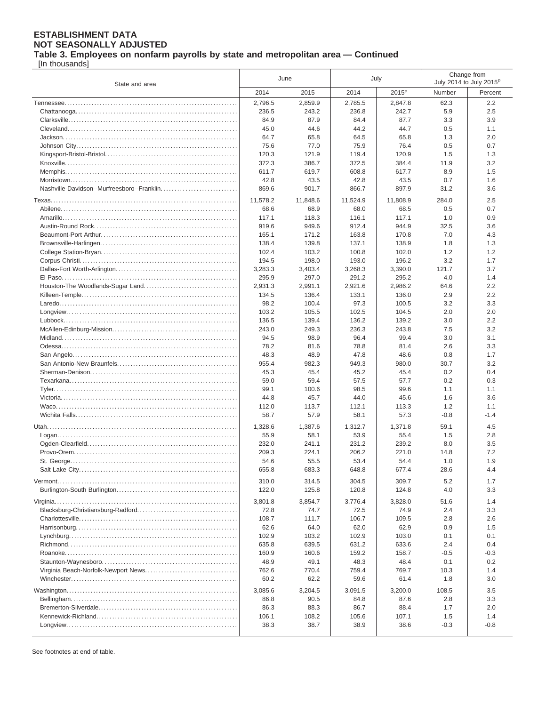**Table 3. Employees on nonfarm payrolls by state and metropolitan area — Continued**

[In thousands]

| State and area                             | June             |                  | July             |                   | Change from<br>July 2014 to July 2015 <sup>P</sup> |            |
|--------------------------------------------|------------------|------------------|------------------|-------------------|----------------------------------------------------|------------|
|                                            | 2014             | 2015             | 2014             | 2015 <sup>p</sup> | Number                                             | Percent    |
|                                            | 2,796.5          | 2,859.9          | 2,785.5          | 2,847.8           | 62.3                                               | 2.2        |
|                                            | 236.5            | 243.2            | 236.8            | 242.7             | 5.9                                                | 2.5        |
|                                            | 84.9             | 87.9             | 84.4             | 87.7              | 3.3                                                | 3.9        |
|                                            | 45.0             | 44.6             | 44.2             | 44.7              | 0.5                                                | 1.1        |
|                                            | 64.7             | 65.8             | 64.5             | 65.8              | 1.3                                                | 2.0        |
|                                            | 75.6             | 77.0             | 75.9             | 76.4              | 0.5                                                | 0.7        |
|                                            | 120.3            | 121.9            | 119.4            | 120.9             | 1.5                                                | 1.3        |
|                                            | 372.3            | 386.7            | 372.5            | 384.4             | 11.9                                               | 3.2        |
|                                            | 611.7            | 619.7            | 608.8            | 617.7             | 8.9                                                | 1.5        |
|                                            | 42.8             | 43.5             | 42.8             | 43.5              | 0.7                                                | 1.6        |
| Nashville-Davidson--Murfreesboro--Franklin | 869.6            | 901.7            | 866.7            | 897.9             | 31.2                                               | 3.6        |
|                                            | 11,578.2         | 11,848.6         | 11,524.9         | 11,808.9          | 284.0                                              | 2.5        |
|                                            | 68.6             | 68.9             | 68.0             | 68.5              | 0.5                                                | 0.7        |
|                                            | 117.1            | 118.3            | 116.1            | 117.1             | 1.0                                                | 0.9        |
|                                            | 919.6            | 949.6            | 912.4            | 944.9             | 32.5                                               | 3.6        |
|                                            | 165.1            | 171.2            | 163.8            | 170.8             | 7.0                                                | 4.3        |
|                                            | 138.4            | 139.8            | 137.1            | 138.9             | 1.8                                                | 1.3        |
|                                            | 102.4            | 103.2            | 100.8            | 102.0             | 1.2                                                | 1.2        |
|                                            | 194.5            | 198.0            | 193.0            | 196.2             | 3.2                                                | 1.7        |
|                                            | 3,283.3<br>295.9 | 3,403.4<br>297.0 | 3,268.3<br>291.2 | 3,390.0<br>295.2  | 121.7<br>4.0                                       | 3.7<br>1.4 |
|                                            | 2,931.3          | 2,991.1          | 2.921.6          | 2,986.2           | 64.6                                               | 2.2        |
|                                            | 134.5            | 136.4            | 133.1            | 136.0             | 2.9                                                | 2.2        |
|                                            | 98.2             | 100.4            | 97.3             | 100.5             | 3.2                                                | 3.3        |
|                                            | 103.2            | 105.5            | 102.5            | 104.5             | 2.0                                                | 2.0        |
|                                            | 136.5            | 139.4            | 136.2            | 139.2             | 3.0                                                | 2.2        |
|                                            | 243.0            | 249.3            | 236.3            | 243.8             | 7.5                                                | 3.2        |
|                                            | 94.5             | 98.9             | 96.4             | 99.4              | 3.0                                                | 3.1        |
|                                            | 78.2             | 81.6             | 78.8             | 81.4              | 2.6                                                | 3.3        |
|                                            | 48.3             | 48.9             | 47.8             | 48.6              | 0.8                                                | 1.7        |
|                                            | 955.4            | 982.3            | 949.3            | 980.0             | 30.7                                               | 3.2        |
|                                            | 45.3             | 45.4             | 45.2             | 45.4              | 0.2                                                | 0.4        |
|                                            | 59.0             | 59.4             | 57.5             | 57.7              | 0.2                                                | 0.3        |
|                                            | 99.1             | 100.6            | 98.5             | 99.6              | 1.1                                                | 1.1        |
|                                            | 44.8             | 45.7             | 44.0             | 45.6              | 1.6                                                | 3.6        |
|                                            | 112.0            | 113.7            | 112.1            | 113.3             | 1.2                                                | 1.1        |
|                                            | 58.7             | 57.9             | 58.1             | 57.3              | $-0.8$                                             | $-1.4$     |
|                                            | 1,328.6          | 1,387.6          | 1.312.7          | 1,371.8           | 59.1                                               | 4.5        |
|                                            | 55.9             | 58.1             | 53.9             | 55.4              | 1.5                                                | 2.8        |
|                                            | 232.0            | 241.1            | 231.2            | 239.2             | 8.0                                                | 3.5        |
|                                            | 209.3            | 224.1            | 206.2            | 221.0             | 14.8                                               | 7.2        |
|                                            | 54.6             | 55.5             | 53.4             | 54.4              | 1.0                                                | 1.9        |
|                                            | 655.8            | 683.3            | 648.8            | 677.4             | 28.6                                               | 4.4        |
|                                            | 310.0            | 314.5            | 304.5            | 309.7             | 5.2                                                | 1.7        |
|                                            | 122.0            | 125.8            | 120.8            | 124.8             | 4.0                                                | 3.3        |
|                                            | 3,801.8          | 3,854.7          | 3,776.4          | 3,828.0           | 51.6                                               | 1.4        |
|                                            | 72.8             | 74.7             | 72.5             | 74.9              | 2.4                                                | 3.3        |
|                                            | 108.7            | 111.7            | 106.7            | 109.5             | 2.8                                                | 2.6        |
|                                            | 62.6             | 64.0             | 62.0             | 62.9              | 0.9                                                | 1.5        |
|                                            | 102.9            | 103.2            | 102.9            | 103.0             | 0.1                                                | 0.1        |
|                                            | 635.8            | 639.5            | 631.2            | 633.6             | 2.4                                                | 0.4        |
|                                            | 160.9            | 160.6            | 159.2            | 158.7             | -0.5                                               | $-0.3$     |
|                                            | 48.9             | 49.1             | 48.3             | 48.4              | 0.1                                                | 0.2        |
|                                            | 762.6            | 770.4            | 759.4            | 769.7             | 10.3                                               | 1.4        |
|                                            | 60.2             | 62.2             | 59.6             | 61.4              | 1.8                                                | 3.0        |
|                                            | 3,085.6          | 3,204.5          | 3,091.5          | 3,200.0           | 108.5                                              | 3.5        |
|                                            | 86.8             | 90.5             | 84.8             | 87.6              | 2.8                                                | 3.3        |
|                                            | 86.3             | 88.3             | 86.7             | 88.4              | 1.7                                                | 2.0        |
|                                            | 106.1            | 108.2            | 105.6            | 107.1             | 1.5                                                | 1.4        |
|                                            | 38.3             | 38.7             | 38.9             | 38.6              | $-0.3$                                             | $-0.8$     |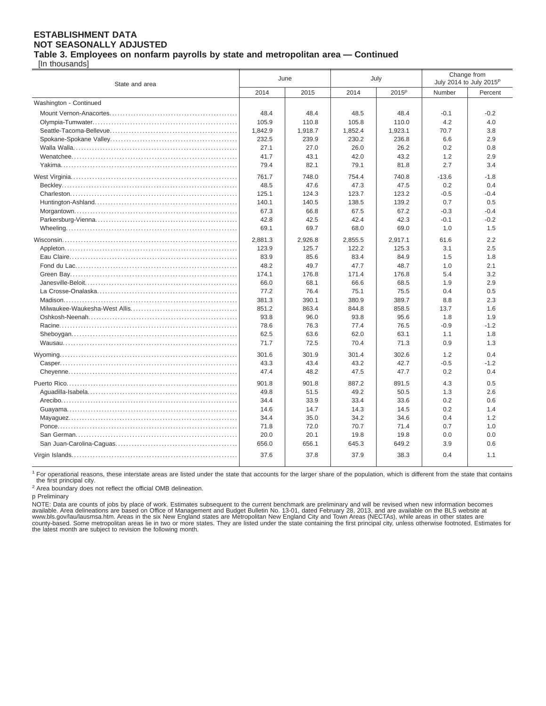### **ESTABLISHMENT DATA NOT SEASONALLY ADJUSTED Table 3. Employees on nonfarm payrolls by state and metropolitan area — Continued**

[In thousands]

| State and area         | June    |         | July    |                   | Change from<br>July 2014 to July 2015 <sup>p</sup> |         |
|------------------------|---------|---------|---------|-------------------|----------------------------------------------------|---------|
|                        | 2014    | 2015    | 2014    | 2015 <sup>p</sup> | Number                                             | Percent |
| Washington - Continued |         |         |         |                   |                                                    |         |
|                        | 48.4    | 48.4    | 48.5    | 48.4              | $-0.1$                                             | $-0.2$  |
|                        | 105.9   | 110.8   | 105.8   | 110.0             | 4.2                                                | 4.0     |
|                        | 1,842.9 | 1,918.7 | 1,852.4 | 1,923.1           | 70.7                                               | 3.8     |
|                        | 232.5   | 239.9   | 230.2   | 236.8             | 6.6                                                | 2.9     |
|                        | 27.1    | 27.0    | 26.0    | 26.2              | 0.2                                                | 0.8     |
|                        | 41.7    | 43.1    | 42.0    | 43.2              | 1.2                                                | 2.9     |
|                        | 79.4    | 82.1    | 79.1    | 81.8              | 2.7                                                | 3.4     |
|                        | 761.7   | 748.0   | 754.4   | 740.8             | $-13.6$                                            | $-1.8$  |
|                        | 48.5    | 47.6    | 47.3    | 47.5              | 0.2                                                | 0.4     |
|                        | 125.1   | 124.3   | 123.7   | 123.2             | $-0.5$                                             | $-0.4$  |
|                        | 140.1   | 140.5   | 138.5   | 139.2             | 0.7                                                | 0.5     |
|                        | 67.3    | 66.8    | 67.5    | 67.2              | $-0.3$                                             | $-0.4$  |
|                        | 42.8    | 42.5    | 42.4    | 42.3              | $-0.1$                                             | $-0.2$  |
|                        | 69.1    | 69.7    | 68.0    | 69.0              | 1.0                                                | 1.5     |
|                        | 2,881.3 | 2,926.8 | 2,855.5 | 2,917.1           | 61.6                                               | 2.2     |
|                        | 123.9   | 125.7   | 122.2   | 125.3             | 3.1                                                | 2.5     |
|                        | 83.9    | 85.6    | 83.4    | 84.9              | 1.5                                                | 1.8     |
|                        | 48.2    | 49.7    | 47.7    | 48.7              | 1.0                                                | 2.1     |
|                        | 174.1   | 176.8   | 171.4   | 176.8             | 5.4                                                | 3.2     |
|                        | 66.0    | 68.1    | 66.6    | 68.5              | 1.9                                                | 2.9     |
|                        | 77.2    | 76.4    | 75.1    | 75.5              | 0.4                                                | 0.5     |
|                        | 381.3   | 390.1   | 380.9   | 389.7             | 8.8                                                | 2.3     |
|                        | 851.2   | 863.4   | 844.8   | 858.5             | 13.7                                               | 1.6     |
|                        | 93.8    | 96.0    | 93.8    | 95.6              | 1.8                                                | 1.9     |
|                        | 78.6    | 76.3    | 77.4    | 76.5              | $-0.9$                                             | $-1.2$  |
|                        | 62.5    | 63.6    | 62.0    | 63.1              | 1.1                                                | 1.8     |
|                        | 71.7    | 72.5    | 70.4    | 71.3              | 0.9                                                | 1.3     |
|                        | 301.6   | 301.9   | 301.4   | 302.6             | 1.2                                                | 0.4     |
|                        | 43.3    | 43.4    | 43.2    | 42.7              | $-0.5$                                             | $-1.2$  |
|                        | 47.4    | 48.2    | 47.5    | 47.7              | 0.2                                                | 0.4     |
|                        | 901.8   | 901.8   | 887.2   | 891.5             | 4.3                                                | 0.5     |
|                        | 49.8    | 51.5    | 49.2    | 50.5              | 1.3                                                | 2.6     |
|                        | 34.4    | 33.9    | 33.4    | 33.6              | 0.2                                                | 0.6     |
|                        | 14.6    | 14.7    | 14.3    | 14.5              | 0.2                                                | 1.4     |
|                        | 34.4    | 35.0    | 34.2    | 34.6              | 0.4                                                | 1.2     |
|                        | 71.8    | 72.0    | 70.7    | 71.4              | 0.7                                                | 1.0     |
|                        | 20.0    | 20.1    | 19.8    | 19.8              | 0.0                                                | 0.0     |
|                        | 656.0   | 656.1   | 645.3   | 649.2             | 3.9                                                | 0.6     |
|                        | 37.6    | 37.8    | 37.9    | 38.3              | 0.4                                                | 1.1     |

<sup>1</sup> For operational reasons, these interstate areas are listed under the state that accounts for the larger share of the population, which is different from the state that contains the first principal city.

<sup>2</sup> Area boundary does not reflect the official OMB delineation.

p Preliminary

NOTE: Data are counts of jobs by place of work. Estimates subsequent to the current benchmark are preliminary and will be revised when new information becomes<br>available. Area delineations are based on Office of Management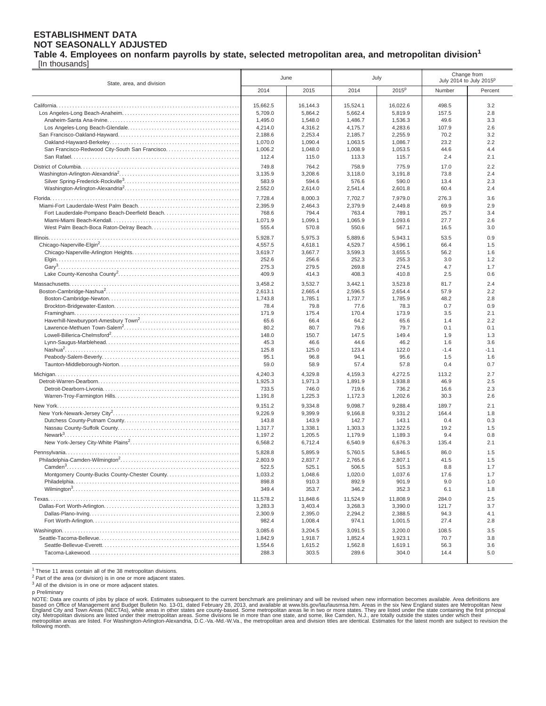### **Table 4. Employees on nonfarm payrolls by state, selected metropolitan area, and metropolitan division<sup>1</sup>**

[In thousands]

| State, area, and division                      | June               |                    | July               |                    | Change from<br>July 2014 to July 2015 <sup>p</sup> |               |
|------------------------------------------------|--------------------|--------------------|--------------------|--------------------|----------------------------------------------------|---------------|
|                                                | 2014               | 2015               | 2014               | 2015 <sup>p</sup>  | Number                                             | Percent       |
|                                                |                    |                    |                    |                    |                                                    |               |
|                                                | 15,662.5           | 16,144.3           | 15,524.1           | 16,022.6           | 498.5                                              | 3.2           |
|                                                | 5,709.0<br>1,495.0 | 5,864.2<br>1,548.0 | 5,662.4<br>1.486.7 | 5,819.9<br>1,536.3 | 157.5<br>49.6                                      | 2.8<br>3.3    |
|                                                | 4,214.0            | 4,316.2            | 4,175.7            | 4,283.6            | 107.9                                              | 2.6           |
|                                                | 2,188.6            | 2,253.4            | 2,185.7            | 2,255.9            | 70.2                                               | 3.2           |
|                                                | 1,070.0            | 1,090.4            | 1,063.5            | 1,086.7            | 23.2                                               | 2.2           |
| San Francisco-Redwood City-South San Francisco | 1,006.2            | 1,048.0            | 1,008.9            | 1,053.5            | 44.6                                               | 4.4           |
|                                                | 112.4              | 115.0              | 113.3              | 115.7              | 2.4                                                | 2.1           |
|                                                | 749.8              | 764.2              | 758.9              | 775.9              | 17.0                                               | 2.2           |
|                                                | 3,135.9            | 3,208.6            | 3.118.0            | 3,191.8            | 73.8                                               | 2.4           |
|                                                | 583.9              | 594.6              | 576.6              | 590.0              | 13.4                                               | 2.3           |
|                                                | 2,552.0            | 2,614.0            | 2,541.4            | 2,601.8            | 60.4                                               | 2.4           |
|                                                | 7,728.4            | 8,000.3            | 7,702.7            | 7,979.0            | 276.3                                              | 3.6           |
|                                                | 2,395.9            | 2,464.3            | 2,379.9            | 2,449.8            | 69.9                                               | 2.9           |
| Fort Lauderdale-Pompano Beach-Deerfield Beach  | 768.6              | 794.4              | 763.4              | 789.1              | 25.7                                               | 3.4           |
|                                                | 1,071.9            | 1,099.1            | 1,065.9            | 1,093.6            | 27.7                                               | 2.6           |
|                                                | 555.4              | 570.8              | 550.6              | 567.1              | 16.5                                               | 3.0           |
|                                                | 5,928.7            | 5,975.3            | 5,889.6            | 5,943.1            | 53.5                                               | 0.9           |
|                                                | 4,557.5            | 4,618.1            | 4,529.7            | 4,596.1            | 66.4                                               | 1.5           |
|                                                | 3,619.7            | 3,667.7            | 3,599.3            | 3,655.5            | 56.2                                               | 1.6           |
|                                                | 252.6<br>275.3     | 256.6<br>279.5     | 252.3<br>269.8     | 255.3<br>274.5     | 3.0<br>4.7                                         | 1.2<br>1.7    |
|                                                | 409.9              | 414.3              | 408.3              | 410.8              | 2.5                                                | 0.6           |
|                                                |                    |                    |                    |                    |                                                    |               |
|                                                | 3.458.2<br>2,613.1 | 3,532.7<br>2,665.4 | 3,442.1<br>2,596.5 | 3,523.8<br>2,654.4 | 81.7<br>57.9                                       | 2.4<br>2.2    |
|                                                | 1,743.8            | 1,785.1            | 1,737.7            | 1,785.9            | 48.2                                               | 2.8           |
|                                                | 78.4               | 79.8               | 77.6               | 78.3               | 0.7                                                | 0.9           |
|                                                | 171.9              | 175.4              | 170.4              | 173.9              | 3.5                                                | 2.1           |
|                                                | 65.6               | 66.4               | 64.2               | 65.6               | 1.4                                                | 2.2           |
|                                                | 80.2               | 80.7               | 79.6               | 79.7               | 0.1                                                | 0.1           |
|                                                | 148.0              | 150.7              | 147.5              | 149.4              | 1.9                                                | 1.3           |
|                                                | 45.3               | 46.6               | 44.6               | 46.2               | 1.6                                                | 3.6           |
|                                                | 125.8<br>95.1      | 125.0<br>96.8      | 123.4<br>94.1      | 122.0<br>95.6      | $-1.4$<br>1.5                                      | $-1.1$<br>1.6 |
|                                                | 59.0               | 58.9               | 57.4               | 57.8               | 0.4                                                | 0.7           |
|                                                | 4,240.3            | 4,329.8            | 4,159.3            | 4,272.5            | 113.2                                              | 2.7           |
|                                                | 1,925.3            | 1,971.3            | 1,891.9            | 1,938.8            | 46.9                                               | 2.5           |
|                                                | 733.5              | 746.0              | 719.6              | 736.2              | 16.6                                               | 2.3           |
|                                                | 1,191.8            | 1,225.3            | 1,172.3            | 1,202.6            | 30.3                                               | 2.6           |
|                                                | 9,151.2            | 9,334.8            | 9,098.7            | 9,288.4            | 189.7                                              | 2.1           |
|                                                | 9,226.9            | 9,399.9            | 9,166.8            | 9,331.2            | 164.4                                              | 1.8           |
|                                                | 143.8              | 143.9              | 142.7              | 143.1              | 0.4                                                | 0.3           |
|                                                | 1,317.7            | 1,338.1            | 1,303.3            | 1,322.5            | 19.2                                               | 1.5           |
|                                                | 1,197.2            | 1,205.5            | 1,179.9            | 1,189.3            | 9.4                                                | 0.8           |
|                                                | 6,568.2            | 6,712.4            | 6,540.9            | 6,676.3            | 135.4                                              | 2.1           |
|                                                | 5,828.8            | 5.895.9            | 5,760.5            | 5.846.5            | 86.0                                               | 1.5           |
|                                                | 2,803.9            | 2,837.7            | 2,765.6            | 2,807.1            | 41.5                                               | 1.5           |
| Montgomery County-Bucks County-Chester County  | 522.5<br>1,033.2   | 525.1<br>1,048.6   | 506.5<br>1,020.0   | 515.3<br>1,037.6   | 8.8<br>17.6                                        | 1.7<br>1.7    |
|                                                | 898.8              | 910.3              | 892.9              | 901.9              | 9.0                                                | 1.0           |
|                                                | 349.4              | 353.7              | 346.2              | 352.3              | 6.1                                                | 1.8           |
|                                                | 11,578.2           | 11,848.6           | 11,524.9           | 11,808.9           | 284.0                                              | 2.5           |
|                                                | 3,283.3            | 3,403.4            | 3,268.3            | 3,390.0            | 121.7                                              | 3.7           |
|                                                | 2,300.9            | 2,395.0            | 2,294.2            | 2,388.5            | 94.3                                               | 4.1           |
|                                                | 982.4              | 1,008.4            | 974.1              | 1,001.5            | 27.4                                               | 2.8           |
|                                                | 3,085.6            | 3,204.5            | 3,091.5            | 3,200.0            | 108.5                                              | 3.5           |
|                                                | 1,842.9            | 1,918.7            | 1,852.4            | 1,923.1            | 70.7                                               | 3.8           |
|                                                | 1,554.6            | 1,615.2            | 1,562.8            | 1,619.1            | 56.3                                               | 3.6           |
|                                                | 288.3              | 303.5              | 289.6              | 304.0              | 14.4                                               | 5.0           |
|                                                |                    |                    |                    |                    |                                                    |               |

 $1$  These 11 areas contain all of the 38 metropolitan divisions.

<sup>2</sup> Part of the area (or division) is in one or more adjacent states.

<sup>3</sup> All of the division is in one or more adjacent states.

p Preliminary

NOTE: Data are counts of jobs by place of work. Estimates subsequent to the current benchmark are preliminary and will be revised when new information becomes available. Area definitions are<br>based on Office of Management a